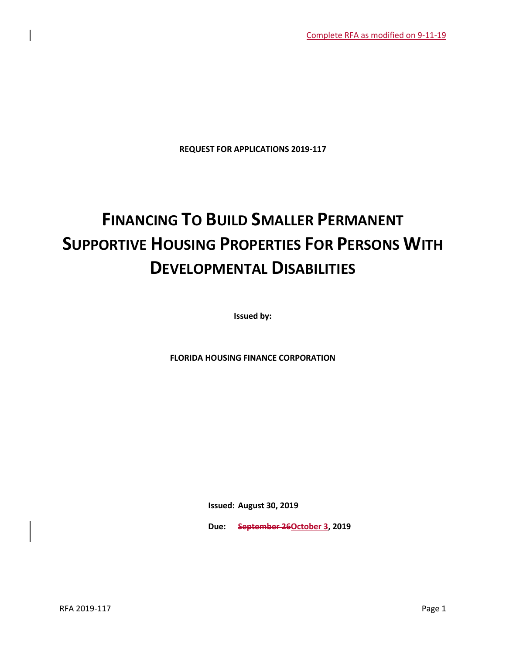**REQUEST FOR APPLICATIONS 2019-117**

# **FINANCING TO BUILD SMALLER PERMANENT SUPPORTIVE HOUSING PROPERTIES FOR PERSONS WITH DEVELOPMENTAL DISABILITIES**

**Issued by:**

**FLORIDA HOUSING FINANCE CORPORATION**

**Issued: August 30, 2019**

**Due: September 26October 3, 2019**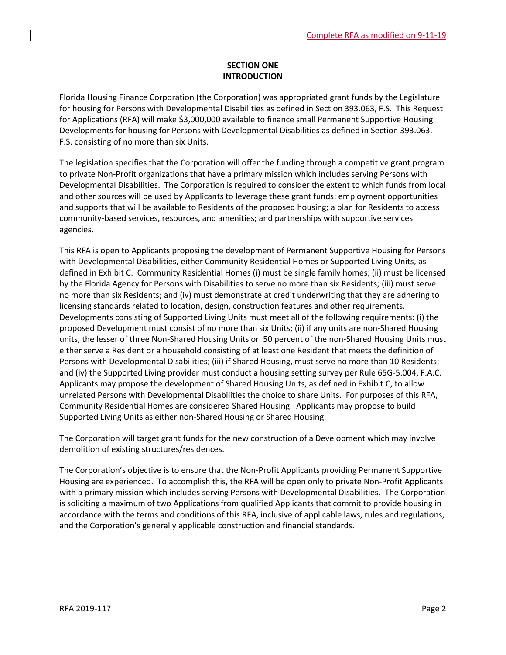## **SECTION ONE INTRODUCTION**

Florida Housing Finance Corporation (the Corporation) was appropriated grant funds by the Legislature for housing for Persons with Developmental Disabilities as defined in Section 393.063, F.S. This Request for Applications (RFA) will make \$3,000,000 available to finance small Permanent Supportive Housing Developments for housing for Persons with Developmental Disabilities as defined in Section 393.063, F.S. consisting of no more than six Units.

The legislation specifies that the Corporation will offer the funding through a competitive grant program to private Non-Profit organizations that have a primary mission which includes serving Persons with Developmental Disabilities. The Corporation is required to consider the extent to which funds from local and other sources will be used by Applicants to leverage these grant funds; employment opportunities and supports that will be available to Residents of the proposed housing; a plan for Residents to access community-based services, resources, and amenities; and partnerships with supportive services agencies.

This RFA is open to Applicants proposing the development of Permanent Supportive Housing for Persons with Developmental Disabilities, either Community Residential Homes or Supported Living Units, as defined in Exhibit C. Community Residential Homes (i) must be single family homes; (ii) must be licensed by the Florida Agency for Persons with Disabilities to serve no more than six Residents; (iii) must serve no more than six Residents; and (iv) must demonstrate at credit underwriting that they are adhering to licensing standards related to location, design, construction features and other requirements. Developments consisting of Supported Living Units must meet all of the following requirements: (i) the proposed Development must consist of no more than six Units; (ii) if any units are non-Shared Housing units, the lesser of three Non-Shared Housing Units or 50 percent of the non-Shared Housing Units must either serve a Resident or a household consisting of at least one Resident that meets the definition of Persons with Developmental Disabilities; (iii) if Shared Housing, must serve no more than 10 Residents; and (iv) the Supported Living provider must conduct a housing setting survey per Rule 65G-5.004, F.A.C. Applicants may propose the development of Shared Housing Units, as defined in Exhibit C, to allow unrelated Persons with Developmental Disabilities the choice to share Units. For purposes of this RFA, Community Residential Homes are considered Shared Housing. Applicants may propose to build Supported Living Units as either non-Shared Housing or Shared Housing.

The Corporation will target grant funds for the new construction of a Development which may involve demolition of existing structures/residences.

The Corporation's objective is to ensure that the Non-Profit Applicants providing Permanent Supportive Housing are experienced. To accomplish this, the RFA will be open only to private Non-Profit Applicants with a primary mission which includes serving Persons with Developmental Disabilities. The Corporation is soliciting a maximum of two Applications from qualified Applicants that commit to provide housing in accordance with the terms and conditions of this RFA, inclusive of applicable laws, rules and regulations, and the Corporation's generally applicable construction and financial standards.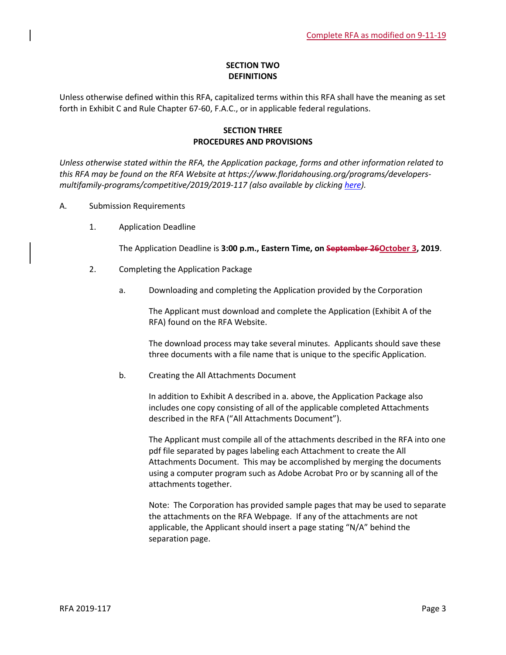## **SECTION TWO DEFINITIONS**

Unless otherwise defined within this RFA, capitalized terms within this RFA shall have the meaning as set forth in Exhibit C and Rule Chapter 67-60, F.A.C., or in applicable federal regulations.

## **SECTION THREE PROCEDURES AND PROVISIONS**

*Unless otherwise stated within the RFA, the Application package, forms and other information related to this RFA may be found on the RFA Website at https://www.floridahousing.org/programs/developersmultifamily-programs/competitive/2019/2019-117 (also available by clicking [here\)](https://www.floridahousing.org/programs/developers-multifamily-programs/competitive/2019/2019-117).*

- A. Submission Requirements
	- 1. Application Deadline

The Application Deadline is **3:00 p.m., Eastern Time, on September 26October 3, 2019**.

- 2. Completing the Application Package
	- a. Downloading and completing the Application provided by the Corporation

The Applicant must download and complete the Application (Exhibit A of the RFA) found on the RFA Website.

The download process may take several minutes. Applicants should save these three documents with a file name that is unique to the specific Application.

b. Creating the All Attachments Document

In addition to Exhibit A described in a. above, the Application Package also includes one copy consisting of all of the applicable completed Attachments described in the RFA ("All Attachments Document").

The Applicant must compile all of the attachments described in the RFA into one pdf file separated by pages labeling each Attachment to create the All Attachments Document. This may be accomplished by merging the documents using a computer program such as Adobe Acrobat Pro or by scanning all of the attachments together.

Note: The Corporation has provided sample pages that may be used to separate the attachments on the RFA Webpage. If any of the attachments are not applicable, the Applicant should insert a page stating "N/A" behind the separation page.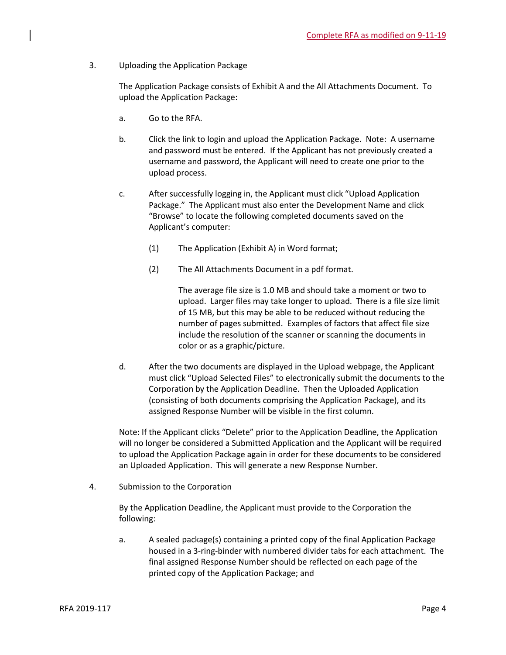3. Uploading the Application Package

The Application Package consists of Exhibit A and the All Attachments Document. To upload the Application Package:

- a. Go to the RFA.
- b. Click the link to login and upload the Application Package. Note: A username and password must be entered. If the Applicant has not previously created a username and password, the Applicant will need to create one prior to the upload process.
- c. After successfully logging in, the Applicant must click "Upload Application Package." The Applicant must also enter the Development Name and click "Browse" to locate the following completed documents saved on the Applicant's computer:
	- (1) The Application (Exhibit A) in Word format;
	- (2) The All Attachments Document in a pdf format.

The average file size is 1.0 MB and should take a moment or two to upload. Larger files may take longer to upload. There is a file size limit of 15 MB, but this may be able to be reduced without reducing the number of pages submitted. Examples of factors that affect file size include the resolution of the scanner or scanning the documents in color or as a graphic/picture.

d. After the two documents are displayed in the Upload webpage, the Applicant must click "Upload Selected Files" to electronically submit the documents to the Corporation by the Application Deadline. Then the Uploaded Application (consisting of both documents comprising the Application Package), and its assigned Response Number will be visible in the first column.

Note: If the Applicant clicks "Delete" prior to the Application Deadline, the Application will no longer be considered a Submitted Application and the Applicant will be required to upload the Application Package again in order for these documents to be considered an Uploaded Application. This will generate a new Response Number.

4. Submission to the Corporation

By the Application Deadline, the Applicant must provide to the Corporation the following:

a. A sealed package(s) containing a printed copy of the final Application Package housed in a 3-ring-binder with numbered divider tabs for each attachment. The final assigned Response Number should be reflected on each page of the printed copy of the Application Package; and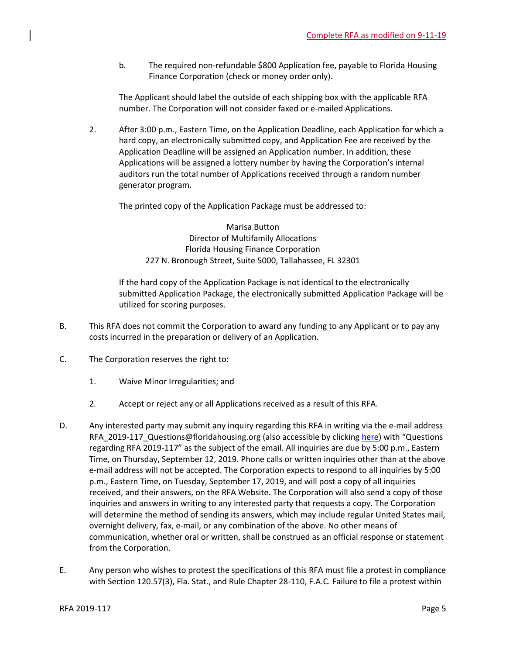b. The required non-refundable \$800 Application fee, payable to Florida Housing Finance Corporation (check or money order only).

The Applicant should label the outside of each shipping box with the applicable RFA number. The Corporation will not consider faxed or e-mailed Applications.

2. After 3:00 p.m., Eastern Time, on the Application Deadline, each Application for which a hard copy, an electronically submitted copy, and Application Fee are received by the Application Deadline will be assigned an Application number. In addition, these Applications will be assigned a lottery number by having the Corporation's internal auditors run the total number of Applications received through a random number generator program.

The printed copy of the Application Package must be addressed to:

Marisa Button Director of Multifamily Allocations Florida Housing Finance Corporation 227 N. Bronough Street, Suite 5000, Tallahassee, FL 32301

If the hard copy of the Application Package is not identical to the electronically submitted Application Package, the electronically submitted Application Package will be utilized for scoring purposes.

- B. This RFA does not commit the Corporation to award any funding to any Applicant or to pay any costs incurred in the preparation or delivery of an Application.
- C. The Corporation reserves the right to:
	- 1. Waive Minor Irregularities; and
	- 2. Accept or reject any or all Applications received as a result of this RFA.
- D. Any interested party may submit any inquiry regarding this RFA in writing via the e-mail address RFA\_2019-117\_Questions@floridahousing.org (also accessible by clickin[g here\)](mailto:RFA_2019-117_Questions@floridahousing.org?subject=RFA%202019-117%20Questions) with "Questions regarding RFA 2019-117" as the subject of the email. All inquiries are due by 5:00 p.m., Eastern Time, on Thursday, September 12, 2019. Phone calls or written inquiries other than at the above e-mail address will not be accepted. The Corporation expects to respond to all inquiries by 5:00 p.m., Eastern Time, on Tuesday, September 17, 2019, and will post a copy of all inquiries received, and their answers, on the RFA Website. The Corporation will also send a copy of those inquiries and answers in writing to any interested party that requests a copy. The Corporation will determine the method of sending its answers, which may include regular United States mail, overnight delivery, fax, e-mail, or any combination of the above. No other means of communication, whether oral or written, shall be construed as an official response or statement from the Corporation.
- E. Any person who wishes to protest the specifications of this RFA must file a protest in compliance with Section 120.57(3), Fla. Stat., and Rule Chapter 28-110, F.A.C. Failure to file a protest within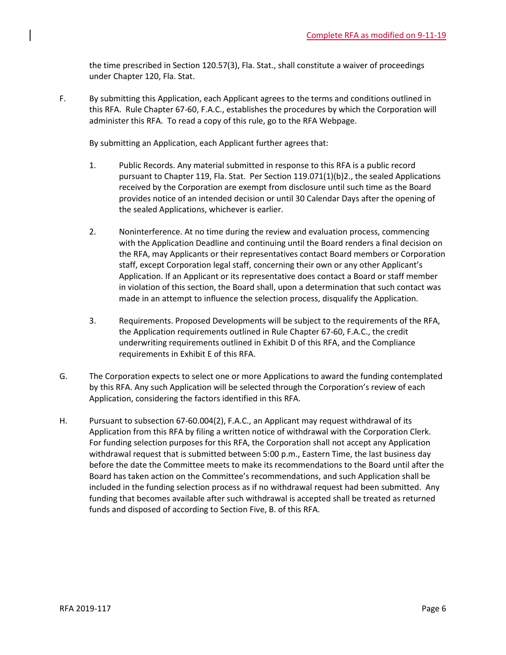the time prescribed in Section 120.57(3), Fla. Stat., shall constitute a waiver of proceedings under Chapter 120, Fla. Stat.

F. By submitting this Application, each Applicant agrees to the terms and conditions outlined in this RFA. Rule Chapter 67-60, F.A.C., establishes the procedures by which the Corporation will administer this RFA. To read a copy of this rule, go to the RFA Webpage.

By submitting an Application, each Applicant further agrees that:

- 1. Public Records. Any material submitted in response to this RFA is a public record pursuant to Chapter 119, Fla. Stat. Per Section 119.071(1)(b)2., the sealed Applications received by the Corporation are exempt from disclosure until such time as the Board provides notice of an intended decision or until 30 Calendar Days after the opening of the sealed Applications, whichever is earlier.
- 2. Noninterference. At no time during the review and evaluation process, commencing with the Application Deadline and continuing until the Board renders a final decision on the RFA, may Applicants or their representatives contact Board members or Corporation staff, except Corporation legal staff, concerning their own or any other Applicant's Application. If an Applicant or its representative does contact a Board or staff member in violation of this section, the Board shall, upon a determination that such contact was made in an attempt to influence the selection process, disqualify the Application.
- 3. Requirements. Proposed Developments will be subject to the requirements of the RFA, the Application requirements outlined in Rule Chapter 67-60, F.A.C., the credit underwriting requirements outlined in Exhibit D of this RFA, and the Compliance requirements in Exhibit E of this RFA.
- G. The Corporation expects to select one or more Applications to award the funding contemplated by this RFA. Any such Application will be selected through the Corporation's review of each Application, considering the factors identified in this RFA.
- H. Pursuant to subsection 67-60.004(2), F.A.C., an Applicant may request withdrawal of its Application from this RFA by filing a written notice of withdrawal with the Corporation Clerk. For funding selection purposes for this RFA, the Corporation shall not accept any Application withdrawal request that is submitted between 5:00 p.m., Eastern Time, the last business day before the date the Committee meets to make its recommendations to the Board until after the Board has taken action on the Committee's recommendations, and such Application shall be included in the funding selection process as if no withdrawal request had been submitted. Any funding that becomes available after such withdrawal is accepted shall be treated as returned funds and disposed of according to Section Five, B. of this RFA.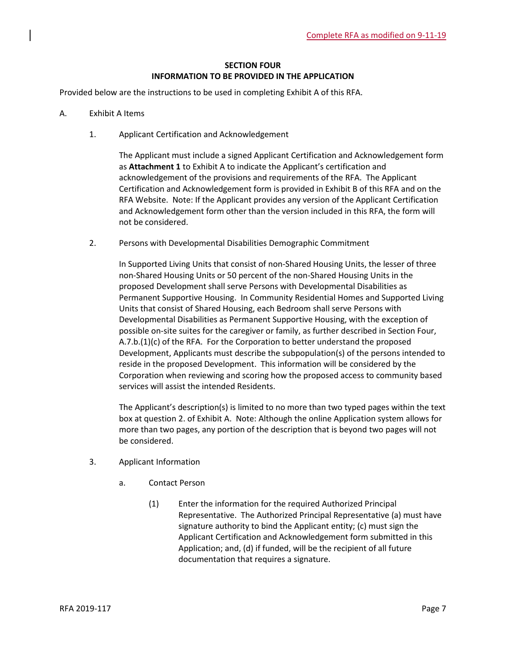## **SECTION FOUR INFORMATION TO BE PROVIDED IN THE APPLICATION**

Provided below are the instructions to be used in completing Exhibit A of this RFA.

- A. Exhibit A Items
	- 1. Applicant Certification and Acknowledgement

The Applicant must include a signed Applicant Certification and Acknowledgement form as **Attachment 1** to Exhibit A to indicate the Applicant's certification and acknowledgement of the provisions and requirements of the RFA. The Applicant Certification and Acknowledgement form is provided in Exhibit B of this RFA and on the RFA Website. Note: If the Applicant provides any version of the Applicant Certification and Acknowledgement form other than the version included in this RFA, the form will not be considered.

2. Persons with Developmental Disabilities Demographic Commitment

In Supported Living Units that consist of non-Shared Housing Units, the lesser of three non-Shared Housing Units or 50 percent of the non-Shared Housing Units in the proposed Development shall serve Persons with Developmental Disabilities as Permanent Supportive Housing. In Community Residential Homes and Supported Living Units that consist of Shared Housing, each Bedroom shall serve Persons with Developmental Disabilities as Permanent Supportive Housing, with the exception of possible on-site suites for the caregiver or family, as further described in Section Four,  $A.7.b.(1)(c)$  of the RFA. For the Corporation to better understand the proposed Development, Applicants must describe the subpopulation(s) of the persons intended to reside in the proposed Development. This information will be considered by the Corporation when reviewing and scoring how the proposed access to community based services will assist the intended Residents.

The Applicant's description(s) is limited to no more than two typed pages within the text box at question 2. of Exhibit A. Note: Although the online Application system allows for more than two pages, any portion of the description that is beyond two pages will not be considered.

- 3. Applicant Information
	- a. Contact Person
		- (1) Enter the information for the required Authorized Principal Representative. The Authorized Principal Representative (a) must have signature authority to bind the Applicant entity; (c) must sign the Applicant Certification and Acknowledgement form submitted in this Application; and, (d) if funded, will be the recipient of all future documentation that requires a signature.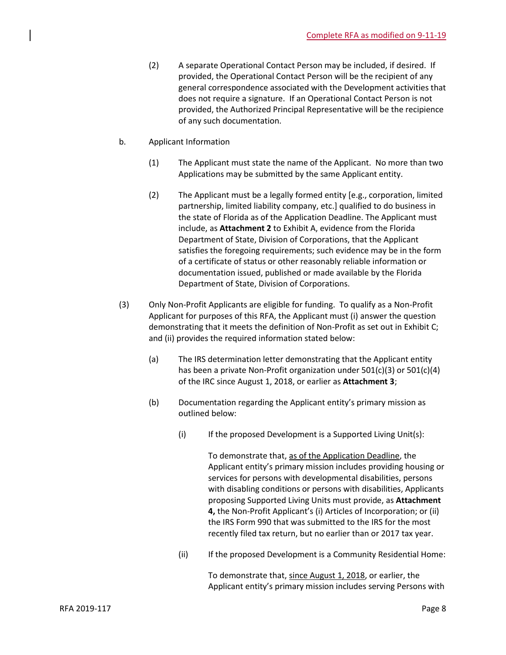- (2) A separate Operational Contact Person may be included, if desired. If provided, the Operational Contact Person will be the recipient of any general correspondence associated with the Development activities that does not require a signature. If an Operational Contact Person is not provided, the Authorized Principal Representative will be the recipience of any such documentation.
- b. Applicant Information
	- (1) The Applicant must state the name of the Applicant. No more than two Applications may be submitted by the same Applicant entity.
	- (2) The Applicant must be a legally formed entity [e.g., corporation, limited partnership, limited liability company, etc.] qualified to do business in the state of Florida as of the Application Deadline. The Applicant must include, as **Attachment 2** to Exhibit A, evidence from the Florida Department of State, Division of Corporations, that the Applicant satisfies the foregoing requirements; such evidence may be in the form of a certificate of status or other reasonably reliable information or documentation issued, published or made available by the Florida Department of State, Division of Corporations.
- (3) Only Non-Profit Applicants are eligible for funding. To qualify as a Non-Profit Applicant for purposes of this RFA, the Applicant must (i) answer the question demonstrating that it meets the definition of Non-Profit as set out in Exhibit C; and (ii) provides the required information stated below:
	- (a) The IRS determination letter demonstrating that the Applicant entity has been a private Non-Profit organization under 501(c)(3) or 501(c)(4) of the IRC since August 1, 2018, or earlier as **Attachment 3**;
	- (b) Documentation regarding the Applicant entity's primary mission as outlined below:
		- $(i)$  If the proposed Development is a Supported Living Unit(s):

To demonstrate that, as of the Application Deadline, the Applicant entity's primary mission includes providing housing or services for persons with developmental disabilities, persons with disabling conditions or persons with disabilities, Applicants proposing Supported Living Units must provide, as **Attachment 4,** the Non-Profit Applicant's (i) Articles of Incorporation; or (ii) the IRS Form 990 that was submitted to the IRS for the most recently filed tax return, but no earlier than or 2017 tax year.

(ii) If the proposed Development is a Community Residential Home:

To demonstrate that, since August 1, 2018, or earlier, the Applicant entity's primary mission includes serving Persons with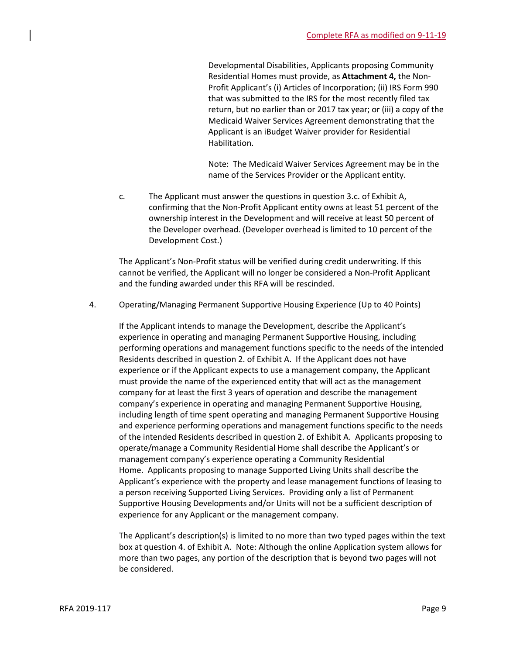Developmental Disabilities, Applicants proposing Community Residential Homes must provide, as **Attachment 4,** the Non-Profit Applicant's (i) Articles of Incorporation; (ii) IRS Form 990 that was submitted to the IRS for the most recently filed tax return, but no earlier than or 2017 tax year; or (iii) a copy of the Medicaid Waiver Services Agreement demonstrating that the Applicant is an iBudget Waiver provider for Residential Habilitation.

Note: The Medicaid Waiver Services Agreement may be in the name of the Services Provider or the Applicant entity.

c. The Applicant must answer the questions in question 3.c. of Exhibit A, confirming that the Non-Profit Applicant entity owns at least 51 percent of the ownership interest in the Development and will receive at least 50 percent of the Developer overhead. (Developer overhead is limited to 10 percent of the Development Cost.)

The Applicant's Non-Profit status will be verified during credit underwriting. If this cannot be verified, the Applicant will no longer be considered a Non-Profit Applicant and the funding awarded under this RFA will be rescinded.

4. Operating/Managing Permanent Supportive Housing Experience (Up to 40 Points)

If the Applicant intends to manage the Development, describe the Applicant's experience in operating and managing Permanent Supportive Housing, including performing operations and management functions specific to the needs of the intended Residents described in question 2. of Exhibit A. If the Applicant does not have experience or if the Applicant expects to use a management company, the Applicant must provide the name of the experienced entity that will act as the management company for at least the first 3 years of operation and describe the management company's experience in operating and managing Permanent Supportive Housing, including length of time spent operating and managing Permanent Supportive Housing and experience performing operations and management functions specific to the needs of the intended Residents described in question 2. of Exhibit A. Applicants proposing to operate/manage a Community Residential Home shall describe the Applicant's or management company's experience operating a Community Residential Home. Applicants proposing to manage Supported Living Units shall describe the Applicant's experience with the property and lease management functions of leasing to a person receiving Supported Living Services. Providing only a list of Permanent Supportive Housing Developments and/or Units will not be a sufficient description of experience for any Applicant or the management company.

The Applicant's description(s) is limited to no more than two typed pages within the text box at question 4. of Exhibit A. Note: Although the online Application system allows for more than two pages, any portion of the description that is beyond two pages will not be considered.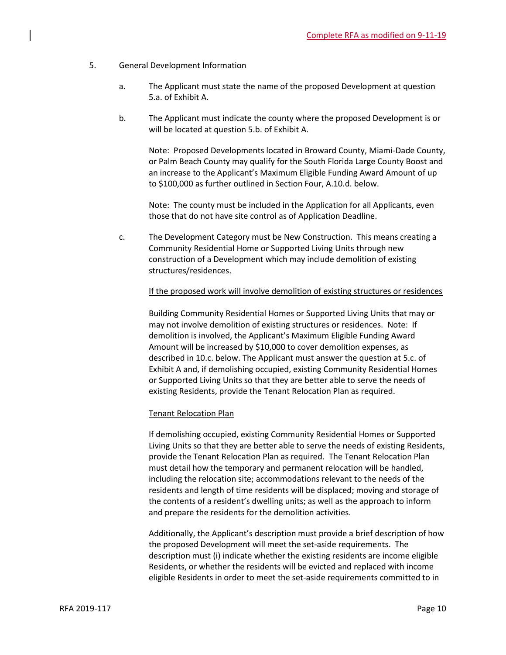- 5. General Development Information
	- a. The Applicant must state the name of the proposed Development at question 5.a. of Exhibit A.
	- b. The Applicant must indicate the county where the proposed Development is or will be located at question 5.b. of Exhibit A.

Note: Proposed Developments located in Broward County, Miami-Dade County, or Palm Beach County may qualify for the South Florida Large County Boost and an increase to the Applicant's Maximum Eligible Funding Award Amount of up to \$100,000 as further outlined in Section Four, A.10.d. below.

Note: The county must be included in the Application for all Applicants, even those that do not have site control as of Application Deadline.

c. The Development Category must be New Construction. This means creating a Community Residential Home or Supported Living Units through new construction of a Development which may include demolition of existing structures/residences.

## If the proposed work will involve demolition of existing structures or residences

Building Community Residential Homes or Supported Living Units that may or may not involve demolition of existing structures or residences. Note: If demolition is involved, the Applicant's Maximum Eligible Funding Award Amount will be increased by \$10,000 to cover demolition expenses, as described in 10.c. below. The Applicant must answer the question at 5.c. of Exhibit A and, if demolishing occupied, existing Community Residential Homes or Supported Living Units so that they are better able to serve the needs of existing Residents, provide the Tenant Relocation Plan as required.

#### Tenant Relocation Plan

If demolishing occupied, existing Community Residential Homes or Supported Living Units so that they are better able to serve the needs of existing Residents, provide the Tenant Relocation Plan as required. The Tenant Relocation Plan must detail how the temporary and permanent relocation will be handled, including the relocation site; accommodations relevant to the needs of the residents and length of time residents will be displaced; moving and storage of the contents of a resident's dwelling units; as well as the approach to inform and prepare the residents for the demolition activities.

Additionally, the Applicant's description must provide a brief description of how the proposed Development will meet the set-aside requirements. The description must (i) indicate whether the existing residents are income eligible Residents, or whether the residents will be evicted and replaced with income eligible Residents in order to meet the set-aside requirements committed to in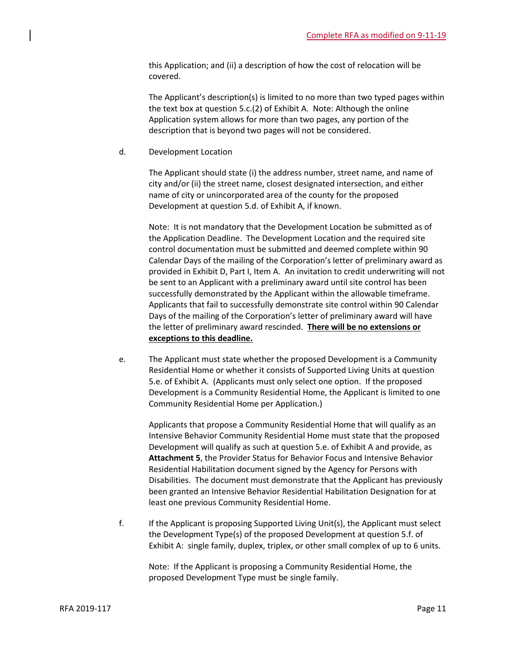this Application; and (ii) a description of how the cost of relocation will be covered.

The Applicant's description(s) is limited to no more than two typed pages within the text box at question 5.c.(2) of Exhibit A. Note: Although the online Application system allows for more than two pages, any portion of the description that is beyond two pages will not be considered.

d. Development Location

The Applicant should state (i) the address number, street name, and name of city and/or (ii) the street name, closest designated intersection, and either name of city or unincorporated area of the county for the proposed Development at question 5.d. of Exhibit A, if known.

Note: It is not mandatory that the Development Location be submitted as of the Application Deadline. The Development Location and the required site control documentation must be submitted and deemed complete within 90 Calendar Days of the mailing of the Corporation's letter of preliminary award as provided in Exhibit D, Part I, Item A. An invitation to credit underwriting will not be sent to an Applicant with a preliminary award until site control has been successfully demonstrated by the Applicant within the allowable timeframe. Applicants that fail to successfully demonstrate site control within 90 Calendar Days of the mailing of the Corporation's letter of preliminary award will have the letter of preliminary award rescinded. **There will be no extensions or exceptions to this deadline.**

e. The Applicant must state whether the proposed Development is a Community Residential Home or whether it consists of Supported Living Units at question 5.e. of Exhibit A. (Applicants must only select one option. If the proposed Development is a Community Residential Home, the Applicant is limited to one Community Residential Home per Application.)

Applicants that propose a Community Residential Home that will qualify as an Intensive Behavior Community Residential Home must state that the proposed Development will qualify as such at question 5.e. of Exhibit A and provide, as **Attachment 5**, the Provider Status for Behavior Focus and Intensive Behavior Residential Habilitation document signed by the Agency for Persons with Disabilities. The document must demonstrate that the Applicant has previously been granted an Intensive Behavior Residential Habilitation Designation for at least one previous Community Residential Home.

f. If the Applicant is proposing Supported Living Unit(s), the Applicant must select the Development Type(s) of the proposed Development at question 5.f. of Exhibit A: single family, duplex, triplex, or other small complex of up to 6 units.

Note: If the Applicant is proposing a Community Residential Home, the proposed Development Type must be single family.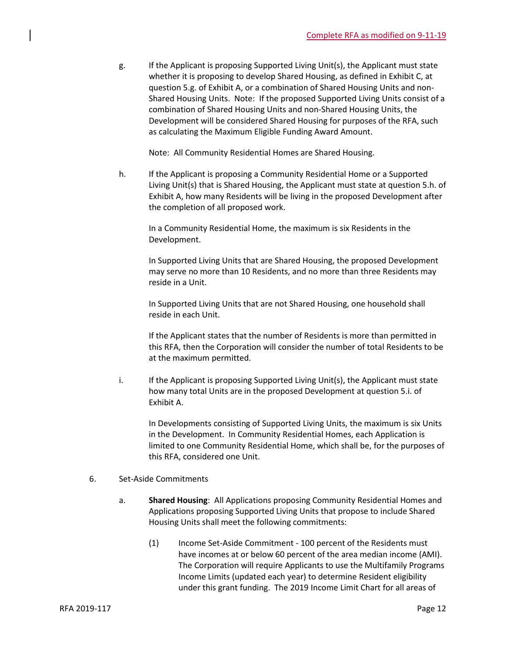g. If the Applicant is proposing Supported Living Unit(s), the Applicant must state whether it is proposing to develop Shared Housing, as defined in Exhibit C, at question 5.g. of Exhibit A, or a combination of Shared Housing Units and non-Shared Housing Units. Note: If the proposed Supported Living Units consist of a combination of Shared Housing Units and non-Shared Housing Units, the Development will be considered Shared Housing for purposes of the RFA, such as calculating the Maximum Eligible Funding Award Amount.

Note: All Community Residential Homes are Shared Housing.

h. If the Applicant is proposing a Community Residential Home or a Supported Living Unit(s) that is Shared Housing, the Applicant must state at question 5.h. of Exhibit A, how many Residents will be living in the proposed Development after the completion of all proposed work.

In a Community Residential Home, the maximum is six Residents in the Development.

In Supported Living Units that are Shared Housing, the proposed Development may serve no more than 10 Residents, and no more than three Residents may reside in a Unit.

In Supported Living Units that are not Shared Housing, one household shall reside in each Unit.

If the Applicant states that the number of Residents is more than permitted in this RFA, then the Corporation will consider the number of total Residents to be at the maximum permitted.

i. If the Applicant is proposing Supported Living Unit(s), the Applicant must state how many total Units are in the proposed Development at question 5.i. of Exhibit A.

In Developments consisting of Supported Living Units, the maximum is six Units in the Development. In Community Residential Homes, each Application is limited to one Community Residential Home, which shall be, for the purposes of this RFA, considered one Unit.

## 6. Set-Aside Commitments

- a. **Shared Housing**: All Applications proposing Community Residential Homes and Applications proposing Supported Living Units that propose to include Shared Housing Units shall meet the following commitments:
	- (1) Income Set-Aside Commitment 100 percent of the Residents must have incomes at or below 60 percent of the area median income (AMI). The Corporation will require Applicants to use the Multifamily Programs Income Limits (updated each year) to determine Resident eligibility under this grant funding. The 2019 Income Limit Chart for all areas of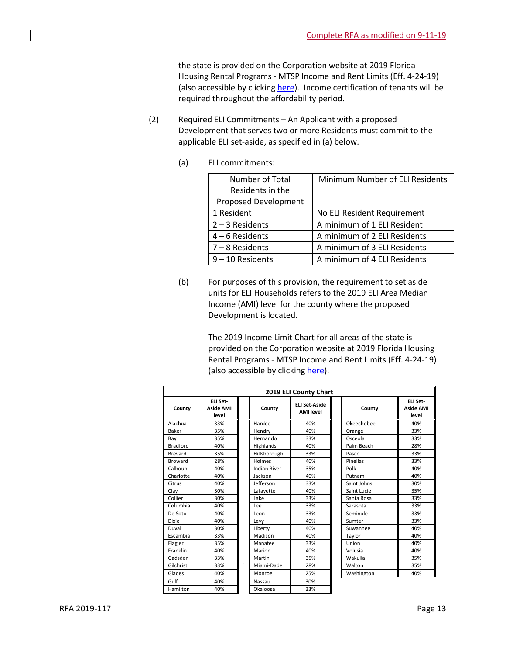the state is provided on the Corporation website at 2019 Florida Housing Rental Programs - MTSP Income and Rent Limits (Eff. 4-24-19) (also accessible by clickin[g here\)](https://www.floridahousing.org/owners-and-managers/compliance/rent-limits). Income certification of tenants will be required throughout the affordability period.

- (2) Required ELI Commitments An Applicant with a proposed Development that serves two or more Residents must commit to the applicable ELI set-aside, as specified in (a) below.
	- (a) ELI commitments:

| Number of Total             | Minimum Number of ELI Residents |
|-----------------------------|---------------------------------|
| Residents in the            |                                 |
| <b>Proposed Development</b> |                                 |
| 1 Resident                  | No ELI Resident Requirement     |
| $2 - 3$ Residents           | A minimum of 1 ELI Resident     |
| $4 - 6$ Residents           | A minimum of 2 ELI Residents    |
| $7 - 8$ Residents           | A minimum of 3 ELI Residents    |
| $9 - 10$ Residents          | A minimum of 4 ELI Residents    |

(b) For purposes of this provision, the requirement to set aside units for ELI Households refers to the 2019 ELI Area Median Income (AMI) level for the county where the proposed Development is located.

> The 2019 Income Limit Chart for all areas of the state is provided on the Corporation website at 2019 Florida Housing Rental Programs - MTSP Income and Rent Limits (Eff. 4-24-19) (also accessible by clickin[g here\)](https://www.floridahousing.org/owners-and-managers/compliance/rent-limits).

| 2019 ELI County Chart |                                       |         |                     |                                          |             |                                       |
|-----------------------|---------------------------------------|---------|---------------------|------------------------------------------|-------------|---------------------------------------|
| County                | FLI Set-<br><b>Aside AMI</b><br>level |         | County              | <b>ELI Set-Aside</b><br><b>AMI</b> level | County      | ELI Set-<br><b>Aside AMI</b><br>level |
| Alachua               | 33%                                   |         | Hardee              | 40%                                      | Okeechobee  | 40%                                   |
| Baker                 | 35%                                   |         | Hendry              | 40%                                      | Orange      | 33%                                   |
| Bay                   | 35%                                   |         | Hernando            | 33%                                      | Osceola     | 33%                                   |
| <b>Bradford</b>       | 40%                                   |         | Highlands           | 40%                                      | Palm Beach  | 28%                                   |
| Brevard               | 35%                                   |         | Hillsborough        | 33%                                      | Pasco       | 33%                                   |
| <b>Broward</b>        | 28%                                   |         | Holmes              | 40%                                      | Pinellas    | 33%                                   |
| Calhoun               | 40%                                   |         | <b>Indian River</b> | 35%                                      | Polk        | 40%                                   |
| Charlotte             | 40%                                   |         | Jackson             | 40%                                      | Putnam      | 40%                                   |
| Citrus                | 40%                                   |         | Jefferson           | 33%                                      | Saint Johns | 30%                                   |
| Clay                  | 30%                                   |         | Lafayette           | 40%                                      | Saint Lucie | 35%                                   |
| Collier               | 30%                                   |         | Lake                | 33%                                      | Santa Rosa  | 33%                                   |
| Columbia              | 40%                                   |         | Lee                 | 33%                                      | Sarasota    | 33%                                   |
| De Soto               | 40%                                   |         | Leon                | 33%                                      | Seminole    | 33%                                   |
| <b>Dixie</b>          | 40%                                   |         | Levy                | 40%                                      | Sumter      | 33%                                   |
| Duval                 | 30%                                   |         | Liberty             | 40%                                      | Suwannee    | 40%                                   |
| Escambia              | 33%                                   |         | Madison             | 40%                                      | Taylor      | 40%                                   |
| Flagler               | 35%                                   |         | Manatee             | 33%                                      | Union       | 40%                                   |
| Franklin              | 40%                                   |         | Marion              | 40%                                      | Volusia     | 40%                                   |
| Gadsden               | 33%                                   |         | Martin              | 35%                                      | Wakulla     | 35%                                   |
| Gilchrist             | 33%                                   | $\cdot$ | Miami-Dade          | 28%                                      | Walton      | 35%                                   |
| Glades                | 40%                                   |         | Monroe              | 25%                                      | Washington  | 40%                                   |
| Gulf                  | 40%                                   |         | Nassau              | 30%                                      |             |                                       |
| Hamilton              | 40%                                   |         | Okaloosa            | 33%                                      |             |                                       |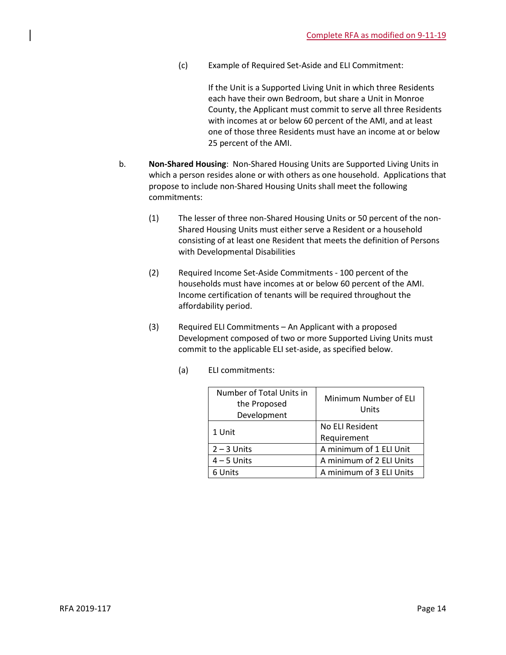(c) Example of Required Set-Aside and ELI Commitment:

If the Unit is a Supported Living Unit in which three Residents each have their own Bedroom, but share a Unit in Monroe County, the Applicant must commit to serve all three Residents with incomes at or below 60 percent of the AMI, and at least one of those three Residents must have an income at or below 25 percent of the AMI.

- b. **Non-Shared Housing**: Non-Shared Housing Units are Supported Living Units in which a person resides alone or with others as one household. Applications that propose to include non-Shared Housing Units shall meet the following commitments:
	- (1) The lesser of three non-Shared Housing Units or 50 percent of the non-Shared Housing Units must either serve a Resident or a household consisting of at least one Resident that meets the definition of Persons with Developmental Disabilities
	- (2) Required Income Set-Aside Commitments 100 percent of the households must have incomes at or below 60 percent of the AMI. Income certification of tenants will be required throughout the affordability period.
	- (3) Required ELI Commitments An Applicant with a proposed Development composed of two or more Supported Living Units must commit to the applicable ELI set-aside, as specified below.
		- (a) ELI commitments:

| Number of Total Units in<br>the Proposed<br>Development | Minimum Number of ELI<br>Units |
|---------------------------------------------------------|--------------------------------|
| 1 Unit                                                  | No ELI Resident                |
|                                                         | Requirement                    |
| $2 - 3$ Units                                           | A minimum of 1 ELI Unit        |
| $4 - 5$ Units                                           | A minimum of 2 ELI Units       |
| 6 Units                                                 | A minimum of 3 ELI Units       |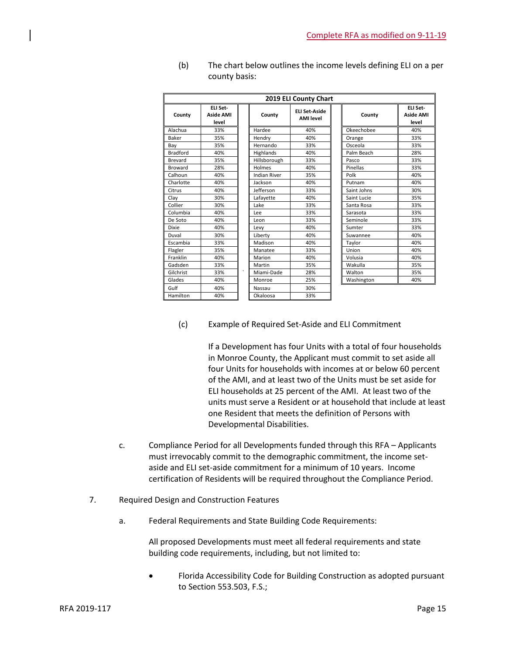| 2019 ELI County Chart |                                       |         |                     |                                          |             |                                       |
|-----------------------|---------------------------------------|---------|---------------------|------------------------------------------|-------------|---------------------------------------|
| County                | ELI Set-<br><b>Aside AMI</b><br>level |         | County              | <b>FLI Set-Aside</b><br><b>AMI</b> level | County      | ELI Set-<br><b>Aside AMI</b><br>level |
| Alachua               | 33%                                   |         | Hardee              | 40%                                      | Okeechobee  | 40%                                   |
| Baker                 | 35%                                   |         | Hendry              | 40%                                      | Orange      | 33%                                   |
| Bay                   | 35%                                   |         | Hernando            | 33%                                      | Osceola     | 33%                                   |
| <b>Bradford</b>       | 40%                                   |         | Highlands           | 40%                                      | Palm Beach  | 28%                                   |
| Brevard               | 35%                                   |         | Hillsborough        | 33%                                      | Pasco       | 33%                                   |
| <b>Broward</b>        | 28%                                   |         | Holmes              | 40%                                      | Pinellas    | 33%                                   |
| Calhoun               | 40%                                   |         | <b>Indian River</b> | 35%                                      | Polk        | 40%                                   |
| Charlotte             | 40%                                   |         | Jackson             | 40%                                      | Putnam      | 40%                                   |
| Citrus                | 40%                                   |         | Jefferson           | 33%                                      | Saint Johns | 30%                                   |
| Clay                  | 30%                                   |         | Lafayette           | 40%                                      | Saint Lucie | 35%                                   |
| Collier               | 30%                                   |         | Lake                | 33%                                      | Santa Rosa  | 33%                                   |
| Columbia              | 40%                                   |         | Lee                 | 33%                                      | Sarasota    | 33%                                   |
| De Soto               | 40%                                   |         | Leon                | 33%                                      | Seminole    | 33%                                   |
| <b>Dixie</b>          | 40%                                   |         | Levy                | 40%                                      | Sumter      | 33%                                   |
| Duval                 | 30%                                   |         | Liberty             | 40%                                      | Suwannee    | 40%                                   |
| Escambia              | 33%                                   |         | Madison             | 40%                                      | Taylor      | 40%                                   |
| Flagler               | 35%                                   |         | Manatee             | 33%                                      | Union       | 40%                                   |
| Franklin              | 40%                                   |         | Marion              | 40%                                      | Volusia     | 40%                                   |
| Gadsden               | 33%                                   |         | Martin              | 35%                                      | Wakulla     | 35%                                   |
| Gilchrist             | 33%                                   | $\cdot$ | Miami-Dade          | 28%                                      | Walton      | 35%                                   |
| Glades                | 40%                                   |         | Monroe              | 25%                                      | Washington  | 40%                                   |
| Gulf                  | 40%                                   |         | Nassau              | 30%                                      |             |                                       |
| Hamilton              | 40%                                   |         | Okaloosa            | 33%                                      |             |                                       |

(b) The chart below outlines the income levels defining ELI on a per county basis:

## (c) Example of Required Set-Aside and ELI Commitment

If a Development has four Units with a total of four households in Monroe County, the Applicant must commit to set aside all four Units for households with incomes at or below 60 percent of the AMI, and at least two of the Units must be set aside for ELI households at 25 percent of the AMI. At least two of the units must serve a Resident or at household that include at least one Resident that meets the definition of Persons with Developmental Disabilities.

- c. Compliance Period for all Developments funded through this RFA Applicants must irrevocably commit to the demographic commitment, the income setaside and ELI set-aside commitment for a minimum of 10 years. Income certification of Residents will be required throughout the Compliance Period.
- 7. Required Design and Construction Features
	- a. Federal Requirements and State Building Code Requirements:

All proposed Developments must meet all federal requirements and state building code requirements, including, but not limited to:

• Florida Accessibility Code for Building Construction as adopted pursuant to Section 553.503, F.S.;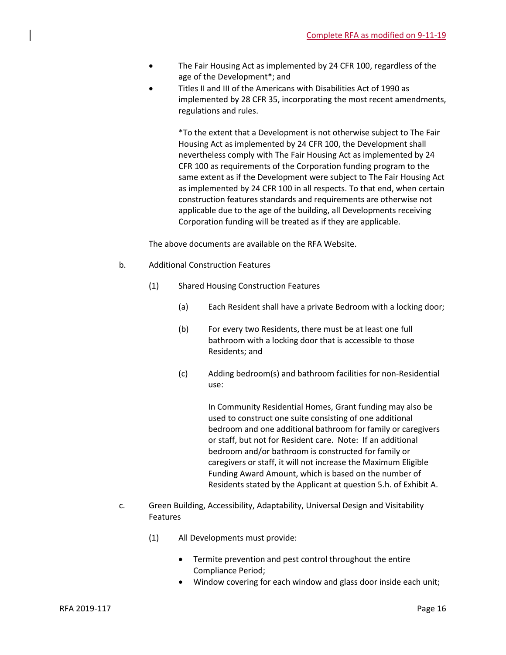- The Fair Housing Act as implemented by 24 CFR 100, regardless of the age of the Development\*; and
- Titles II and III of the Americans with Disabilities Act of 1990 as implemented by 28 CFR 35, incorporating the most recent amendments, regulations and rules.

\*To the extent that a Development is not otherwise subject to The Fair Housing Act as implemented by 24 CFR 100, the Development shall nevertheless comply with The Fair Housing Act as implemented by 24 CFR 100 as requirements of the Corporation funding program to the same extent as if the Development were subject to The Fair Housing Act as implemented by 24 CFR 100 in all respects. To that end, when certain construction features standards and requirements are otherwise not applicable due to the age of the building, all Developments receiving Corporation funding will be treated as if they are applicable.

The above documents are available on the RFA Website.

- b. Additional Construction Features
	- (1) Shared Housing Construction Features
		- (a) Each Resident shall have a private Bedroom with a locking door;
		- (b) For every two Residents, there must be at least one full bathroom with a locking door that is accessible to those Residents; and
		- (c) Adding bedroom(s) and bathroom facilities for non-Residential use:

In Community Residential Homes, Grant funding may also be used to construct one suite consisting of one additional bedroom and one additional bathroom for family or caregivers or staff, but not for Resident care. Note: If an additional bedroom and/or bathroom is constructed for family or caregivers or staff, it will not increase the Maximum Eligible Funding Award Amount, which is based on the number of Residents stated by the Applicant at question 5.h. of Exhibit A.

- c. Green Building, Accessibility, Adaptability, Universal Design and Visitability Features
	- (1) All Developments must provide:
		- Termite prevention and pest control throughout the entire Compliance Period;
		- Window covering for each window and glass door inside each unit;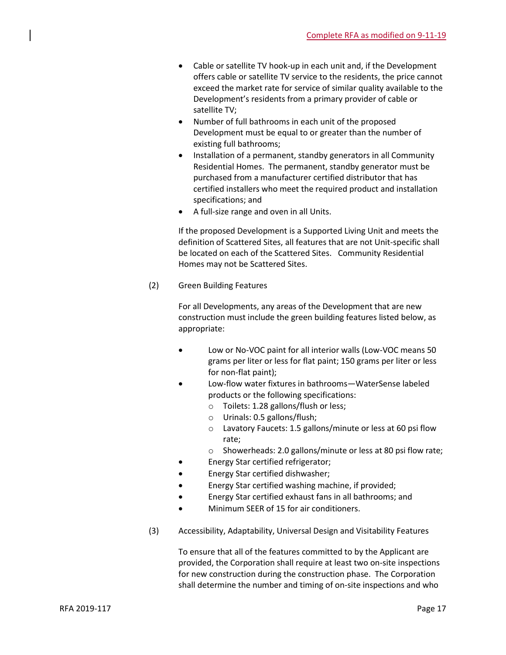- Cable or satellite TV hook-up in each unit and, if the Development offers cable or satellite TV service to the residents, the price cannot exceed the market rate for service of similar quality available to the Development's residents from a primary provider of cable or satellite TV;
- Number of full bathrooms in each unit of the proposed Development must be equal to or greater than the number of existing full bathrooms;
- Installation of a permanent, standby generators in all Community Residential Homes. The permanent, standby generator must be purchased from a manufacturer certified distributor that has certified installers who meet the required product and installation specifications; and
- A full-size range and oven in all Units.

If the proposed Development is a Supported Living Unit and meets the definition of Scattered Sites, all features that are not Unit-specific shall be located on each of the Scattered Sites. Community Residential Homes may not be Scattered Sites.

(2) Green Building Features

For all Developments, any areas of the Development that are new construction must include the green building features listed below, as appropriate:

- Low or No-VOC paint for all interior walls (Low-VOC means 50 grams per liter or less for flat paint; 150 grams per liter or less for non-flat paint);
- Low-flow water fixtures in bathrooms—WaterSense labeled products or the following specifications:
	- o Toilets: 1.28 gallons/flush or less;
	- o Urinals: 0.5 gallons/flush;
	- o Lavatory Faucets: 1.5 gallons/minute or less at 60 psi flow rate;
	- o Showerheads: 2.0 gallons/minute or less at 80 psi flow rate;
- Energy Star certified refrigerator;
- Energy Star certified dishwasher;
- Energy Star certified washing machine, if provided;
- Energy Star certified exhaust fans in all bathrooms; and
- Minimum SEER of 15 for air conditioners.
- (3) Accessibility, Adaptability, Universal Design and Visitability Features

To ensure that all of the features committed to by the Applicant are provided, the Corporation shall require at least two on-site inspections for new construction during the construction phase. The Corporation shall determine the number and timing of on-site inspections and who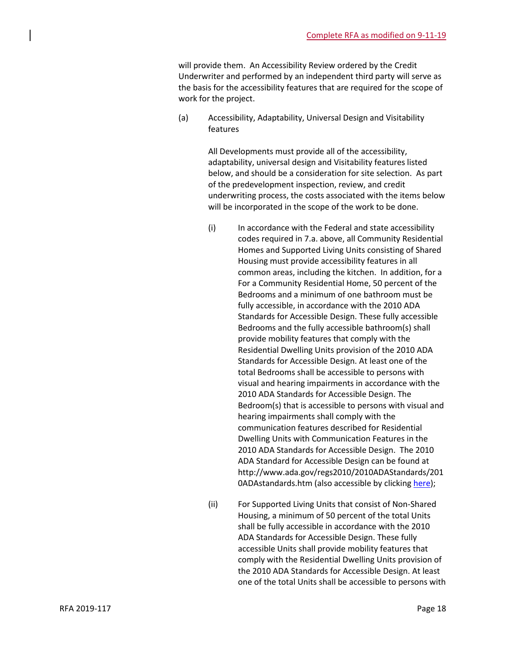will provide them. An Accessibility Review ordered by the Credit Underwriter and performed by an independent third party will serve as the basis for the accessibility features that are required for the scope of work for the project.

(a) Accessibility, Adaptability, Universal Design and Visitability features

> All Developments must provide all of the accessibility, adaptability, universal design and Visitability features listed below, and should be a consideration for site selection. As part of the predevelopment inspection, review, and credit underwriting process, the costs associated with the items below will be incorporated in the scope of the work to be done.

- (i) In accordance with the Federal and state accessibility codes required in 7.a. above, all Community Residential Homes and Supported Living Units consisting of Shared Housing must provide accessibility features in all common areas, including the kitchen. In addition, for a For a Community Residential Home, 50 percent of the Bedrooms and a minimum of one bathroom must be fully accessible, in accordance with the 2010 ADA Standards for Accessible Design. These fully accessible Bedrooms and the fully accessible bathroom(s) shall provide mobility features that comply with the Residential Dwelling Units provision of the 2010 ADA Standards for Accessible Design. At least one of the total Bedrooms shall be accessible to persons with visual and hearing impairments in accordance with the 2010 ADA Standards for Accessible Design. The Bedroom(s) that is accessible to persons with visual and hearing impairments shall comply with the communication features described for Residential Dwelling Units with Communication Features in the 2010 ADA Standards for Accessible Design. The 2010 ADA Standard for Accessible Design can be found at http://www.ada.gov/regs2010/2010ADAStandards/201 0ADAstandards.htm (also accessible by clicking [here\)](http://www.ada.gov/regs2010/2010ADAStandards/2010ADAstandards.htm);
- (ii) For Supported Living Units that consist of Non-Shared Housing, a minimum of 50 percent of the total Units shall be fully accessible in accordance with the 2010 ADA Standards for Accessible Design. These fully accessible Units shall provide mobility features that comply with the Residential Dwelling Units provision of the 2010 ADA Standards for Accessible Design. At least one of the total Units shall be accessible to persons with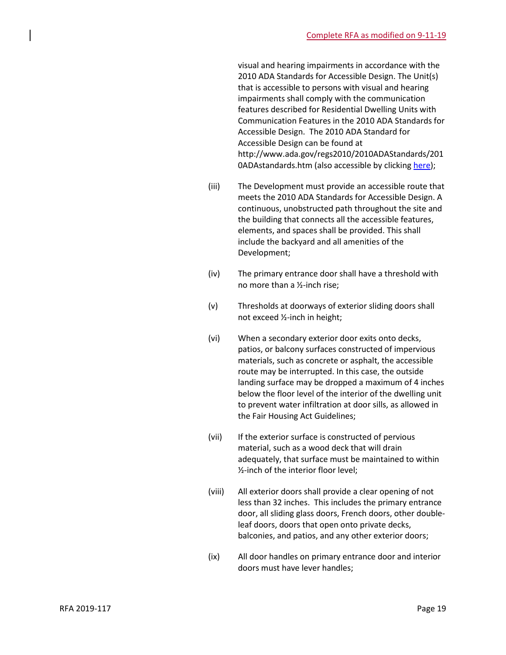visual and hearing impairments in accordance with the 2010 ADA Standards for Accessible Design. The Unit(s) that is accessible to persons with visual and hearing impairments shall comply with the communication features described for Residential Dwelling Units with Communication Features in the 2010 ADA Standards for Accessible Design. The 2010 ADA Standard for Accessible Design can be found at http://www.ada.gov/regs2010/2010ADAStandards/201 0ADAstandards.htm (also accessible by clicking [here\)](http://www.ada.gov/regs2010/2010ADAStandards/2010ADAstandards.htm);

- (iii) The Development must provide an accessible route that meets the 2010 ADA Standards for Accessible Design. A continuous, unobstructed path throughout the site and the building that connects all the accessible features, elements, and spaces shall be provided. This shall include the backyard and all amenities of the Development;
- (iv) The primary entrance door shall have a threshold with no more than a ½-inch rise;
- (v) Thresholds at doorways of exterior sliding doors shall not exceed ½-inch in height;
- (vi) When a secondary exterior door exits onto decks, patios, or balcony surfaces constructed of impervious materials, such as concrete or asphalt, the accessible route may be interrupted. In this case, the outside landing surface may be dropped a maximum of 4 inches below the floor level of the interior of the dwelling unit to prevent water infiltration at door sills, as allowed in the Fair Housing Act Guidelines;
- (vii) If the exterior surface is constructed of pervious material, such as a wood deck that will drain adequately, that surface must be maintained to within ½-inch of the interior floor level;
- (viii) All exterior doors shall provide a clear opening of not less than 32 inches. This includes the primary entrance door, all sliding glass doors, French doors, other doubleleaf doors, doors that open onto private decks, balconies, and patios, and any other exterior doors;
- (ix) All door handles on primary entrance door and interior doors must have lever handles;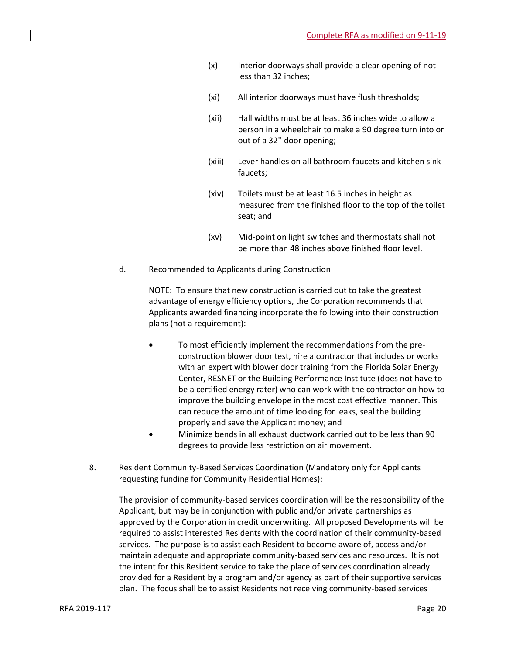- (x) Interior doorways shall provide a clear opening of not less than 32 inches;
- (xi) All interior doorways must have flush thresholds;
- (xii) Hall widths must be at least 36 inches wide to allow a person in a wheelchair to make a 90 degree turn into or out of a 32'' door opening;
- (xiii) Lever handles on all bathroom faucets and kitchen sink faucets;
- (xiv) Toilets must be at least 16.5 inches in height as measured from the finished floor to the top of the toilet seat; and
- (xv) Mid-point on light switches and thermostats shall not be more than 48 inches above finished floor level.
- d. Recommended to Applicants during Construction

NOTE: To ensure that new construction is carried out to take the greatest advantage of energy efficiency options, the Corporation recommends that Applicants awarded financing incorporate the following into their construction plans (not a requirement):

- To most efficiently implement the recommendations from the preconstruction blower door test, hire a contractor that includes or works with an expert with blower door training from the Florida Solar Energy Center, RESNET or the Building Performance Institute (does not have to be a certified energy rater) who can work with the contractor on how to improve the building envelope in the most cost effective manner. This can reduce the amount of time looking for leaks, seal the building properly and save the Applicant money; and
- Minimize bends in all exhaust ductwork carried out to be less than 90 degrees to provide less restriction on air movement.
- 8. Resident Community-Based Services Coordination (Mandatory only for Applicants requesting funding for Community Residential Homes):

The provision of community-based services coordination will be the responsibility of the Applicant, but may be in conjunction with public and/or private partnerships as approved by the Corporation in credit underwriting. All proposed Developments will be required to assist interested Residents with the coordination of their community-based services. The purpose is to assist each Resident to become aware of, access and/or maintain adequate and appropriate community-based services and resources. It is not the intent for this Resident service to take the place of services coordination already provided for a Resident by a program and/or agency as part of their supportive services plan. The focus shall be to assist Residents not receiving community-based services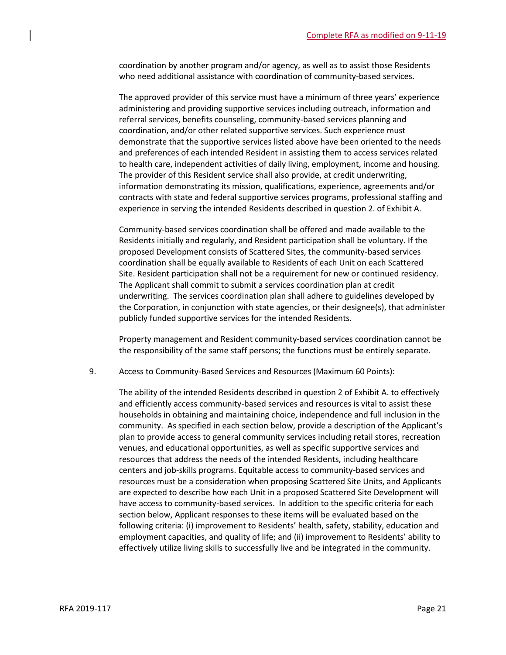coordination by another program and/or agency, as well as to assist those Residents who need additional assistance with coordination of community-based services.

The approved provider of this service must have a minimum of three years' experience administering and providing supportive services including outreach, information and referral services, benefits counseling, community-based services planning and coordination, and/or other related supportive services. Such experience must demonstrate that the supportive services listed above have been oriented to the needs and preferences of each intended Resident in assisting them to access services related to health care, independent activities of daily living, employment, income and housing. The provider of this Resident service shall also provide, at credit underwriting, information demonstrating its mission, qualifications, experience, agreements and/or contracts with state and federal supportive services programs, professional staffing and experience in serving the intended Residents described in question 2. of Exhibit A.

Community-based services coordination shall be offered and made available to the Residents initially and regularly, and Resident participation shall be voluntary. If the proposed Development consists of Scattered Sites, the community-based services coordination shall be equally available to Residents of each Unit on each Scattered Site. Resident participation shall not be a requirement for new or continued residency. The Applicant shall commit to submit a services coordination plan at credit underwriting. The services coordination plan shall adhere to guidelines developed by the Corporation, in conjunction with state agencies, or their designee(s), that administer publicly funded supportive services for the intended Residents.

Property management and Resident community-based services coordination cannot be the responsibility of the same staff persons; the functions must be entirely separate.

9. Access to Community-Based Services and Resources (Maximum 60 Points):

The ability of the intended Residents described in question 2 of Exhibit A. to effectively and efficiently access community-based services and resources is vital to assist these households in obtaining and maintaining choice, independence and full inclusion in the community. As specified in each section below, provide a description of the Applicant's plan to provide access to general community services including retail stores, recreation venues, and educational opportunities, as well as specific supportive services and resources that address the needs of the intended Residents, including healthcare centers and job-skills programs. Equitable access to community-based services and resources must be a consideration when proposing Scattered Site Units, and Applicants are expected to describe how each Unit in a proposed Scattered Site Development will have access to community-based services. In addition to the specific criteria for each section below, Applicant responses to these items will be evaluated based on the following criteria: (i) improvement to Residents' health, safety, stability, education and employment capacities, and quality of life; and (ii) improvement to Residents' ability to effectively utilize living skills to successfully live and be integrated in the community.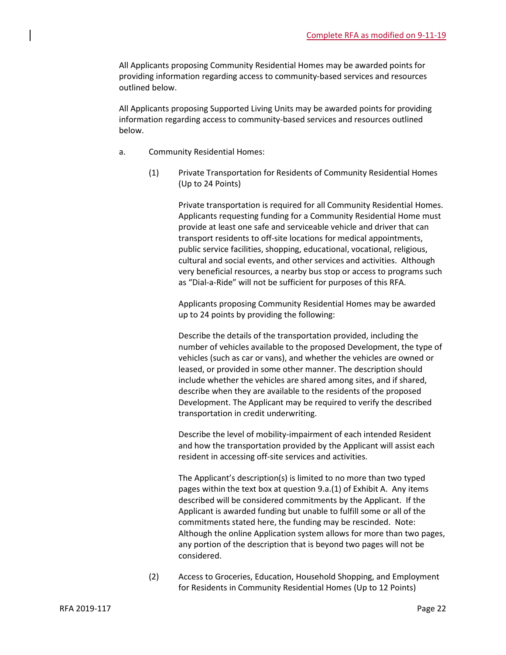All Applicants proposing Community Residential Homes may be awarded points for providing information regarding access to community-based services and resources outlined below.

All Applicants proposing Supported Living Units may be awarded points for providing information regarding access to community-based services and resources outlined below.

- a. Community Residential Homes:
	- (1) Private Transportation for Residents of Community Residential Homes (Up to 24 Points)

Private transportation is required for all Community Residential Homes. Applicants requesting funding for a Community Residential Home must provide at least one safe and serviceable vehicle and driver that can transport residents to off-site locations for medical appointments, public service facilities, shopping, educational, vocational, religious, cultural and social events, and other services and activities. Although very beneficial resources, a nearby bus stop or access to programs such as "Dial-a-Ride" will not be sufficient for purposes of this RFA.

Applicants proposing Community Residential Homes may be awarded up to 24 points by providing the following:

Describe the details of the transportation provided, including the number of vehicles available to the proposed Development, the type of vehicles (such as car or vans), and whether the vehicles are owned or leased, or provided in some other manner. The description should include whether the vehicles are shared among sites, and if shared, describe when they are available to the residents of the proposed Development. The Applicant may be required to verify the described transportation in credit underwriting.

Describe the level of mobility-impairment of each intended Resident and how the transportation provided by the Applicant will assist each resident in accessing off-site services and activities.

The Applicant's description(s) is limited to no more than two typed pages within the text box at question 9.a.(1) of Exhibit A. Any items described will be considered commitments by the Applicant. If the Applicant is awarded funding but unable to fulfill some or all of the commitments stated here, the funding may be rescinded. Note: Although the online Application system allows for more than two pages, any portion of the description that is beyond two pages will not be considered.

(2) Access to Groceries, Education, Household Shopping, and Employment for Residents in Community Residential Homes (Up to 12 Points)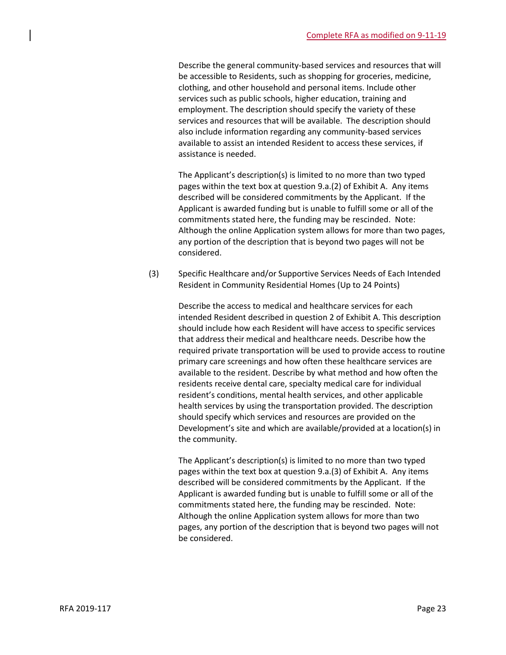Describe the general community-based services and resources that will be accessible to Residents, such as shopping for groceries, medicine, clothing, and other household and personal items. Include other services such as public schools, higher education, training and employment. The description should specify the variety of these services and resources that will be available. The description should also include information regarding any community-based services available to assist an intended Resident to access these services, if assistance is needed.

The Applicant's description(s) is limited to no more than two typed pages within the text box at question 9.a.(2) of Exhibit A. Any items described will be considered commitments by the Applicant. If the Applicant is awarded funding but is unable to fulfill some or all of the commitments stated here, the funding may be rescinded. Note: Although the online Application system allows for more than two pages, any portion of the description that is beyond two pages will not be considered.

(3) Specific Healthcare and/or Supportive Services Needs of Each Intended Resident in Community Residential Homes (Up to 24 Points)

> Describe the access to medical and healthcare services for each intended Resident described in question 2 of Exhibit A. This description should include how each Resident will have access to specific services that address their medical and healthcare needs. Describe how the required private transportation will be used to provide access to routine primary care screenings and how often these healthcare services are available to the resident. Describe by what method and how often the residents receive dental care, specialty medical care for individual resident's conditions, mental health services, and other applicable health services by using the transportation provided. The description should specify which services and resources are provided on the Development's site and which are available/provided at a location(s) in the community.

The Applicant's description(s) is limited to no more than two typed pages within the text box at question 9.a.(3) of Exhibit A. Any items described will be considered commitments by the Applicant. If the Applicant is awarded funding but is unable to fulfill some or all of the commitments stated here, the funding may be rescinded. Note: Although the online Application system allows for more than two pages, any portion of the description that is beyond two pages will not be considered.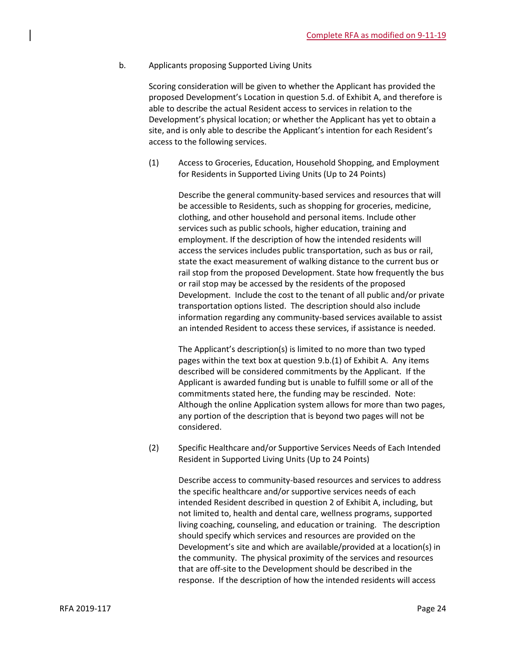b. Applicants proposing Supported Living Units

Scoring consideration will be given to whether the Applicant has provided the proposed Development's Location in question 5.d. of Exhibit A, and therefore is able to describe the actual Resident access to services in relation to the Development's physical location; or whether the Applicant has yet to obtain a site, and is only able to describe the Applicant's intention for each Resident's access to the following services.

(1) Access to Groceries, Education, Household Shopping, and Employment for Residents in Supported Living Units (Up to 24 Points)

> Describe the general community-based services and resources that will be accessible to Residents, such as shopping for groceries, medicine, clothing, and other household and personal items. Include other services such as public schools, higher education, training and employment. If the description of how the intended residents will access the services includes public transportation, such as bus or rail, state the exact measurement of walking distance to the current bus or rail stop from the proposed Development. State how frequently the bus or rail stop may be accessed by the residents of the proposed Development. Include the cost to the tenant of all public and/or private transportation options listed. The description should also include information regarding any community-based services available to assist an intended Resident to access these services, if assistance is needed.

> The Applicant's description(s) is limited to no more than two typed pages within the text box at question 9.b.(1) of Exhibit A. Any items described will be considered commitments by the Applicant. If the Applicant is awarded funding but is unable to fulfill some or all of the commitments stated here, the funding may be rescinded. Note: Although the online Application system allows for more than two pages, any portion of the description that is beyond two pages will not be considered.

(2) Specific Healthcare and/or Supportive Services Needs of Each Intended Resident in Supported Living Units (Up to 24 Points)

> Describe access to community-based resources and services to address the specific healthcare and/or supportive services needs of each intended Resident described in question 2 of Exhibit A, including, but not limited to, health and dental care, wellness programs, supported living coaching, counseling, and education or training. The description should specify which services and resources are provided on the Development's site and which are available/provided at a location(s) in the community. The physical proximity of the services and resources that are off-site to the Development should be described in the response. If the description of how the intended residents will access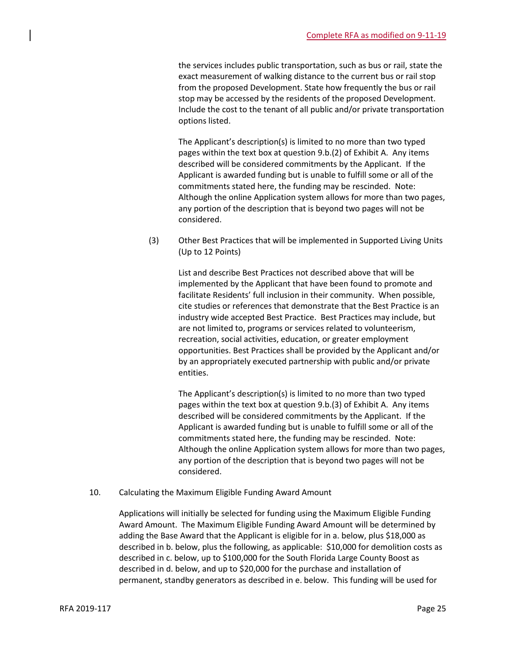the services includes public transportation, such as bus or rail, state the exact measurement of walking distance to the current bus or rail stop from the proposed Development. State how frequently the bus or rail stop may be accessed by the residents of the proposed Development. Include the cost to the tenant of all public and/or private transportation options listed.

The Applicant's description(s) is limited to no more than two typed pages within the text box at question 9.b.(2) of Exhibit A. Any items described will be considered commitments by the Applicant. If the Applicant is awarded funding but is unable to fulfill some or all of the commitments stated here, the funding may be rescinded. Note: Although the online Application system allows for more than two pages, any portion of the description that is beyond two pages will not be considered.

(3) Other Best Practices that will be implemented in Supported Living Units (Up to 12 Points)

> List and describe Best Practices not described above that will be implemented by the Applicant that have been found to promote and facilitate Residents' full inclusion in their community. When possible, cite studies or references that demonstrate that the Best Practice is an industry wide accepted Best Practice. Best Practices may include, but are not limited to, programs or services related to volunteerism, recreation, social activities, education, or greater employment opportunities. Best Practices shall be provided by the Applicant and/or by an appropriately executed partnership with public and/or private entities.

The Applicant's description(s) is limited to no more than two typed pages within the text box at question 9.b.(3) of Exhibit A. Any items described will be considered commitments by the Applicant. If the Applicant is awarded funding but is unable to fulfill some or all of the commitments stated here, the funding may be rescinded. Note: Although the online Application system allows for more than two pages, any portion of the description that is beyond two pages will not be considered.

10. Calculating the Maximum Eligible Funding Award Amount

Applications will initially be selected for funding using the Maximum Eligible Funding Award Amount. The Maximum Eligible Funding Award Amount will be determined by adding the Base Award that the Applicant is eligible for in a. below, plus \$18,000 as described in b. below, plus the following, as applicable: \$10,000 for demolition costs as described in c. below, up to \$100,000 for the South Florida Large County Boost as described in d. below, and up to \$20,000 for the purchase and installation of permanent, standby generators as described in e. below. This funding will be used for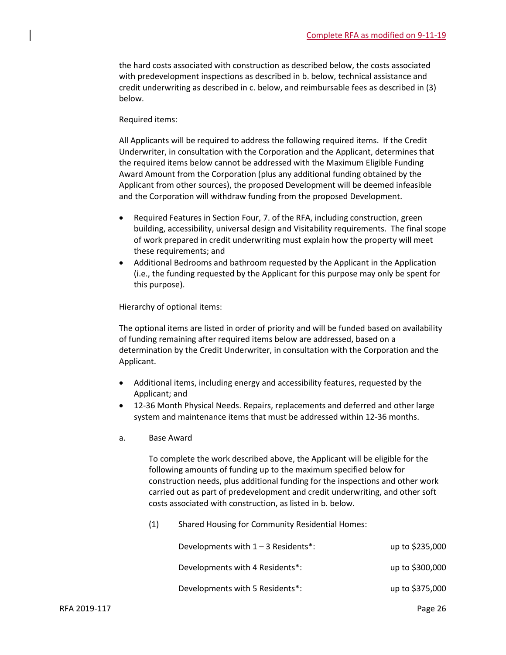the hard costs associated with construction as described below, the costs associated with predevelopment inspections as described in b. below, technical assistance and credit underwriting as described in c. below, and reimbursable fees as described in (3) below.

#### Required items:

All Applicants will be required to address the following required items. If the Credit Underwriter, in consultation with the Corporation and the Applicant, determines that the required items below cannot be addressed with the Maximum Eligible Funding Award Amount from the Corporation (plus any additional funding obtained by the Applicant from other sources), the proposed Development will be deemed infeasible and the Corporation will withdraw funding from the proposed Development.

- Required Features in Section Four, 7. of the RFA, including construction, green building, accessibility, universal design and Visitability requirements. The final scope of work prepared in credit underwriting must explain how the property will meet these requirements; and
- Additional Bedrooms and bathroom requested by the Applicant in the Application (i.e., the funding requested by the Applicant for this purpose may only be spent for this purpose).

Hierarchy of optional items:

The optional items are listed in order of priority and will be funded based on availability of funding remaining after required items below are addressed, based on a determination by the Credit Underwriter, in consultation with the Corporation and the Applicant.

- Additional items, including energy and accessibility features, requested by the Applicant; and
- 12-36 Month Physical Needs. Repairs, replacements and deferred and other large system and maintenance items that must be addressed within 12-36 months.
- a. Base Award

To complete the work described above, the Applicant will be eligible for the following amounts of funding up to the maximum specified below for construction needs, plus additional funding for the inspections and other work carried out as part of predevelopment and credit underwriting, and other soft costs associated with construction, as listed in b. below.

(1) Shared Housing for Community Residential Homes:

| Developments with $1 - 3$ Residents*: | up to \$235,000 |
|---------------------------------------|-----------------|
| Developments with 4 Residents*:       | up to \$300,000 |
| Developments with 5 Residents*:       | up to \$375,000 |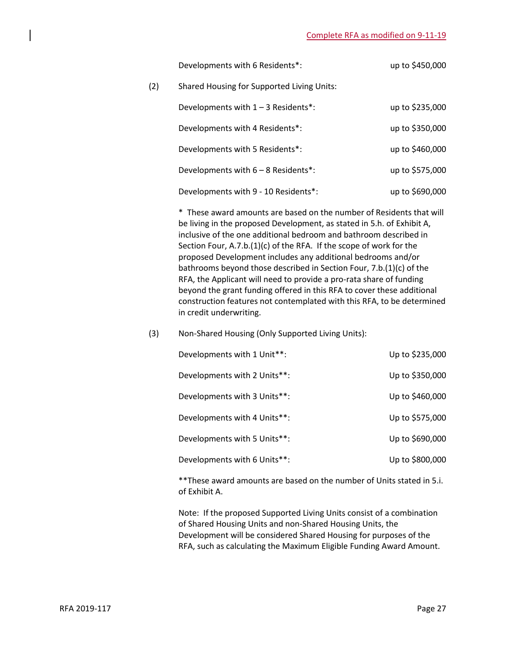|     | Developments with 6 Residents*:            | up to \$450,000 |
|-----|--------------------------------------------|-----------------|
| (2) | Shared Housing for Supported Living Units: |                 |
|     | Developments with $1 - 3$ Residents*:      | up to \$235,000 |
|     | Developments with 4 Residents*:            | up to \$350,000 |
|     | Developments with 5 Residents*:            | up to \$460,000 |
|     | Developments with 6 - 8 Residents*:        | up to \$575,000 |
|     | Developments with 9 - 10 Residents*:       | up to \$690,000 |

\* These award amounts are based on the number of Residents that will be living in the proposed Development, as stated in 5.h. of Exhibit A, inclusive of the one additional bedroom and bathroom described in Section Four, A.7.b.(1)(c) of the RFA. If the scope of work for the proposed Development includes any additional bedrooms and/or bathrooms beyond those described in Section Four, 7.b.(1)(c) of the RFA, the Applicant will need to provide a pro-rata share of funding beyond the grant funding offered in this RFA to cover these additional construction features not contemplated with this RFA, to be determined in credit underwriting.

## (3) Non-Shared Housing (Only Supported Living Units):

| Up to \$235,000 |
|-----------------|
| Up to \$350,000 |
| Up to \$460,000 |
| Up to \$575,000 |
| Up to \$690,000 |
| Up to \$800,000 |
|                 |

\*\*These award amounts are based on the number of Units stated in 5.i. of Exhibit A.

Note: If the proposed Supported Living Units consist of a combination of Shared Housing Units and non-Shared Housing Units, the Development will be considered Shared Housing for purposes of the RFA, such as calculating the Maximum Eligible Funding Award Amount.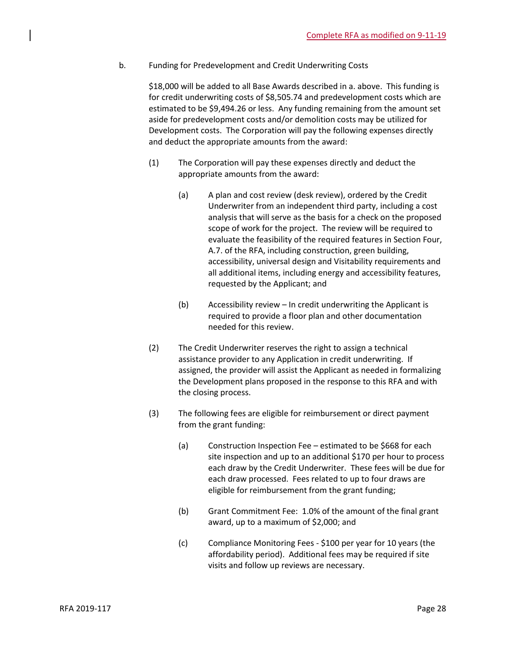b. Funding for Predevelopment and Credit Underwriting Costs

\$18,000 will be added to all Base Awards described in a. above. This funding is for credit underwriting costs of \$8,505.74 and predevelopment costs which are estimated to be \$9,494.26 or less. Any funding remaining from the amount set aside for predevelopment costs and/or demolition costs may be utilized for Development costs. The Corporation will pay the following expenses directly and deduct the appropriate amounts from the award:

- (1) The Corporation will pay these expenses directly and deduct the appropriate amounts from the award:
	- (a) A plan and cost review (desk review), ordered by the Credit Underwriter from an independent third party, including a cost analysis that will serve as the basis for a check on the proposed scope of work for the project. The review will be required to evaluate the feasibility of the required features in Section Four, A.7. of the RFA, including construction, green building, accessibility, universal design and Visitability requirements and all additional items, including energy and accessibility features, requested by the Applicant; and
	- (b) Accessibility review In credit underwriting the Applicant is required to provide a floor plan and other documentation needed for this review.
- (2) The Credit Underwriter reserves the right to assign a technical assistance provider to any Application in credit underwriting. If assigned, the provider will assist the Applicant as needed in formalizing the Development plans proposed in the response to this RFA and with the closing process.
- (3) The following fees are eligible for reimbursement or direct payment from the grant funding:
	- (a) Construction Inspection Fee estimated to be \$668 for each site inspection and up to an additional \$170 per hour to process each draw by the Credit Underwriter. These fees will be due for each draw processed. Fees related to up to four draws are eligible for reimbursement from the grant funding;
	- (b) Grant Commitment Fee: 1.0% of the amount of the final grant award, up to a maximum of \$2,000; and
	- (c) Compliance Monitoring Fees \$100 per year for 10 years (the affordability period). Additional fees may be required if site visits and follow up reviews are necessary.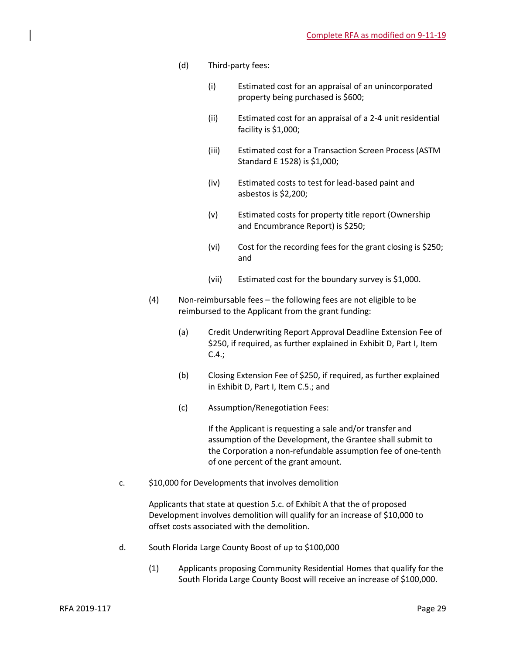- (d) Third-party fees:
	- (i) Estimated cost for an appraisal of an unincorporated property being purchased is \$600;
	- (ii) Estimated cost for an appraisal of a 2-4 unit residential facility is \$1,000;
	- (iii) Estimated cost for a Transaction Screen Process (ASTM Standard E 1528) is \$1,000;
	- (iv) Estimated costs to test for lead-based paint and asbestos is \$2,200;
	- (v) Estimated costs for property title report (Ownership and Encumbrance Report) is \$250;
	- (vi) Cost for the recording fees for the grant closing is \$250; and
	- (vii) Estimated cost for the boundary survey is \$1,000.
- (4) Non-reimbursable fees the following fees are not eligible to be reimbursed to the Applicant from the grant funding:
	- (a) Credit Underwriting Report Approval Deadline Extension Fee of \$250, if required, as further explained in Exhibit D, Part I, Item C.4.;
	- (b) Closing Extension Fee of \$250, if required, as further explained in Exhibit D, Part I, Item C.5.; and
	- (c) Assumption/Renegotiation Fees:

If the Applicant is requesting a sale and/or transfer and assumption of the Development, the Grantee shall submit to the Corporation a non-refundable assumption fee of one-tenth of one percent of the grant amount.

c. \$10,000 for Developments that involves demolition

Applicants that state at question 5.c. of Exhibit A that the of proposed Development involves demolition will qualify for an increase of \$10,000 to offset costs associated with the demolition.

- d. South Florida Large County Boost of up to \$100,000
	- (1) Applicants proposing Community Residential Homes that qualify for the South Florida Large County Boost will receive an increase of \$100,000.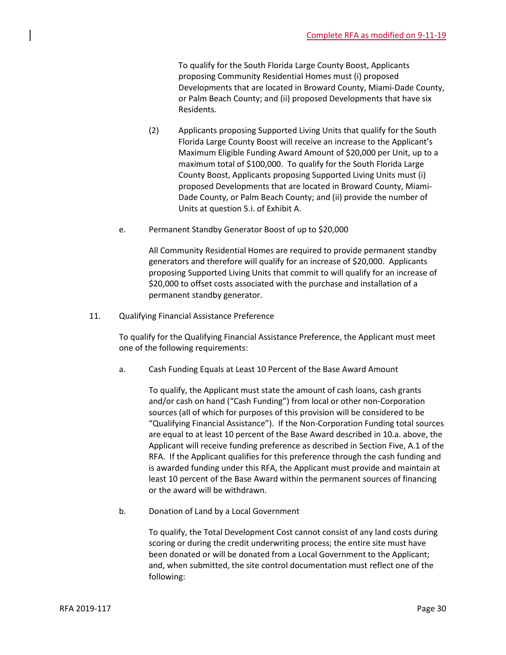To qualify for the South Florida Large County Boost, Applicants proposing Community Residential Homes must (i) proposed Developments that are located in Broward County, Miami-Dade County, or Palm Beach County; and (ii) proposed Developments that have six Residents.

- (2) Applicants proposing Supported Living Units that qualify for the South Florida Large County Boost will receive an increase to the Applicant's Maximum Eligible Funding Award Amount of \$20,000 per Unit, up to a maximum total of \$100,000. To qualify for the South Florida Large County Boost, Applicants proposing Supported Living Units must (i) proposed Developments that are located in Broward County, Miami-Dade County, or Palm Beach County; and (ii) provide the number of Units at question 5.i. of Exhibit A.
- e. Permanent Standby Generator Boost of up to \$20,000

All Community Residential Homes are required to provide permanent standby generators and therefore will qualify for an increase of \$20,000. Applicants proposing Supported Living Units that commit to will qualify for an increase of \$20,000 to offset costs associated with the purchase and installation of a permanent standby generator.

11. Qualifying Financial Assistance Preference

To qualify for the Qualifying Financial Assistance Preference, the Applicant must meet one of the following requirements:

a. Cash Funding Equals at Least 10 Percent of the Base Award Amount

To qualify, the Applicant must state the amount of cash loans, cash grants and/or cash on hand ("Cash Funding") from local or other non-Corporation sources (all of which for purposes of this provision will be considered to be "Qualifying Financial Assistance"). If the Non-Corporation Funding total sources are equal to at least 10 percent of the Base Award described in 10.a. above, the Applicant will receive funding preference as described in Section Five, A.1 of the RFA. If the Applicant qualifies for this preference through the cash funding and is awarded funding under this RFA, the Applicant must provide and maintain at least 10 percent of the Base Award within the permanent sources of financing or the award will be withdrawn.

b. Donation of Land by a Local Government

To qualify, the Total Development Cost cannot consist of any land costs during scoring or during the credit underwriting process; the entire site must have been donated or will be donated from a Local Government to the Applicant; and, when submitted, the site control documentation must reflect one of the following: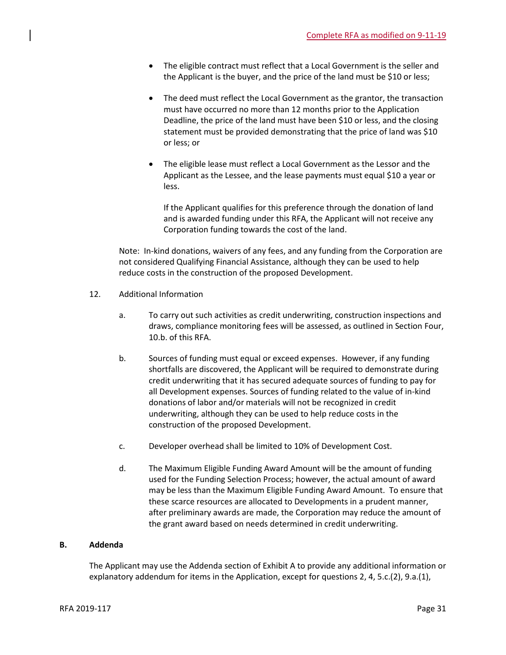- The eligible contract must reflect that a Local Government is the seller and the Applicant is the buyer, and the price of the land must be \$10 or less;
- The deed must reflect the Local Government as the grantor, the transaction must have occurred no more than 12 months prior to the Application Deadline, the price of the land must have been \$10 or less, and the closing statement must be provided demonstrating that the price of land was \$10 or less; or
- The eligible lease must reflect a Local Government as the Lessor and the Applicant as the Lessee, and the lease payments must equal \$10 a year or less.

If the Applicant qualifies for this preference through the donation of land and is awarded funding under this RFA, the Applicant will not receive any Corporation funding towards the cost of the land.

Note: In-kind donations, waivers of any fees, and any funding from the Corporation are not considered Qualifying Financial Assistance, although they can be used to help reduce costs in the construction of the proposed Development.

- 12. Additional Information
	- a. To carry out such activities as credit underwriting, construction inspections and draws, compliance monitoring fees will be assessed, as outlined in Section Four, 10.b. of this RFA.
	- b. Sources of funding must equal or exceed expenses. However, if any funding shortfalls are discovered, the Applicant will be required to demonstrate during credit underwriting that it has secured adequate sources of funding to pay for all Development expenses. Sources of funding related to the value of in-kind donations of labor and/or materials will not be recognized in credit underwriting, although they can be used to help reduce costs in the construction of the proposed Development.
	- c. Developer overhead shall be limited to 10% of Development Cost.
	- d. The Maximum Eligible Funding Award Amount will be the amount of funding used for the Funding Selection Process; however, the actual amount of award may be less than the Maximum Eligible Funding Award Amount. To ensure that these scarce resources are allocated to Developments in a prudent manner, after preliminary awards are made, the Corporation may reduce the amount of the grant award based on needs determined in credit underwriting.

## **B. Addenda**

The Applicant may use the Addenda section of Exhibit A to provide any additional information or explanatory addendum for items in the Application, except for questions 2, 4, 5.c.(2), 9.a.(1),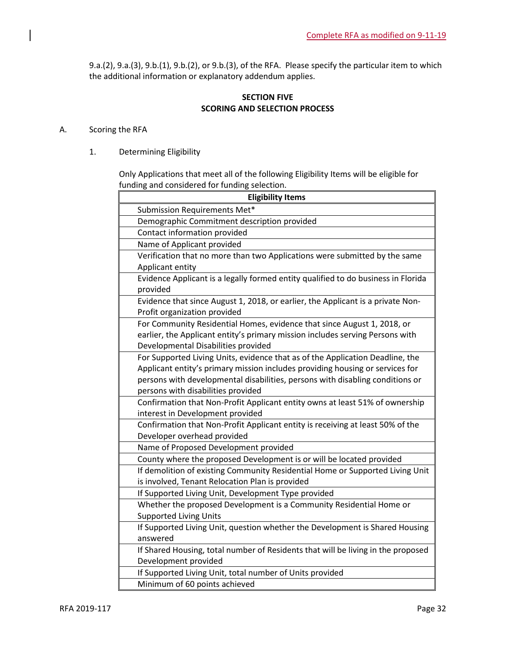9.a.(2), 9.a.(3), 9.b.(1), 9.b.(2), or 9.b.(3), of the RFA. Please specify the particular item to which the additional information or explanatory addendum applies.

## **SECTION FIVE SCORING AND SELECTION PROCESS**

## A. Scoring the RFA

1. Determining Eligibility

Only Applications that meet all of the following Eligibility Items will be eligible for funding and considered for funding selection.

| <b>Eligibility Items</b>                                                          |
|-----------------------------------------------------------------------------------|
| Submission Requirements Met*                                                      |
| Demographic Commitment description provided                                       |
| Contact information provided                                                      |
| Name of Applicant provided                                                        |
| Verification that no more than two Applications were submitted by the same        |
| Applicant entity                                                                  |
| Evidence Applicant is a legally formed entity qualified to do business in Florida |
| provided                                                                          |
| Evidence that since August 1, 2018, or earlier, the Applicant is a private Non-   |
| Profit organization provided                                                      |
| For Community Residential Homes, evidence that since August 1, 2018, or           |
| earlier, the Applicant entity's primary mission includes serving Persons with     |
| Developmental Disabilities provided                                               |
| For Supported Living Units, evidence that as of the Application Deadline, the     |
| Applicant entity's primary mission includes providing housing or services for     |
| persons with developmental disabilities, persons with disabling conditions or     |
| persons with disabilities provided                                                |
| Confirmation that Non-Profit Applicant entity owns at least 51% of ownership      |
| interest in Development provided                                                  |
| Confirmation that Non-Profit Applicant entity is receiving at least 50% of the    |
| Developer overhead provided                                                       |
| Name of Proposed Development provided                                             |
| County where the proposed Development is or will be located provided              |
| If demolition of existing Community Residential Home or Supported Living Unit     |
| is involved, Tenant Relocation Plan is provided                                   |
| If Supported Living Unit, Development Type provided                               |
| Whether the proposed Development is a Community Residential Home or               |
| <b>Supported Living Units</b>                                                     |
| If Supported Living Unit, question whether the Development is Shared Housing      |
| answered                                                                          |
| If Shared Housing, total number of Residents that will be living in the proposed  |
| Development provided                                                              |
| If Supported Living Unit, total number of Units provided                          |
| Minimum of 60 points achieved                                                     |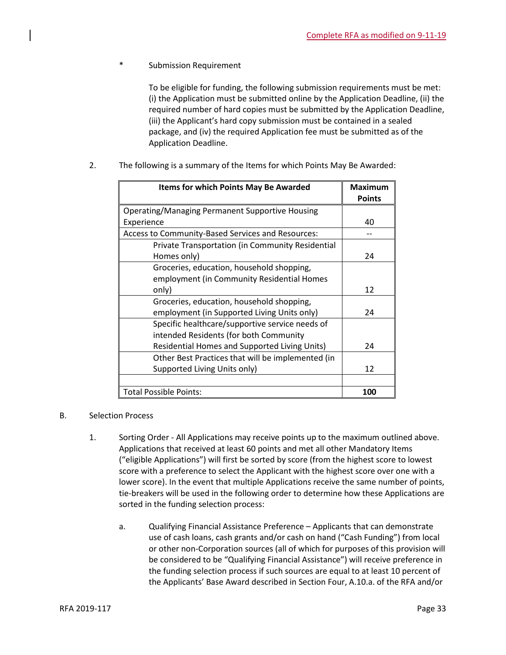Submission Requirement

To be eligible for funding, the following submission requirements must be met: (i) the Application must be submitted online by the Application Deadline, (ii) the required number of hard copies must be submitted by the Application Deadline, (iii) the Applicant's hard copy submission must be contained in a sealed package, and (iv) the required Application fee must be submitted as of the Application Deadline.

2. The following is a summary of the Items for which Points May Be Awarded:

| <b>Items for which Points May Be Awarded</b>           | <b>Maximum</b> |
|--------------------------------------------------------|----------------|
|                                                        | <b>Points</b>  |
| <b>Operating/Managing Permanent Supportive Housing</b> |                |
| Experience                                             | 40             |
| Access to Community-Based Services and Resources:      |                |
| Private Transportation (in Community Residential       |                |
| Homes only)                                            | 24             |
| Groceries, education, household shopping,              |                |
| employment (in Community Residential Homes             |                |
| only)                                                  | 12             |
| Groceries, education, household shopping,              |                |
| employment (in Supported Living Units only)            | 24             |
| Specific healthcare/supportive service needs of        |                |
| intended Residents (for both Community                 |                |
| Residential Homes and Supported Living Units)          | 24             |
| Other Best Practices that will be implemented (in      |                |
| Supported Living Units only)                           | 12             |
|                                                        |                |
| <b>Total Possible Points:</b>                          | 100            |

## B. Selection Process

- 1. Sorting Order All Applications may receive points up to the maximum outlined above. Applications that received at least 60 points and met all other Mandatory Items ("eligible Applications") will first be sorted by score (from the highest score to lowest score with a preference to select the Applicant with the highest score over one with a lower score). In the event that multiple Applications receive the same number of points, tie-breakers will be used in the following order to determine how these Applications are sorted in the funding selection process:
	- a. Qualifying Financial Assistance Preference Applicants that can demonstrate use of cash loans, cash grants and/or cash on hand ("Cash Funding") from local or other non-Corporation sources (all of which for purposes of this provision will be considered to be "Qualifying Financial Assistance") will receive preference in the funding selection process if such sources are equal to at least 10 percent of the Applicants' Base Award described in Section Four, A.10.a. of the RFA and/or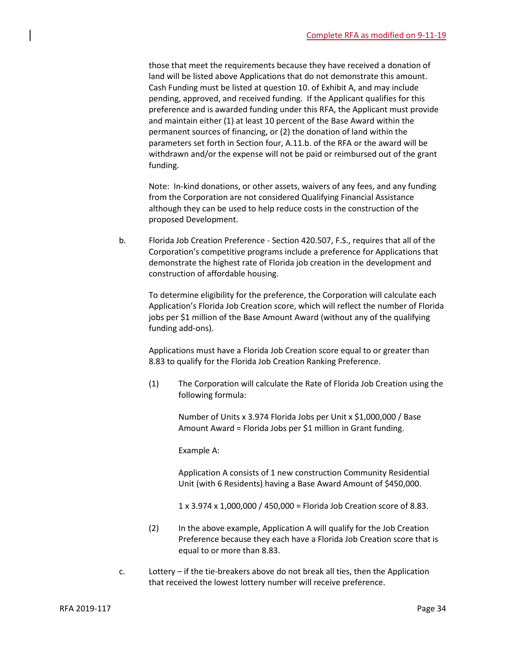those that meet the requirements because they have received a donation of land will be listed above Applications that do not demonstrate this amount. Cash Funding must be listed at question 10. of Exhibit A, and may include pending, approved, and received funding. If the Applicant qualifies for this preference and is awarded funding under this RFA, the Applicant must provide and maintain either (1) at least 10 percent of the Base Award within the permanent sources of financing, or (2) the donation of land within the parameters set forth in Section four, A.11.b. of the RFA or the award will be withdrawn and/or the expense will not be paid or reimbursed out of the grant funding.

Note: In-kind donations, or other assets, waivers of any fees, and any funding from the Corporation are not considered Qualifying Financial Assistance although they can be used to help reduce costs in the construction of the proposed Development.

b. Florida Job Creation Preference - Section 420.507, F.S., requires that all of the Corporation's competitive programs include a preference for Applications that demonstrate the highest rate of Florida job creation in the development and construction of affordable housing.

To determine eligibility for the preference, the Corporation will calculate each Application's Florida Job Creation score, which will reflect the number of Florida jobs per \$1 million of the Base Amount Award (without any of the qualifying funding add-ons).

Applications must have a Florida Job Creation score equal to or greater than 8.83 to qualify for the Florida Job Creation Ranking Preference.

(1) The Corporation will calculate the Rate of Florida Job Creation using the following formula:

Number of Units x 3.974 Florida Jobs per Unit x \$1,000,000 / Base Amount Award = Florida Jobs per \$1 million in Grant funding.

Example A:

Application A consists of 1 new construction Community Residential Unit (with 6 Residents) having a Base Award Amount of \$450,000.

1 x 3.974 x 1,000,000 / 450,000 = Florida Job Creation score of 8.83.

- (2) In the above example, Application A will qualify for the Job Creation Preference because they each have a Florida Job Creation score that is equal to or more than 8.83.
- c. Lottery if the tie-breakers above do not break all ties, then the Application that received the lowest lottery number will receive preference.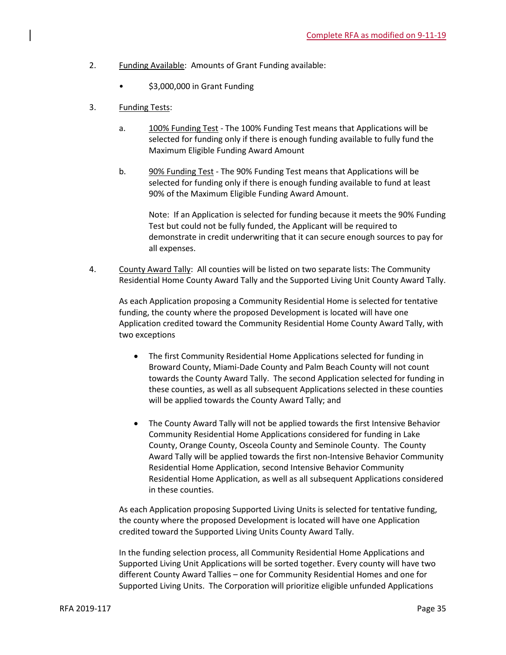- 2. Funding Available: Amounts of Grant Funding available:
	- \$3,000,000 in Grant Funding
- 3. Funding Tests:
	- a. 100% Funding Test The 100% Funding Test means that Applications will be selected for funding only if there is enough funding available to fully fund the Maximum Eligible Funding Award Amount
	- b. 90% Funding Test The 90% Funding Test means that Applications will be selected for funding only if there is enough funding available to fund at least 90% of the Maximum Eligible Funding Award Amount.

Note: If an Application is selected for funding because it meets the 90% Funding Test but could not be fully funded, the Applicant will be required to demonstrate in credit underwriting that it can secure enough sources to pay for all expenses.

4. County Award Tally: All counties will be listed on two separate lists: The Community Residential Home County Award Tally and the Supported Living Unit County Award Tally.

As each Application proposing a Community Residential Home is selected for tentative funding, the county where the proposed Development is located will have one Application credited toward the Community Residential Home County Award Tally, with two exceptions

- The first Community Residential Home Applications selected for funding in Broward County, Miami-Dade County and Palm Beach County will not count towards the County Award Tally. The second Application selected for funding in these counties, as well as all subsequent Applications selected in these counties will be applied towards the County Award Tally; and
- The County Award Tally will not be applied towards the first Intensive Behavior Community Residential Home Applications considered for funding in Lake County, Orange County, Osceola County and Seminole County. The County Award Tally will be applied towards the first non-Intensive Behavior Community Residential Home Application, second Intensive Behavior Community Residential Home Application, as well as all subsequent Applications considered in these counties.

As each Application proposing Supported Living Units is selected for tentative funding, the county where the proposed Development is located will have one Application credited toward the Supported Living Units County Award Tally.

In the funding selection process, all Community Residential Home Applications and Supported Living Unit Applications will be sorted together. Every county will have two different County Award Tallies – one for Community Residential Homes and one for Supported Living Units. The Corporation will prioritize eligible unfunded Applications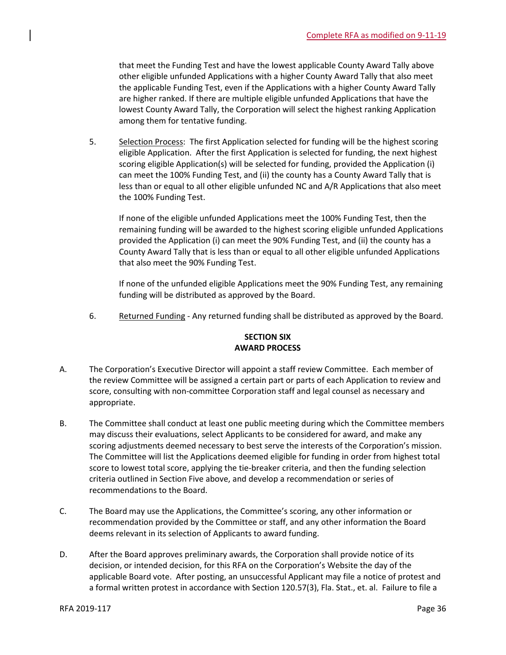that meet the Funding Test and have the lowest applicable County Award Tally above other eligible unfunded Applications with a higher County Award Tally that also meet the applicable Funding Test, even if the Applications with a higher County Award Tally are higher ranked. If there are multiple eligible unfunded Applications that have the lowest County Award Tally, the Corporation will select the highest ranking Application among them for tentative funding.

5. Selection Process: The first Application selected for funding will be the highest scoring eligible Application. After the first Application is selected for funding, the next highest scoring eligible Application(s) will be selected for funding, provided the Application (i) can meet the 100% Funding Test, and (ii) the county has a County Award Tally that is less than or equal to all other eligible unfunded NC and A/R Applications that also meet the 100% Funding Test.

If none of the eligible unfunded Applications meet the 100% Funding Test, then the remaining funding will be awarded to the highest scoring eligible unfunded Applications provided the Application (i) can meet the 90% Funding Test, and (ii) the county has a County Award Tally that is less than or equal to all other eligible unfunded Applications that also meet the 90% Funding Test.

If none of the unfunded eligible Applications meet the 90% Funding Test, any remaining funding will be distributed as approved by the Board.

6. Returned Funding - Any returned funding shall be distributed as approved by the Board.

## **SECTION SIX AWARD PROCESS**

- A. The Corporation's Executive Director will appoint a staff review Committee. Each member of the review Committee will be assigned a certain part or parts of each Application to review and score, consulting with non-committee Corporation staff and legal counsel as necessary and appropriate.
- B. The Committee shall conduct at least one public meeting during which the Committee members may discuss their evaluations, select Applicants to be considered for award, and make any scoring adjustments deemed necessary to best serve the interests of the Corporation's mission. The Committee will list the Applications deemed eligible for funding in order from highest total score to lowest total score, applying the tie-breaker criteria, and then the funding selection criteria outlined in Section Five above, and develop a recommendation or series of recommendations to the Board.
- C. The Board may use the Applications, the Committee's scoring, any other information or recommendation provided by the Committee or staff, and any other information the Board deems relevant in its selection of Applicants to award funding.
- D. After the Board approves preliminary awards, the Corporation shall provide notice of its decision, or intended decision, for this RFA on the Corporation's Website the day of the applicable Board vote. After posting, an unsuccessful Applicant may file a notice of protest and a formal written protest in accordance with Section 120.57(3), Fla. Stat., et. al. Failure to file a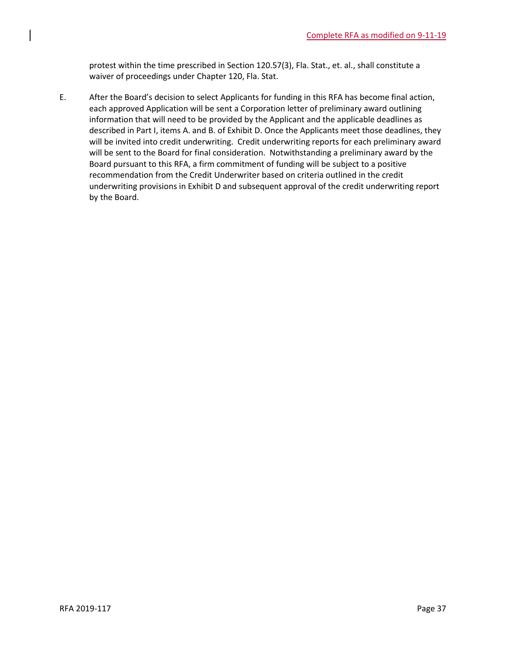protest within the time prescribed in Section 120.57(3), Fla. Stat., et. al., shall constitute a waiver of proceedings under Chapter 120, Fla. Stat.

E. After the Board's decision to select Applicants for funding in this RFA has become final action, each approved Application will be sent a Corporation letter of preliminary award outlining information that will need to be provided by the Applicant and the applicable deadlines as described in Part I, items A. and B. of Exhibit D. Once the Applicants meet those deadlines, they will be invited into credit underwriting. Credit underwriting reports for each preliminary award will be sent to the Board for final consideration. Notwithstanding a preliminary award by the Board pursuant to this RFA, a firm commitment of funding will be subject to a positive recommendation from the Credit Underwriter based on criteria outlined in the credit underwriting provisions in Exhibit D and subsequent approval of the credit underwriting report by the Board.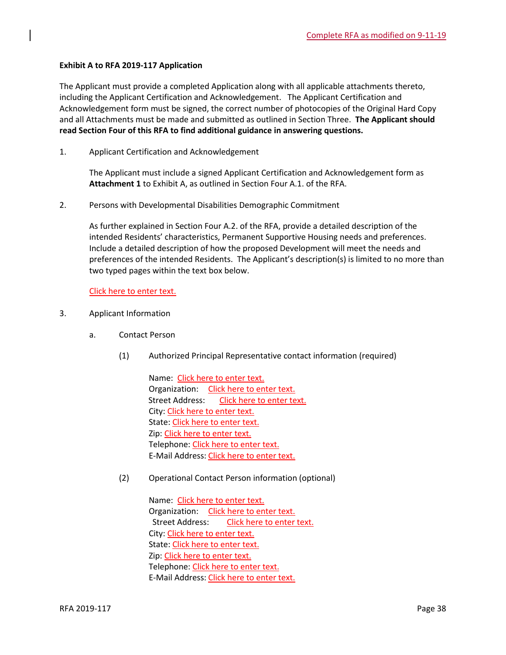## **Exhibit A to RFA 2019-117 Application**

The Applicant must provide a completed Application along with all applicable attachments thereto, including the Applicant Certification and Acknowledgement. The Applicant Certification and Acknowledgement form must be signed, the correct number of photocopies of the Original Hard Copy and all Attachments must be made and submitted as outlined in Section Three. **The Applicant should read Section Four of this RFA to find additional guidance in answering questions.**

1. Applicant Certification and Acknowledgement

The Applicant must include a signed Applicant Certification and Acknowledgement form as **Attachment 1** to Exhibit A, as outlined in Section Four A.1. of the RFA.

2. Persons with Developmental Disabilities Demographic Commitment

As further explained in Section Four A.2. of the RFA, provide a detailed description of the intended Residents' characteristics, Permanent Supportive Housing needs and preferences. Include a detailed description of how the proposed Development will meet the needs and preferences of the intended Residents. The Applicant's description(s) is limited to no more than two typed pages within the text box below.

Click here to enter text.

- 3. Applicant Information
	- a. Contact Person
		- (1) Authorized Principal Representative contact information (required)

Name: Click here to enter text. Organization: Click here to enter text. Street Address: Click here to enter text. City: Click here to enter text. State: Click here to enter text. Zip: Click here to enter text. Telephone: Click here to enter text. E-Mail Address: Click here to enter text.

(2) Operational Contact Person information (optional)

Name: Click here to enter text. Organization: Click here to enter text. Street Address: Click here to enter text. City: Click here to enter text. State: Click here to enter text. Zip: Click here to enter text. Telephone: Click here to enter text. E-Mail Address: Click here to enter text.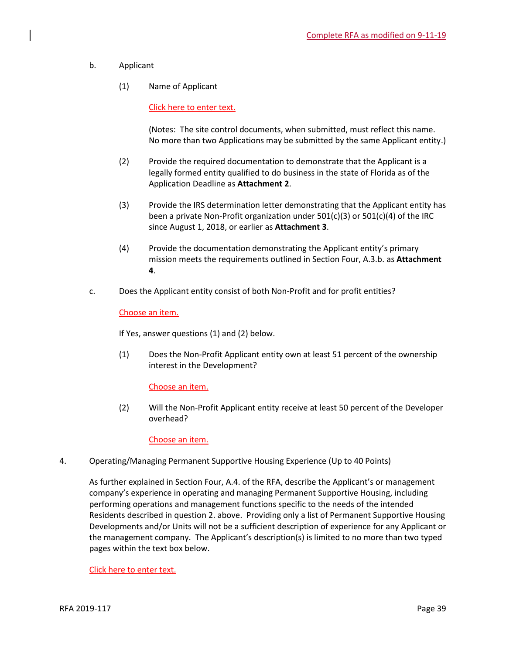- b. Applicant
	- (1) Name of Applicant

Click here to enter text.

(Notes: The site control documents, when submitted, must reflect this name. No more than two Applications may be submitted by the same Applicant entity.)

- (2) Provide the required documentation to demonstrate that the Applicant is a legally formed entity qualified to do business in the state of Florida as of the Application Deadline as **Attachment 2**.
- (3) Provide the IRS determination letter demonstrating that the Applicant entity has been a private Non-Profit organization under 501(c)(3) or 501(c)(4) of the IRC since August 1, 2018, or earlier as **Attachment 3**.
- (4) Provide the documentation demonstrating the Applicant entity's primary mission meets the requirements outlined in Section Four, A.3.b. as **Attachment 4**.
- c. Does the Applicant entity consist of both Non-Profit and for profit entities?

## Choose an item.

If Yes, answer questions (1) and (2) below.

(1) Does the Non-Profit Applicant entity own at least 51 percent of the ownership interest in the Development?

## Choose an item.

(2) Will the Non-Profit Applicant entity receive at least 50 percent of the Developer overhead?

Choose an item.

4. Operating/Managing Permanent Supportive Housing Experience (Up to 40 Points)

As further explained in Section Four, A.4. of the RFA, describe the Applicant's or management company's experience in operating and managing Permanent Supportive Housing, including performing operations and management functions specific to the needs of the intended Residents described in question 2. above. Providing only a list of Permanent Supportive Housing Developments and/or Units will not be a sufficient description of experience for any Applicant or the management company. The Applicant's description(s) is limited to no more than two typed pages within the text box below.

Click here to enter text.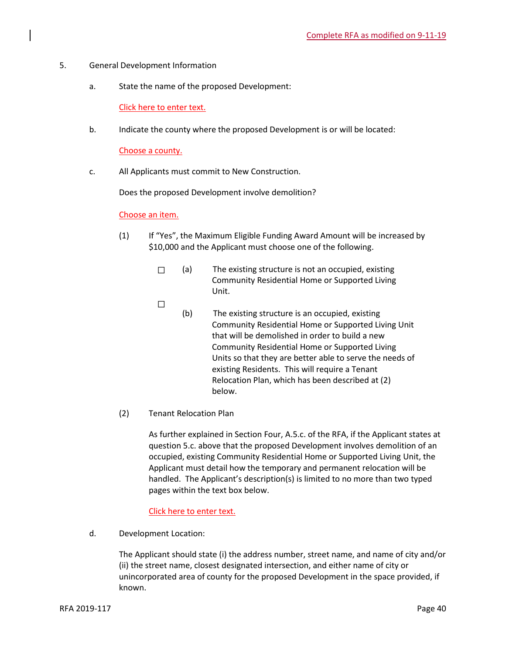- 5. General Development Information
	- a. State the name of the proposed Development:

Click here to enter text.

b. Indicate the county where the proposed Development is or will be located:

Choose a county.

c. All Applicants must commit to New Construction.

Does the proposed Development involve demolition?

## Choose an item.

- (1) If "Yes", the Maximum Eligible Funding Award Amount will be increased by \$10,000 and the Applicant must choose one of the following.
	- ☐ (a) The existing structure is not an occupied, existing Community Residential Home or Supported Living Unit.
	- ☐
- (b) The existing structure is an occupied, existing Community Residential Home or Supported Living Unit that will be demolished in order to build a new Community Residential Home or Supported Living Units so that they are better able to serve the needs of existing Residents. This will require a Tenant Relocation Plan, which has been described at (2) below.
- (2) Tenant Relocation Plan

As further explained in Section Four, A.5.c. of the RFA, if the Applicant states at question 5.c. above that the proposed Development involves demolition of an occupied, existing Community Residential Home or Supported Living Unit, the Applicant must detail how the temporary and permanent relocation will be handled. The Applicant's description(s) is limited to no more than two typed pages within the text box below.

## Click here to enter text.

d. Development Location:

The Applicant should state (i) the address number, street name, and name of city and/or (ii) the street name, closest designated intersection, and either name of city or unincorporated area of county for the proposed Development in the space provided, if known.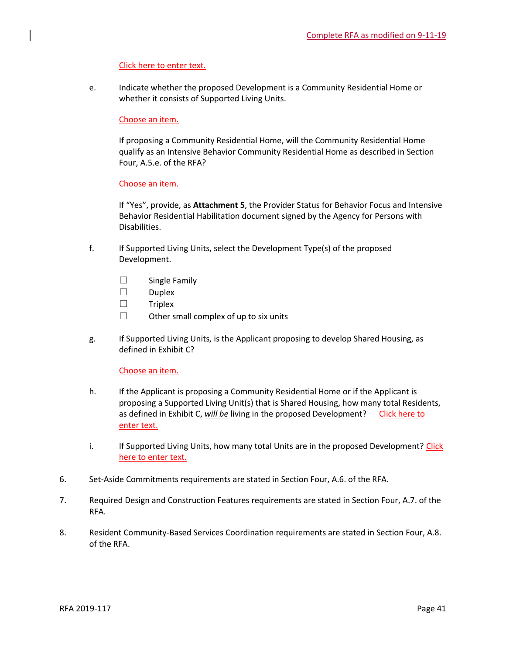## Click here to enter text.

e. Indicate whether the proposed Development is a Community Residential Home or whether it consists of Supported Living Units.

## Choose an item.

If proposing a Community Residential Home, will the Community Residential Home qualify as an Intensive Behavior Community Residential Home as described in Section Four, A.5.e. of the RFA?

## Choose an item.

If "Yes", provide, as **Attachment 5**, the Provider Status for Behavior Focus and Intensive Behavior Residential Habilitation document signed by the Agency for Persons with Disabilities.

- f. If Supported Living Units, select the Development Type(s) of the proposed Development.
	- ☐ Single Family
	- ☐ Duplex
	- ☐ Triplex
	- $\Box$  Other small complex of up to six units
- g. If Supported Living Units, is the Applicant proposing to develop Shared Housing, as defined in Exhibit C?

Choose an item.

- h. If the Applicant is proposing a Community Residential Home or if the Applicant is proposing a Supported Living Unit(s) that is Shared Housing, how many total Residents, as defined in Exhibit C, will be living in the proposed Development? Click here to enter text.
- i. If Supported Living Units, how many total Units are in the proposed Development? Click here to enter text.
- 6. Set-Aside Commitments requirements are stated in Section Four, A.6. of the RFA.
- 7. Required Design and Construction Features requirements are stated in Section Four, A.7. of the RFA.
- 8. Resident Community-Based Services Coordination requirements are stated in Section Four, A.8. of the RFA.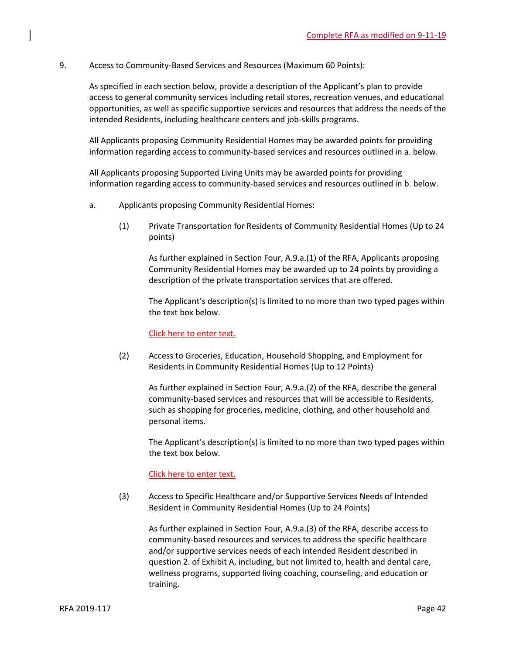9. Access to Community-Based Services and Resources (Maximum 60 Points):

As specified in each section below, provide a description of the Applicant's plan to provide access to general community services including retail stores, recreation venues, and educational opportunities, as well as specific supportive services and resources that address the needs of the intended Residents, including healthcare centers and job-skills programs.

All Applicants proposing Community Residential Homes may be awarded points for providing information regarding access to community-based services and resources outlined in a. below.

All Applicants proposing Supported Living Units may be awarded points for providing information regarding access to community-based services and resources outlined in b. below.

- a. Applicants proposing Community Residential Homes:
	- (1) Private Transportation for Residents of Community Residential Homes (Up to 24 points)

As further explained in Section Four, A.9.a.(1) of the RFA, Applicants proposing Community Residential Homes may be awarded up to 24 points by providing a description of the private transportation services that are offered.

The Applicant's description(s) is limited to no more than two typed pages within the text box below.

Click here to enter text.

(2) Access to Groceries, Education, Household Shopping, and Employment for Residents in Community Residential Homes (Up to 12 Points)

As further explained in Section Four, A.9.a.(2) of the RFA, describe the general community-based services and resources that will be accessible to Residents, such as shopping for groceries, medicine, clothing, and other household and personal items.

The Applicant's description(s) is limited to no more than two typed pages within the text box below.

## Click here to enter text.

(3) Access to Specific Healthcare and/or Supportive Services Needs of Intended Resident in Community Residential Homes (Up to 24 Points)

As further explained in Section Four, A.9.a.(3) of the RFA, describe access to community-based resources and services to address the specific healthcare and/or supportive services needs of each intended Resident described in question 2. of Exhibit A, including, but not limited to, health and dental care, wellness programs, supported living coaching, counseling, and education or training.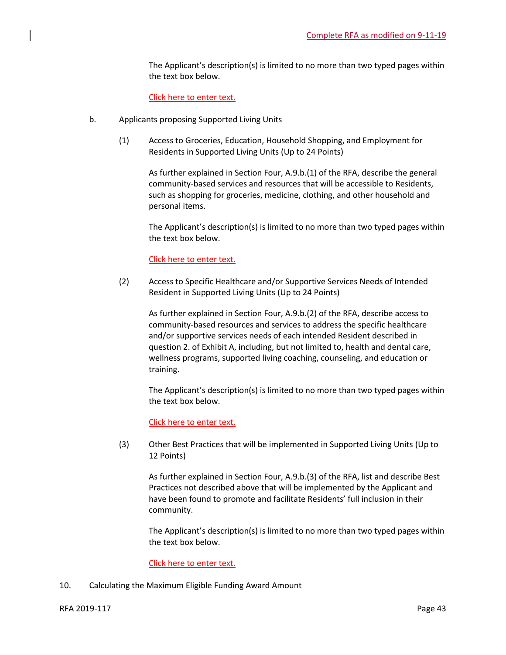The Applicant's description(s) is limited to no more than two typed pages within the text box below.

Click here to enter text.

- b. Applicants proposing Supported Living Units
	- (1) Access to Groceries, Education, Household Shopping, and Employment for Residents in Supported Living Units (Up to 24 Points)

As further explained in Section Four, A.9.b.(1) of the RFA, describe the general community-based services and resources that will be accessible to Residents, such as shopping for groceries, medicine, clothing, and other household and personal items.

The Applicant's description(s) is limited to no more than two typed pages within the text box below.

## Click here to enter text.

(2) Access to Specific Healthcare and/or Supportive Services Needs of Intended Resident in Supported Living Units (Up to 24 Points)

As further explained in Section Four, A.9.b.(2) of the RFA, describe access to community-based resources and services to address the specific healthcare and/or supportive services needs of each intended Resident described in question 2. of Exhibit A, including, but not limited to, health and dental care, wellness programs, supported living coaching, counseling, and education or training.

The Applicant's description(s) is limited to no more than two typed pages within the text box below.

## Click here to enter text.

(3) Other Best Practices that will be implemented in Supported Living Units (Up to 12 Points)

As further explained in Section Four, A.9.b.(3) of the RFA, list and describe Best Practices not described above that will be implemented by the Applicant and have been found to promote and facilitate Residents' full inclusion in their community.

The Applicant's description(s) is limited to no more than two typed pages within the text box below.

## Click here to enter text.

10. Calculating the Maximum Eligible Funding Award Amount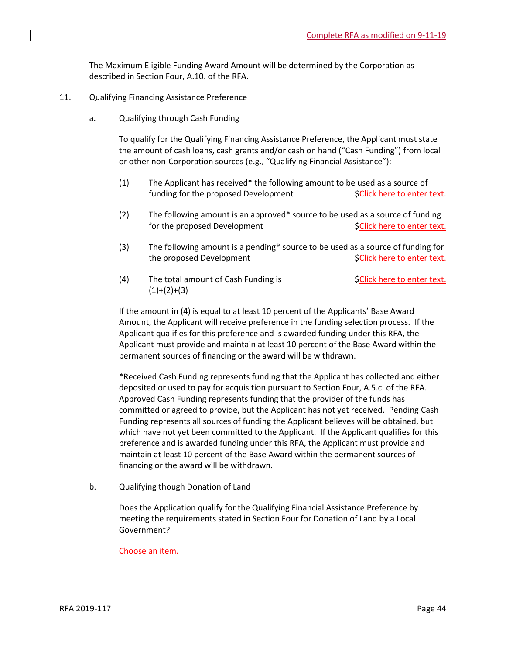The Maximum Eligible Funding Award Amount will be determined by the Corporation as described in Section Four, A.10. of the RFA.

- 11. Qualifying Financing Assistance Preference
	- a. Qualifying through Cash Funding

To qualify for the Qualifying Financing Assistance Preference, the Applicant must state the amount of cash loans, cash grants and/or cash on hand ("Cash Funding") from local or other non-Corporation sources (e.g., "Qualifying Financial Assistance"):

- (1) The Applicant has received\* the following amount to be used as a source of funding for the proposed Development \$Click here to enter text.
- (2) The following amount is an approved\* source to be used as a source of funding for the proposed Development  $\begin{aligned} \mathsf{S} \subset \mathsf{Click} \end{aligned}$  here to enter text.
- (3) The following amount is a pending\* source to be used as a source of funding for the proposed Development  $\mathsf{SClick}$  here to enter text.
- (4) The total amount of Cash Funding is  $\text{SClick here to enter text.}$  $(1)+(2)+(3)$

If the amount in (4) is equal to at least 10 percent of the Applicants' Base Award Amount, the Applicant will receive preference in the funding selection process. If the Applicant qualifies for this preference and is awarded funding under this RFA, the Applicant must provide and maintain at least 10 percent of the Base Award within the permanent sources of financing or the award will be withdrawn.

\*Received Cash Funding represents funding that the Applicant has collected and either deposited or used to pay for acquisition pursuant to Section Four, A.5.c. of the RFA. Approved Cash Funding represents funding that the provider of the funds has committed or agreed to provide, but the Applicant has not yet received. Pending Cash Funding represents all sources of funding the Applicant believes will be obtained, but which have not yet been committed to the Applicant. If the Applicant qualifies for this preference and is awarded funding under this RFA, the Applicant must provide and maintain at least 10 percent of the Base Award within the permanent sources of financing or the award will be withdrawn.

b. Qualifying though Donation of Land

Does the Application qualify for the Qualifying Financial Assistance Preference by meeting the requirements stated in Section Four for Donation of Land by a Local Government?

## Choose an item.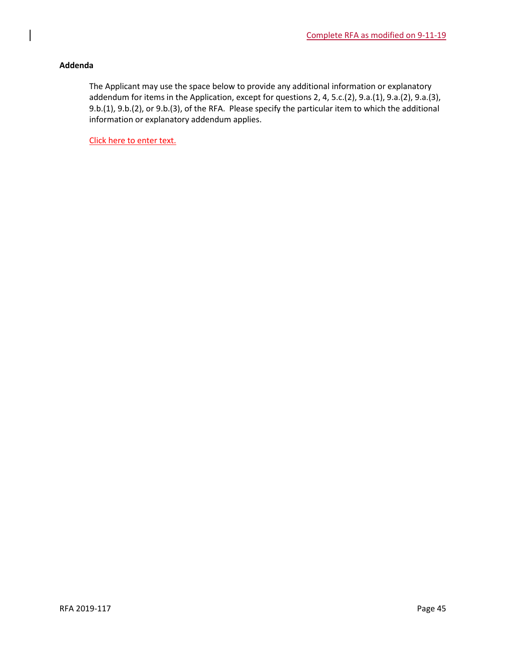## **Addenda**

The Applicant may use the space below to provide any additional information or explanatory addendum for items in the Application, except for questions 2, 4, 5.c.(2), 9.a.(1), 9.a.(2), 9.a.(3), 9.b.(1), 9.b.(2), or 9.b.(3), of the RFA. Please specify the particular item to which the additional information or explanatory addendum applies.

Click here to enter text.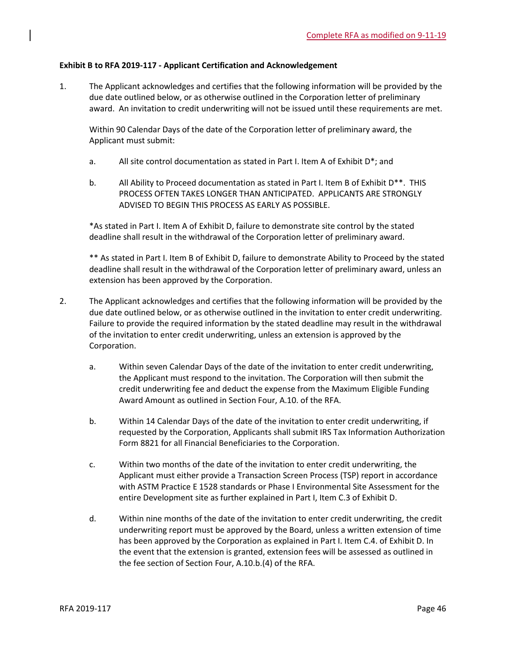## **Exhibit B to RFA 2019-117 - Applicant Certification and Acknowledgement**

1. The Applicant acknowledges and certifies that the following information will be provided by the due date outlined below, or as otherwise outlined in the Corporation letter of preliminary award. An invitation to credit underwriting will not be issued until these requirements are met.

Within 90 Calendar Days of the date of the Corporation letter of preliminary award, the Applicant must submit:

- a. All site control documentation as stated in Part I. Item A of Exhibit D\*; and
- b. All Ability to Proceed documentation as stated in Part I. Item B of Exhibit D\*\*. THIS PROCESS OFTEN TAKES LONGER THAN ANTICIPATED. APPLICANTS ARE STRONGLY ADVISED TO BEGIN THIS PROCESS AS EARLY AS POSSIBLE.

\*As stated in Part I. Item A of Exhibit D, failure to demonstrate site control by the stated deadline shall result in the withdrawal of the Corporation letter of preliminary award.

\*\* As stated in Part I. Item B of Exhibit D, failure to demonstrate Ability to Proceed by the stated deadline shall result in the withdrawal of the Corporation letter of preliminary award, unless an extension has been approved by the Corporation.

- 2. The Applicant acknowledges and certifies that the following information will be provided by the due date outlined below, or as otherwise outlined in the invitation to enter credit underwriting. Failure to provide the required information by the stated deadline may result in the withdrawal of the invitation to enter credit underwriting, unless an extension is approved by the Corporation.
	- a. Within seven Calendar Days of the date of the invitation to enter credit underwriting, the Applicant must respond to the invitation. The Corporation will then submit the credit underwriting fee and deduct the expense from the Maximum Eligible Funding Award Amount as outlined in Section Four, A.10. of the RFA.
	- b. Within 14 Calendar Days of the date of the invitation to enter credit underwriting, if requested by the Corporation, Applicants shall submit IRS Tax Information Authorization Form 8821 for all Financial Beneficiaries to the Corporation.
	- c. Within two months of the date of the invitation to enter credit underwriting, the Applicant must either provide a Transaction Screen Process (TSP) report in accordance with ASTM Practice E 1528 standards or Phase I Environmental Site Assessment for the entire Development site as further explained in Part I, Item C.3 of Exhibit D.
	- d. Within nine months of the date of the invitation to enter credit underwriting, the credit underwriting report must be approved by the Board, unless a written extension of time has been approved by the Corporation as explained in Part I. Item C.4. of Exhibit D. In the event that the extension is granted, extension fees will be assessed as outlined in the fee section of Section Four, A.10.b.(4) of the RFA.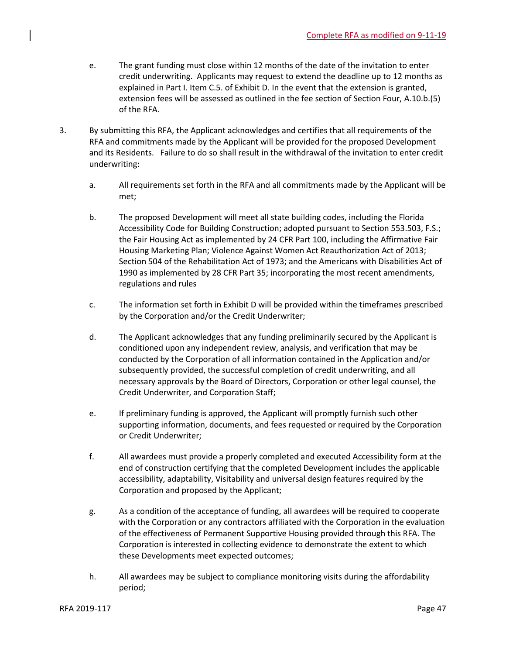- e. The grant funding must close within 12 months of the date of the invitation to enter credit underwriting. Applicants may request to extend the deadline up to 12 months as explained in Part I. Item C.5. of Exhibit D. In the event that the extension is granted, extension fees will be assessed as outlined in the fee section of Section Four, A.10.b.(5) of the RFA.
- 3. By submitting this RFA, the Applicant acknowledges and certifies that all requirements of the RFA and commitments made by the Applicant will be provided for the proposed Development and its Residents. Failure to do so shall result in the withdrawal of the invitation to enter credit underwriting:
	- a. All requirements set forth in the RFA and all commitments made by the Applicant will be met;
	- b. The proposed Development will meet all state building codes, including the Florida Accessibility Code for Building Construction; adopted pursuant to Section 553.503, F.S.; the Fair Housing Act as implemented by 24 CFR Part 100, including the Affirmative Fair Housing Marketing Plan; Violence Against Women Act Reauthorization Act of 2013; Section 504 of the Rehabilitation Act of 1973; and the Americans with Disabilities Act of 1990 as implemented by 28 CFR Part 35; incorporating the most recent amendments, regulations and rules
	- c. The information set forth in Exhibit D will be provided within the timeframes prescribed by the Corporation and/or the Credit Underwriter;
	- d. The Applicant acknowledges that any funding preliminarily secured by the Applicant is conditioned upon any independent review, analysis, and verification that may be conducted by the Corporation of all information contained in the Application and/or subsequently provided, the successful completion of credit underwriting, and all necessary approvals by the Board of Directors, Corporation or other legal counsel, the Credit Underwriter, and Corporation Staff;
	- e. If preliminary funding is approved, the Applicant will promptly furnish such other supporting information, documents, and fees requested or required by the Corporation or Credit Underwriter;
	- f. All awardees must provide a properly completed and executed Accessibility form at the end of construction certifying that the completed Development includes the applicable accessibility, adaptability, Visitability and universal design features required by the Corporation and proposed by the Applicant;
	- g. As a condition of the acceptance of funding, all awardees will be required to cooperate with the Corporation or any contractors affiliated with the Corporation in the evaluation of the effectiveness of Permanent Supportive Housing provided through this RFA. The Corporation is interested in collecting evidence to demonstrate the extent to which these Developments meet expected outcomes;
	- h. All awardees may be subject to compliance monitoring visits during the affordability period;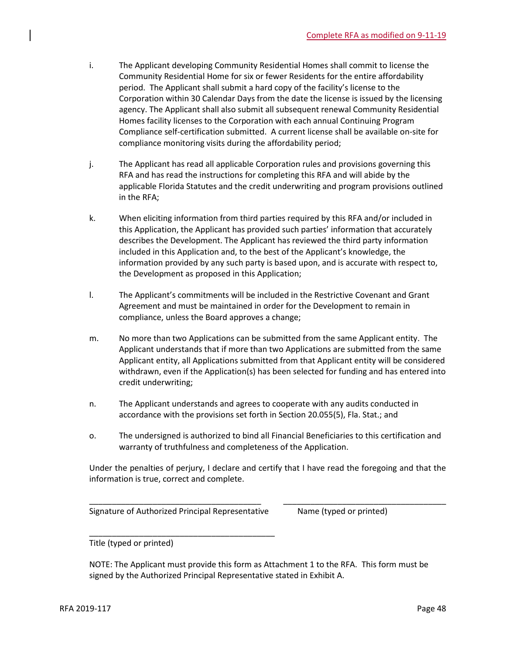- i. The Applicant developing Community Residential Homes shall commit to license the Community Residential Home for six or fewer Residents for the entire affordability period. The Applicant shall submit a hard copy of the facility's license to the Corporation within 30 Calendar Days from the date the license is issued by the licensing agency. The Applicant shall also submit all subsequent renewal Community Residential Homes facility licenses to the Corporation with each annual Continuing Program Compliance self-certification submitted. A current license shall be available on-site for compliance monitoring visits during the affordability period;
- j. The Applicant has read all applicable Corporation rules and provisions governing this RFA and has read the instructions for completing this RFA and will abide by the applicable Florida Statutes and the credit underwriting and program provisions outlined in the RFA;
- k. When eliciting information from third parties required by this RFA and/or included in this Application, the Applicant has provided such parties' information that accurately describes the Development. The Applicant has reviewed the third party information included in this Application and, to the best of the Applicant's knowledge, the information provided by any such party is based upon, and is accurate with respect to, the Development as proposed in this Application;
- l. The Applicant's commitments will be included in the Restrictive Covenant and Grant Agreement and must be maintained in order for the Development to remain in compliance, unless the Board approves a change;
- m. No more than two Applications can be submitted from the same Applicant entity. The Applicant understands that if more than two Applications are submitted from the same Applicant entity, all Applications submitted from that Applicant entity will be considered withdrawn, even if the Application(s) has been selected for funding and has entered into credit underwriting;
- n. The Applicant understands and agrees to cooperate with any audits conducted in accordance with the provisions set forth in Section 20.055(5), Fla. Stat.; and
- o. The undersigned is authorized to bind all Financial Beneficiaries to this certification and warranty of truthfulness and completeness of the Application.

Under the penalties of perjury, I declare and certify that I have read the foregoing and that the information is true, correct and complete.

\_\_\_\_\_\_\_\_\_\_\_\_\_\_\_\_\_\_\_\_\_\_\_\_\_\_\_\_\_\_\_\_\_\_\_\_\_\_ \_\_\_\_\_\_\_\_\_\_\_\_\_\_\_\_\_\_\_\_\_\_\_\_\_\_\_\_\_\_\_\_\_\_\_\_

Signature of Authorized Principal Representative Mame (typed or printed)

\_\_\_\_\_\_\_\_\_\_\_\_\_\_\_\_\_\_\_\_\_\_\_\_\_\_\_\_\_\_\_\_\_\_\_\_\_\_\_\_\_

Title (typed or printed)

NOTE: The Applicant must provide this form as Attachment 1 to the RFA. This form must be signed by the Authorized Principal Representative stated in Exhibit A.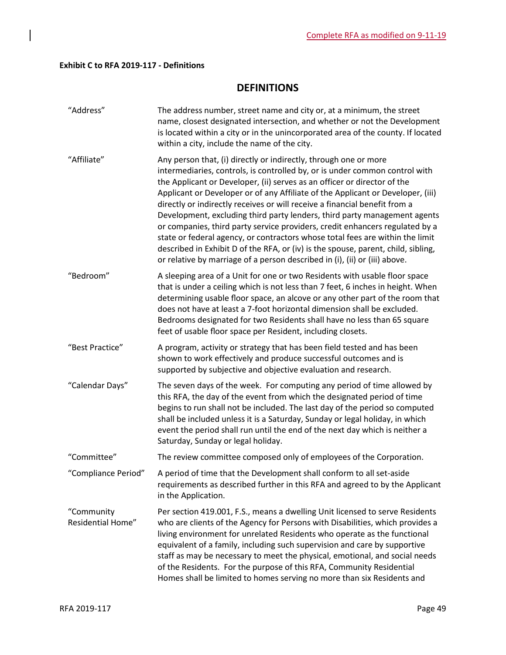## **Exhibit C to RFA 2019-117 - Definitions**

 $\overline{\phantom{a}}$ 

## **DEFINITIONS**

| "Address"                       | The address number, street name and city or, at a minimum, the street<br>name, closest designated intersection, and whether or not the Development<br>is located within a city or in the unincorporated area of the county. If located<br>within a city, include the name of the city.                                                                                                                                                                                                                                                                                                                                                                                                                                                                                                                        |
|---------------------------------|---------------------------------------------------------------------------------------------------------------------------------------------------------------------------------------------------------------------------------------------------------------------------------------------------------------------------------------------------------------------------------------------------------------------------------------------------------------------------------------------------------------------------------------------------------------------------------------------------------------------------------------------------------------------------------------------------------------------------------------------------------------------------------------------------------------|
| "Affiliate"                     | Any person that, (i) directly or indirectly, through one or more<br>intermediaries, controls, is controlled by, or is under common control with<br>the Applicant or Developer, (ii) serves as an officer or director of the<br>Applicant or Developer or of any Affiliate of the Applicant or Developer, (iii)<br>directly or indirectly receives or will receive a financial benefit from a<br>Development, excluding third party lenders, third party management agents<br>or companies, third party service providers, credit enhancers regulated by a<br>state or federal agency, or contractors whose total fees are within the limit<br>described in Exhibit D of the RFA, or (iv) is the spouse, parent, child, sibling,<br>or relative by marriage of a person described in (i), (ii) or (iii) above. |
| "Bedroom"                       | A sleeping area of a Unit for one or two Residents with usable floor space<br>that is under a ceiling which is not less than 7 feet, 6 inches in height. When<br>determining usable floor space, an alcove or any other part of the room that<br>does not have at least a 7-foot horizontal dimension shall be excluded.<br>Bedrooms designated for two Residents shall have no less than 65 square<br>feet of usable floor space per Resident, including closets.                                                                                                                                                                                                                                                                                                                                            |
| "Best Practice"                 | A program, activity or strategy that has been field tested and has been<br>shown to work effectively and produce successful outcomes and is<br>supported by subjective and objective evaluation and research.                                                                                                                                                                                                                                                                                                                                                                                                                                                                                                                                                                                                 |
| "Calendar Days"                 | The seven days of the week. For computing any period of time allowed by<br>this RFA, the day of the event from which the designated period of time<br>begins to run shall not be included. The last day of the period so computed<br>shall be included unless it is a Saturday, Sunday or legal holiday, in which<br>event the period shall run until the end of the next day which is neither a<br>Saturday, Sunday or legal holiday.                                                                                                                                                                                                                                                                                                                                                                        |
| "Committee"                     | The review committee composed only of employees of the Corporation.                                                                                                                                                                                                                                                                                                                                                                                                                                                                                                                                                                                                                                                                                                                                           |
| "Compliance Period"             | A period of time that the Development shall conform to all set-aside<br>requirements as described further in this RFA and agreed to by the Applicant<br>in the Application.                                                                                                                                                                                                                                                                                                                                                                                                                                                                                                                                                                                                                                   |
| "Community<br>Residential Home" | Per section 419.001, F.S., means a dwelling Unit licensed to serve Residents<br>who are clients of the Agency for Persons with Disabilities, which provides a<br>living environment for unrelated Residents who operate as the functional<br>equivalent of a family, including such supervision and care by supportive<br>staff as may be necessary to meet the physical, emotional, and social needs<br>of the Residents. For the purpose of this RFA, Community Residential<br>Homes shall be limited to homes serving no more than six Residents and                                                                                                                                                                                                                                                       |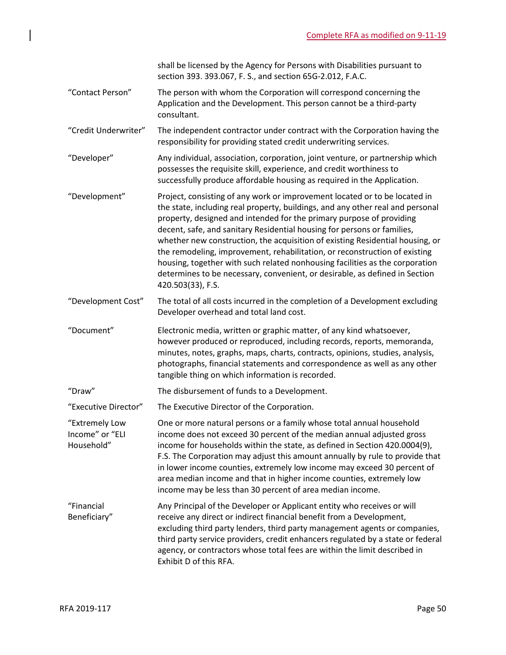shall be licensed by the Agency for Persons with Disabilities pursuant to section 393. 393.067, F. S., and section 65G-2.012, F.A.C.

- "Contact Person" The person with whom the Corporation will correspond concerning the Application and the Development. This person cannot be a third-party consultant.
- "Credit Underwriter" The independent contractor under contract with the Corporation having the responsibility for providing stated credit underwriting services.
- "Developer" Any individual, association, corporation, joint venture, or partnership which possesses the requisite skill, experience, and credit worthiness to successfully produce affordable housing as required in the Application.
- "Development" Project, consisting of any work or improvement located or to be located in the state, including real property, buildings, and any other real and personal property, designed and intended for the primary purpose of providing decent, safe, and sanitary Residential housing for persons or families, whether new construction, the acquisition of existing Residential housing, or the remodeling, improvement, rehabilitation, or reconstruction of existing housing, together with such related nonhousing facilities as the corporation determines to be necessary, convenient, or desirable, as defined in Section 420.503(33), F.S.
- "Development Cost" The total of all costs incurred in the completion of a Development excluding Developer overhead and total land cost.
- "Document" Electronic media, written or graphic matter, of any kind whatsoever, however produced or reproduced, including records, reports, memoranda, minutes, notes, graphs, maps, charts, contracts, opinions, studies, analysis, photographs, financial statements and correspondence as well as any other tangible thing on which information is recorded.
- "Draw" The disbursement of funds to a Development.
- "Executive Director" The Executive Director of the Corporation.
- "Extremely Low Income" or "ELI Household" One or more natural persons or a family whose total annual household income does not exceed 30 percent of the median annual adjusted gross income for households within the state, as defined in Section 420.0004(9), F.S. The Corporation may adjust this amount annually by rule to provide that in lower income counties, extremely low income may exceed 30 percent of area median income and that in higher income counties, extremely low income may be less than 30 percent of area median income.
- "Financial Beneficiary" Any Principal of the Developer or Applicant entity who receives or will receive any direct or indirect financial benefit from a Development, excluding third party lenders, third party management agents or companies, third party service providers, credit enhancers regulated by a state or federal agency, or contractors whose total fees are within the limit described in Exhibit D of this RFA.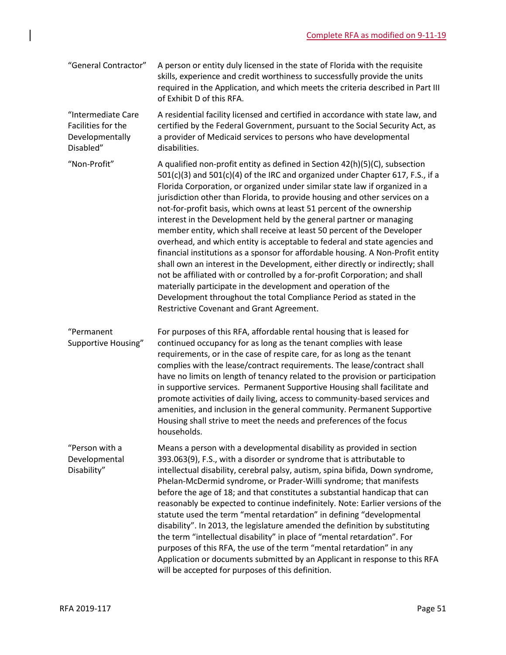| "General Contractor" | A person or entity duly licensed in the state of Florida with the requisite     |
|----------------------|---------------------------------------------------------------------------------|
|                      | skills, experience and credit worthiness to successfully provide the units      |
|                      | required in the Application, and which meets the criteria described in Part III |
|                      | of Exhibit D of this RFA.                                                       |

"Intermediate Care Facilities for the Developmentally Disabled" A residential facility licensed and certified in accordance with state law, and certified by the Federal Government, pursuant to the Social Security Act, as a provider of Medicaid services to persons who have developmental disabilities.

"Non-Profit"  $A$  qualified non-profit entity as defined in Section 42(h)(5)(C), subsection 501(c)(3) and 501(c)(4) of the IRC and organized under Chapter 617, F.S., if a Florida Corporation, or organized under similar state law if organized in a jurisdiction other than Florida, to provide housing and other services on a not-for-profit basis, which owns at least 51 percent of the ownership interest in the Development held by the general partner or managing member entity, which shall receive at least 50 percent of the Developer overhead, and which entity is acceptable to federal and state agencies and financial institutions as a sponsor for affordable housing. A Non-Profit entity shall own an interest in the Development, either directly or indirectly; shall not be affiliated with or controlled by a for-profit Corporation; and shall materially participate in the development and operation of the Development throughout the total Compliance Period as stated in the Restrictive Covenant and Grant Agreement.

"Permanent Supportive Housing" For purposes of this RFA, affordable rental housing that is leased for continued occupancy for as long as the tenant complies with lease requirements, or in the case of respite care, for as long as the tenant complies with the lease/contract requirements. The lease/contract shall have no limits on length of tenancy related to the provision or participation in supportive services. Permanent Supportive Housing shall facilitate and promote activities of daily living, access to community-based services and amenities, and inclusion in the general community. Permanent Supportive Housing shall strive to meet the needs and preferences of the focus households.

"Person with a Developmental Disability" Means a person with a developmental disability as provided in section 393.063(9), F.S., with a disorder or syndrome that is attributable to intellectual disability, cerebral palsy, autism, spina bifida, Down syndrome, Phelan-McDermid syndrome, or Prader-Willi syndrome; that manifests before the age of 18; and that constitutes a substantial handicap that can reasonably be expected to continue indefinitely. Note: Earlier versions of the statute used the term "mental retardation" in defining "developmental disability". In 2013, the legislature amended the definition by substituting the term "intellectual disability" in place of "mental retardation". For purposes of this RFA, the use of the term "mental retardation" in any Application or documents submitted by an Applicant in response to this RFA will be accepted for purposes of this definition.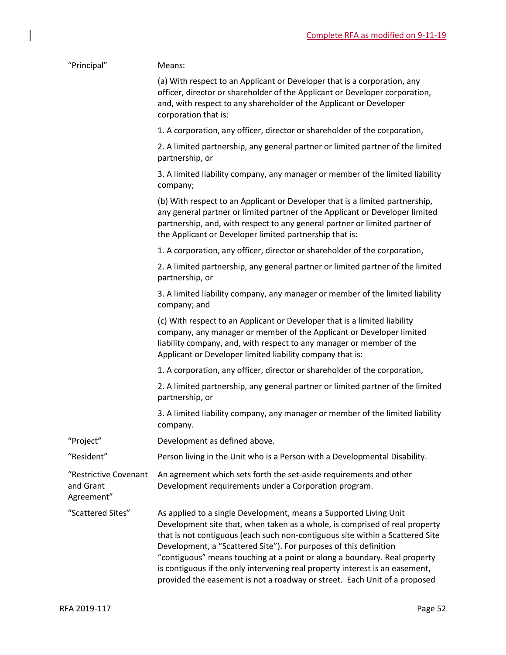| "Principal"                                      | Means:                                                                                                                                                                                                                                                                                                                                                                                                                                                                                                                                           |
|--------------------------------------------------|--------------------------------------------------------------------------------------------------------------------------------------------------------------------------------------------------------------------------------------------------------------------------------------------------------------------------------------------------------------------------------------------------------------------------------------------------------------------------------------------------------------------------------------------------|
|                                                  | (a) With respect to an Applicant or Developer that is a corporation, any<br>officer, director or shareholder of the Applicant or Developer corporation,<br>and, with respect to any shareholder of the Applicant or Developer<br>corporation that is:                                                                                                                                                                                                                                                                                            |
|                                                  | 1. A corporation, any officer, director or shareholder of the corporation,                                                                                                                                                                                                                                                                                                                                                                                                                                                                       |
|                                                  | 2. A limited partnership, any general partner or limited partner of the limited<br>partnership, or                                                                                                                                                                                                                                                                                                                                                                                                                                               |
|                                                  | 3. A limited liability company, any manager or member of the limited liability<br>company;                                                                                                                                                                                                                                                                                                                                                                                                                                                       |
|                                                  | (b) With respect to an Applicant or Developer that is a limited partnership,<br>any general partner or limited partner of the Applicant or Developer limited<br>partnership, and, with respect to any general partner or limited partner of<br>the Applicant or Developer limited partnership that is:                                                                                                                                                                                                                                           |
|                                                  | 1. A corporation, any officer, director or shareholder of the corporation,                                                                                                                                                                                                                                                                                                                                                                                                                                                                       |
|                                                  | 2. A limited partnership, any general partner or limited partner of the limited<br>partnership, or                                                                                                                                                                                                                                                                                                                                                                                                                                               |
|                                                  | 3. A limited liability company, any manager or member of the limited liability<br>company; and                                                                                                                                                                                                                                                                                                                                                                                                                                                   |
|                                                  | (c) With respect to an Applicant or Developer that is a limited liability<br>company, any manager or member of the Applicant or Developer limited<br>liability company, and, with respect to any manager or member of the<br>Applicant or Developer limited liability company that is:                                                                                                                                                                                                                                                           |
|                                                  | 1. A corporation, any officer, director or shareholder of the corporation,                                                                                                                                                                                                                                                                                                                                                                                                                                                                       |
|                                                  | 2. A limited partnership, any general partner or limited partner of the limited<br>partnership, or                                                                                                                                                                                                                                                                                                                                                                                                                                               |
|                                                  | 3. A limited liability company, any manager or member of the limited liability<br>company.                                                                                                                                                                                                                                                                                                                                                                                                                                                       |
| "Project"                                        | Development as defined above.                                                                                                                                                                                                                                                                                                                                                                                                                                                                                                                    |
| "Resident"                                       | Person living in the Unit who is a Person with a Developmental Disability.                                                                                                                                                                                                                                                                                                                                                                                                                                                                       |
| "Restrictive Covenant<br>and Grant<br>Agreement" | An agreement which sets forth the set-aside requirements and other<br>Development requirements under a Corporation program.                                                                                                                                                                                                                                                                                                                                                                                                                      |
| "Scattered Sites"                                | As applied to a single Development, means a Supported Living Unit<br>Development site that, when taken as a whole, is comprised of real property<br>that is not contiguous (each such non-contiguous site within a Scattered Site<br>Development, a "Scattered Site"). For purposes of this definition<br>"contiguous" means touching at a point or along a boundary. Real property<br>is contiguous if the only intervening real property interest is an easement,<br>provided the easement is not a roadway or street. Each Unit of a proposed |

 $\begin{array}{c} \hline \end{array}$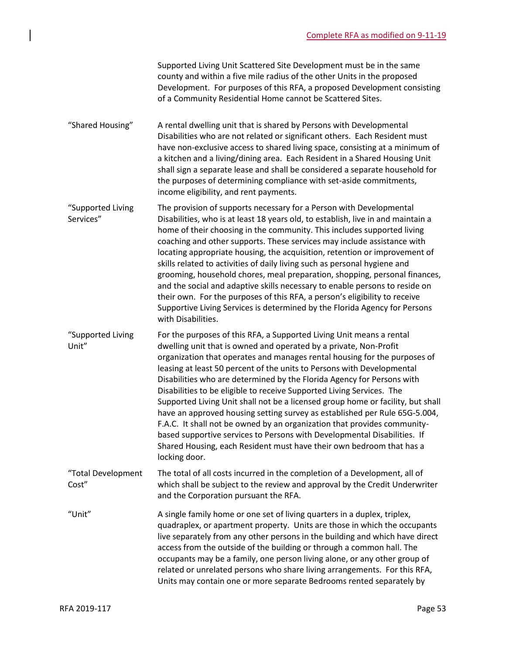|                                | Supported Living Unit Scattered Site Development must be in the same<br>county and within a five mile radius of the other Units in the proposed<br>Development. For purposes of this RFA, a proposed Development consisting<br>of a Community Residential Home cannot be Scattered Sites.                                                                                                                                                                                                                                                                                                                                                                                                                                                                                                                                                                             |
|--------------------------------|-----------------------------------------------------------------------------------------------------------------------------------------------------------------------------------------------------------------------------------------------------------------------------------------------------------------------------------------------------------------------------------------------------------------------------------------------------------------------------------------------------------------------------------------------------------------------------------------------------------------------------------------------------------------------------------------------------------------------------------------------------------------------------------------------------------------------------------------------------------------------|
| "Shared Housing"               | A rental dwelling unit that is shared by Persons with Developmental<br>Disabilities who are not related or significant others. Each Resident must<br>have non-exclusive access to shared living space, consisting at a minimum of<br>a kitchen and a living/dining area. Each Resident in a Shared Housing Unit<br>shall sign a separate lease and shall be considered a separate household for<br>the purposes of determining compliance with set-aside commitments,<br>income eligibility, and rent payments.                                                                                                                                                                                                                                                                                                                                                       |
| "Supported Living<br>Services" | The provision of supports necessary for a Person with Developmental<br>Disabilities, who is at least 18 years old, to establish, live in and maintain a<br>home of their choosing in the community. This includes supported living<br>coaching and other supports. These services may include assistance with<br>locating appropriate housing, the acquisition, retention or improvement of<br>skills related to activities of daily living such as personal hygiene and<br>grooming, household chores, meal preparation, shopping, personal finances,<br>and the social and adaptive skills necessary to enable persons to reside on<br>their own. For the purposes of this RFA, a person's eligibility to receive<br>Supportive Living Services is determined by the Florida Agency for Persons<br>with Disabilities.                                               |
| "Supported Living<br>Unit"     | For the purposes of this RFA, a Supported Living Unit means a rental<br>dwelling unit that is owned and operated by a private, Non-Profit<br>organization that operates and manages rental housing for the purposes of<br>leasing at least 50 percent of the units to Persons with Developmental<br>Disabilities who are determined by the Florida Agency for Persons with<br>Disabilities to be eligible to receive Supported Living Services. The<br>Supported Living Unit shall not be a licensed group home or facility, but shall<br>have an approved housing setting survey as established per Rule 65G-5.004,<br>F.A.C. It shall not be owned by an organization that provides community-<br>based supportive services to Persons with Developmental Disabilities. If<br>Shared Housing, each Resident must have their own bedroom that has a<br>locking door. |
| "Total Development<br>Cost"    | The total of all costs incurred in the completion of a Development, all of<br>which shall be subject to the review and approval by the Credit Underwriter<br>and the Corporation pursuant the RFA.                                                                                                                                                                                                                                                                                                                                                                                                                                                                                                                                                                                                                                                                    |
| "Unit"                         | A single family home or one set of living quarters in a duplex, triplex,<br>quadraplex, or apartment property. Units are those in which the occupants<br>live separately from any other persons in the building and which have direct<br>access from the outside of the building or through a common hall. The<br>occupants may be a family, one person living alone, or any other group of<br>related or unrelated persons who share living arrangements. For this RFA,<br>Units may contain one or more separate Bedrooms rented separately by                                                                                                                                                                                                                                                                                                                      |

 $\begin{array}{c} \hline \end{array}$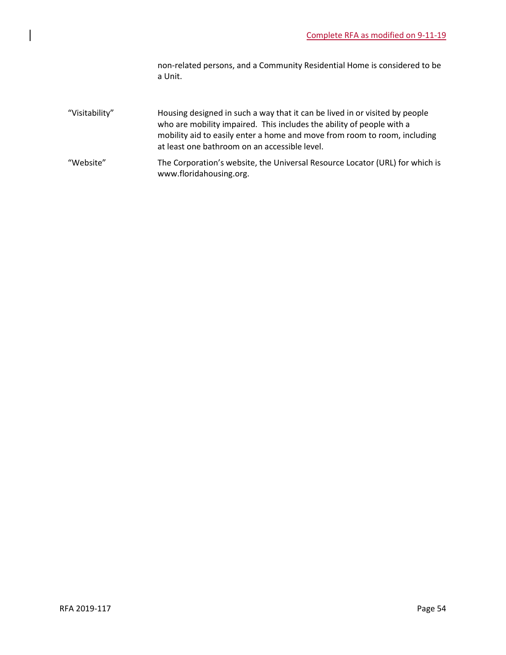non-related persons, and a Community Residential Home is considered to be a Unit.

- "Visitability" Housing designed in such a way that it can be lived in or visited by people who are mobility impaired. This includes the ability of people with a mobility aid to easily enter a home and move from room to room, including at least one bathroom on an accessible level.
- "Website" The Corporation's website, the Universal Resource Locator (URL) for which is www.floridahousing.org.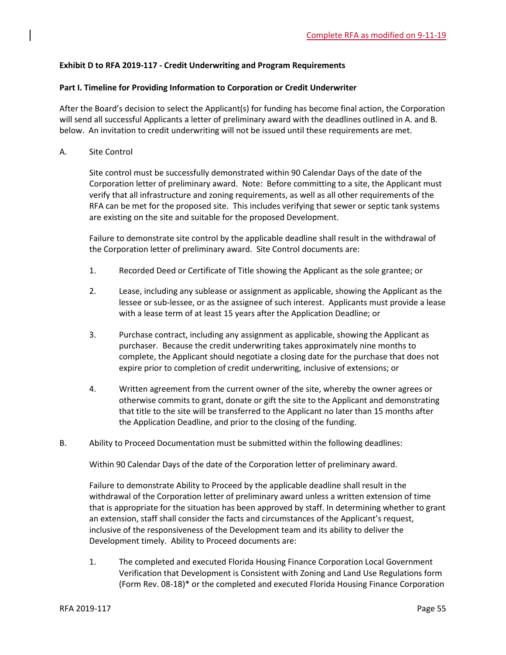## **Exhibit D to RFA 2019-117 - Credit Underwriting and Program Requirements**

## **Part I. Timeline for Providing Information to Corporation or Credit Underwriter**

After the Board's decision to select the Applicant(s) for funding has become final action, the Corporation will send all successful Applicants a letter of preliminary award with the deadlines outlined in A. and B. below. An invitation to credit underwriting will not be issued until these requirements are met.

A. Site Control

Site control must be successfully demonstrated within 90 Calendar Days of the date of the Corporation letter of preliminary award. Note: Before committing to a site, the Applicant must verify that all infrastructure and zoning requirements, as well as all other requirements of the RFA can be met for the proposed site. This includes verifying that sewer or septic tank systems are existing on the site and suitable for the proposed Development.

Failure to demonstrate site control by the applicable deadline shall result in the withdrawal of the Corporation letter of preliminary award. Site Control documents are:

- 1. Recorded Deed or Certificate of Title showing the Applicant as the sole grantee; or
- 2. Lease, including any sublease or assignment as applicable, showing the Applicant as the lessee or sub-lessee, or as the assignee of such interest. Applicants must provide a lease with a lease term of at least 15 years after the Application Deadline; or
- 3. Purchase contract, including any assignment as applicable, showing the Applicant as purchaser. Because the credit underwriting takes approximately nine months to complete, the Applicant should negotiate a closing date for the purchase that does not expire prior to completion of credit underwriting, inclusive of extensions; or
- 4. Written agreement from the current owner of the site, whereby the owner agrees or otherwise commits to grant, donate or gift the site to the Applicant and demonstrating that title to the site will be transferred to the Applicant no later than 15 months after the Application Deadline, and prior to the closing of the funding.
- B. Ability to Proceed Documentation must be submitted within the following deadlines:

Within 90 Calendar Days of the date of the Corporation letter of preliminary award.

Failure to demonstrate Ability to Proceed by the applicable deadline shall result in the withdrawal of the Corporation letter of preliminary award unless a written extension of time that is appropriate for the situation has been approved by staff. In determining whether to grant an extension, staff shall consider the facts and circumstances of the Applicant's request, inclusive of the responsiveness of the Development team and its ability to deliver the Development timely. Ability to Proceed documents are:

1. The completed and executed Florida Housing Finance Corporation Local Government Verification that Development is Consistent with Zoning and Land Use Regulations form (Form Rev. 08-18)\* or the completed and executed Florida Housing Finance Corporation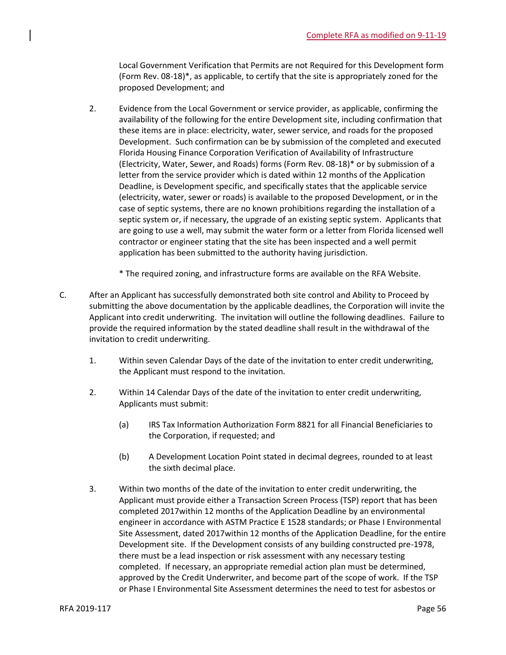Local Government Verification that Permits are not Required for this Development form (Form Rev. 08-18)\*, as applicable, to certify that the site is appropriately zoned for the proposed Development; and

- 2. Evidence from the Local Government or service provider, as applicable, confirming the availability of the following for the entire Development site, including confirmation that these items are in place: electricity, water, sewer service, and roads for the proposed Development. Such confirmation can be by submission of the completed and executed Florida Housing Finance Corporation Verification of Availability of Infrastructure (Electricity, Water, Sewer, and Roads) forms (Form Rev. 08-18)\* or by submission of a letter from the service provider which is dated within 12 months of the Application Deadline, is Development specific, and specifically states that the applicable service (electricity, water, sewer or roads) is available to the proposed Development, or in the case of septic systems, there are no known prohibitions regarding the installation of a septic system or, if necessary, the upgrade of an existing septic system. Applicants that are going to use a well, may submit the water form or a letter from Florida licensed well contractor or engineer stating that the site has been inspected and a well permit application has been submitted to the authority having jurisdiction.
	- \* The required zoning, and infrastructure forms are available on the RFA Website.
- C. After an Applicant has successfully demonstrated both site control and Ability to Proceed by submitting the above documentation by the applicable deadlines, the Corporation will invite the Applicant into credit underwriting. The invitation will outline the following deadlines. Failure to provide the required information by the stated deadline shall result in the withdrawal of the invitation to credit underwriting.
	- 1. Within seven Calendar Days of the date of the invitation to enter credit underwriting, the Applicant must respond to the invitation.
	- 2. Within 14 Calendar Days of the date of the invitation to enter credit underwriting, Applicants must submit:
		- (a) IRS Tax Information Authorization Form 8821 for all Financial Beneficiaries to the Corporation, if requested; and
		- (b) A Development Location Point stated in decimal degrees, rounded to at least the sixth decimal place.
	- 3. Within two months of the date of the invitation to enter credit underwriting, the Applicant must provide either a Transaction Screen Process (TSP) report that has been completed 2017within 12 months of the Application Deadline by an environmental engineer in accordance with ASTM Practice E 1528 standards; or Phase I Environmental Site Assessment, dated 2017within 12 months of the Application Deadline, for the entire Development site. If the Development consists of any building constructed pre-1978, there must be a lead inspection or risk assessment with any necessary testing completed. If necessary, an appropriate remedial action plan must be determined, approved by the Credit Underwriter, and become part of the scope of work. If the TSP or Phase I Environmental Site Assessment determines the need to test for asbestos or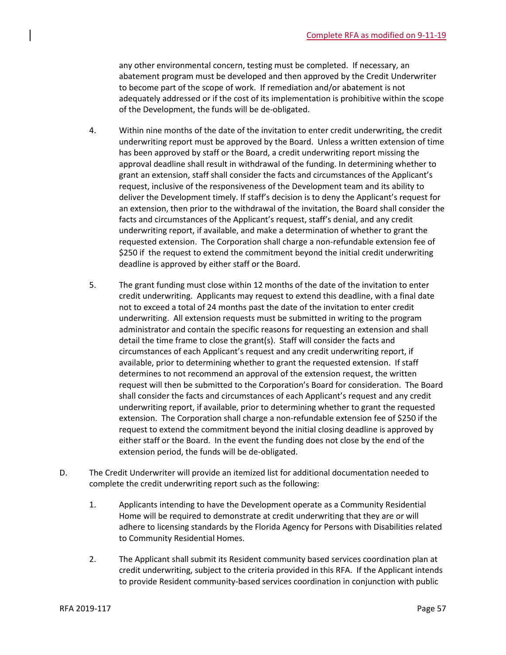any other environmental concern, testing must be completed. If necessary, an abatement program must be developed and then approved by the Credit Underwriter to become part of the scope of work. If remediation and/or abatement is not adequately addressed or if the cost of its implementation is prohibitive within the scope of the Development, the funds will be de-obligated.

- 4. Within nine months of the date of the invitation to enter credit underwriting, the credit underwriting report must be approved by the Board. Unless a written extension of time has been approved by staff or the Board, a credit underwriting report missing the approval deadline shall result in withdrawal of the funding. In determining whether to grant an extension, staff shall consider the facts and circumstances of the Applicant's request, inclusive of the responsiveness of the Development team and its ability to deliver the Development timely. If staff's decision is to deny the Applicant's request for an extension, then prior to the withdrawal of the invitation, the Board shall consider the facts and circumstances of the Applicant's request, staff's denial, and any credit underwriting report, if available, and make a determination of whether to grant the requested extension. The Corporation shall charge a non-refundable extension fee of \$250 if the request to extend the commitment beyond the initial credit underwriting deadline is approved by either staff or the Board.
- 5. The grant funding must close within 12 months of the date of the invitation to enter credit underwriting. Applicants may request to extend this deadline, with a final date not to exceed a total of 24 months past the date of the invitation to enter credit underwriting. All extension requests must be submitted in writing to the program administrator and contain the specific reasons for requesting an extension and shall detail the time frame to close the grant(s). Staff will consider the facts and circumstances of each Applicant's request and any credit underwriting report, if available, prior to determining whether to grant the requested extension. If staff determines to not recommend an approval of the extension request, the written request will then be submitted to the Corporation's Board for consideration. The Board shall consider the facts and circumstances of each Applicant's request and any credit underwriting report, if available, prior to determining whether to grant the requested extension. The Corporation shall charge a non-refundable extension fee of \$250 if the request to extend the commitment beyond the initial closing deadline is approved by either staff or the Board. In the event the funding does not close by the end of the extension period, the funds will be de-obligated.
- D. The Credit Underwriter will provide an itemized list for additional documentation needed to complete the credit underwriting report such as the following:
	- 1. Applicants intending to have the Development operate as a Community Residential Home will be required to demonstrate at credit underwriting that they are or will adhere to licensing standards by the Florida Agency for Persons with Disabilities related to Community Residential Homes.
	- 2. The Applicant shall submit its Resident community based services coordination plan at credit underwriting, subject to the criteria provided in this RFA. If the Applicant intends to provide Resident community-based services coordination in conjunction with public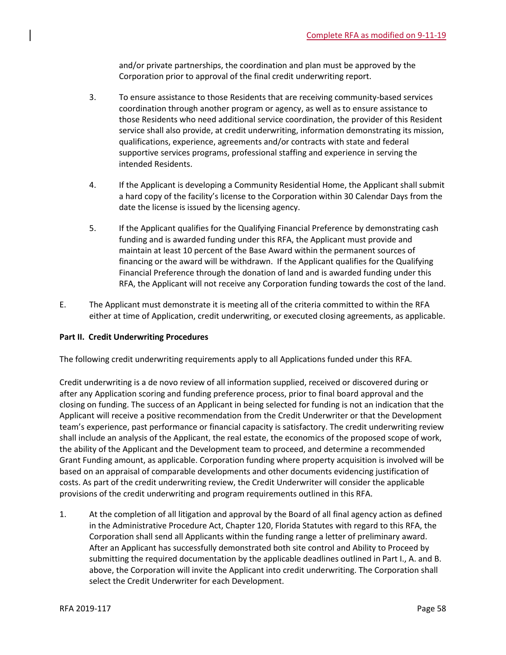and/or private partnerships, the coordination and plan must be approved by the Corporation prior to approval of the final credit underwriting report.

- 3. To ensure assistance to those Residents that are receiving community-based services coordination through another program or agency, as well as to ensure assistance to those Residents who need additional service coordination, the provider of this Resident service shall also provide, at credit underwriting, information demonstrating its mission, qualifications, experience, agreements and/or contracts with state and federal supportive services programs, professional staffing and experience in serving the intended Residents.
- 4. If the Applicant is developing a Community Residential Home, the Applicant shall submit a hard copy of the facility's license to the Corporation within 30 Calendar Days from the date the license is issued by the licensing agency.
- 5. If the Applicant qualifies for the Qualifying Financial Preference by demonstrating cash funding and is awarded funding under this RFA, the Applicant must provide and maintain at least 10 percent of the Base Award within the permanent sources of financing or the award will be withdrawn. If the Applicant qualifies for the Qualifying Financial Preference through the donation of land and is awarded funding under this RFA, the Applicant will not receive any Corporation funding towards the cost of the land.
- E. The Applicant must demonstrate it is meeting all of the criteria committed to within the RFA either at time of Application, credit underwriting, or executed closing agreements, as applicable.

## **Part II. Credit Underwriting Procedures**

The following credit underwriting requirements apply to all Applications funded under this RFA.

Credit underwriting is a de novo review of all information supplied, received or discovered during or after any Application scoring and funding preference process, prior to final board approval and the closing on funding. The success of an Applicant in being selected for funding is not an indication that the Applicant will receive a positive recommendation from the Credit Underwriter or that the Development team's experience, past performance or financial capacity is satisfactory. The credit underwriting review shall include an analysis of the Applicant, the real estate, the economics of the proposed scope of work, the ability of the Applicant and the Development team to proceed, and determine a recommended Grant Funding amount, as applicable. Corporation funding where property acquisition is involved will be based on an appraisal of comparable developments and other documents evidencing justification of costs. As part of the credit underwriting review, the Credit Underwriter will consider the applicable provisions of the credit underwriting and program requirements outlined in this RFA.

1. At the completion of all litigation and approval by the Board of all final agency action as defined in the Administrative Procedure Act, Chapter 120, Florida Statutes with regard to this RFA, the Corporation shall send all Applicants within the funding range a letter of preliminary award. After an Applicant has successfully demonstrated both site control and Ability to Proceed by submitting the required documentation by the applicable deadlines outlined in Part I., A. and B. above, the Corporation will invite the Applicant into credit underwriting. The Corporation shall select the Credit Underwriter for each Development.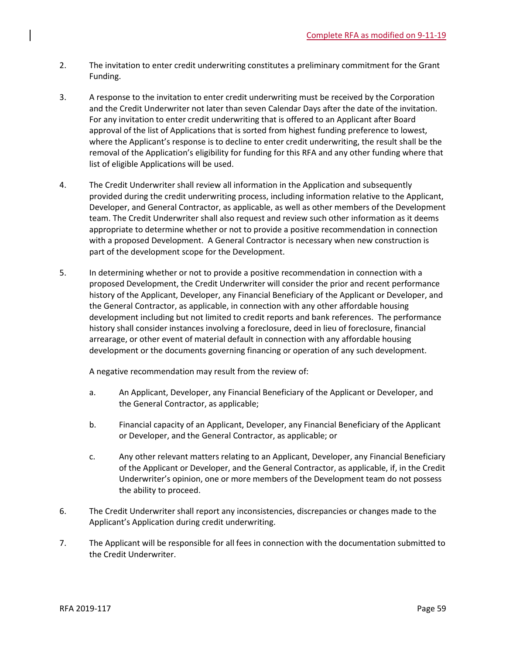- 2. The invitation to enter credit underwriting constitutes a preliminary commitment for the Grant Funding.
- 3. A response to the invitation to enter credit underwriting must be received by the Corporation and the Credit Underwriter not later than seven Calendar Days after the date of the invitation. For any invitation to enter credit underwriting that is offered to an Applicant after Board approval of the list of Applications that is sorted from highest funding preference to lowest, where the Applicant's response is to decline to enter credit underwriting, the result shall be the removal of the Application's eligibility for funding for this RFA and any other funding where that list of eligible Applications will be used.
- 4. The Credit Underwriter shall review all information in the Application and subsequently provided during the credit underwriting process, including information relative to the Applicant, Developer, and General Contractor, as applicable, as well as other members of the Development team. The Credit Underwriter shall also request and review such other information as it deems appropriate to determine whether or not to provide a positive recommendation in connection with a proposed Development. A General Contractor is necessary when new construction is part of the development scope for the Development.
- 5. In determining whether or not to provide a positive recommendation in connection with a proposed Development, the Credit Underwriter will consider the prior and recent performance history of the Applicant, Developer, any Financial Beneficiary of the Applicant or Developer, and the General Contractor, as applicable, in connection with any other affordable housing development including but not limited to credit reports and bank references. The performance history shall consider instances involving a foreclosure, deed in lieu of foreclosure, financial arrearage, or other event of material default in connection with any affordable housing development or the documents governing financing or operation of any such development.

A negative recommendation may result from the review of:

- a. An Applicant, Developer, any Financial Beneficiary of the Applicant or Developer, and the General Contractor, as applicable;
- b. Financial capacity of an Applicant, Developer, any Financial Beneficiary of the Applicant or Developer, and the General Contractor, as applicable; or
- c. Any other relevant matters relating to an Applicant, Developer, any Financial Beneficiary of the Applicant or Developer, and the General Contractor, as applicable, if, in the Credit Underwriter's opinion, one or more members of the Development team do not possess the ability to proceed.
- 6. The Credit Underwriter shall report any inconsistencies, discrepancies or changes made to the Applicant's Application during credit underwriting.
- 7. The Applicant will be responsible for all fees in connection with the documentation submitted to the Credit Underwriter.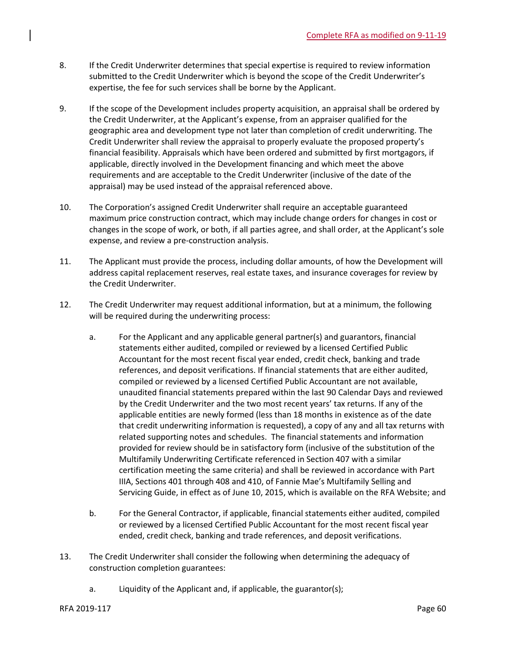- 8. If the Credit Underwriter determines that special expertise is required to review information submitted to the Credit Underwriter which is beyond the scope of the Credit Underwriter's expertise, the fee for such services shall be borne by the Applicant.
- 9. If the scope of the Development includes property acquisition, an appraisal shall be ordered by the Credit Underwriter, at the Applicant's expense, from an appraiser qualified for the geographic area and development type not later than completion of credit underwriting. The Credit Underwriter shall review the appraisal to properly evaluate the proposed property's financial feasibility. Appraisals which have been ordered and submitted by first mortgagors, if applicable, directly involved in the Development financing and which meet the above requirements and are acceptable to the Credit Underwriter (inclusive of the date of the appraisal) may be used instead of the appraisal referenced above.
- 10. The Corporation's assigned Credit Underwriter shall require an acceptable guaranteed maximum price construction contract, which may include change orders for changes in cost or changes in the scope of work, or both, if all parties agree, and shall order, at the Applicant's sole expense, and review a pre-construction analysis.
- 11. The Applicant must provide the process, including dollar amounts, of how the Development will address capital replacement reserves, real estate taxes, and insurance coverages for review by the Credit Underwriter.
- 12. The Credit Underwriter may request additional information, but at a minimum, the following will be required during the underwriting process:
	- a. For the Applicant and any applicable general partner(s) and guarantors, financial statements either audited, compiled or reviewed by a licensed Certified Public Accountant for the most recent fiscal year ended, credit check, banking and trade references, and deposit verifications. If financial statements that are either audited, compiled or reviewed by a licensed Certified Public Accountant are not available, unaudited financial statements prepared within the last 90 Calendar Days and reviewed by the Credit Underwriter and the two most recent years' tax returns. If any of the applicable entities are newly formed (less than 18 months in existence as of the date that credit underwriting information is requested), a copy of any and all tax returns with related supporting notes and schedules. The financial statements and information provided for review should be in satisfactory form (inclusive of the substitution of the Multifamily Underwriting Certificate referenced in Section 407 with a similar certification meeting the same criteria) and shall be reviewed in accordance with Part IIIA, Sections 401 through 408 and 410, of Fannie Mae's Multifamily Selling and Servicing Guide, in effect as of June 10, 2015, which is available on the RFA Website; and
	- b. For the General Contractor, if applicable, financial statements either audited, compiled or reviewed by a licensed Certified Public Accountant for the most recent fiscal year ended, credit check, banking and trade references, and deposit verifications.
- 13. The Credit Underwriter shall consider the following when determining the adequacy of construction completion guarantees:
	- a. Liquidity of the Applicant and, if applicable, the guarantor(s);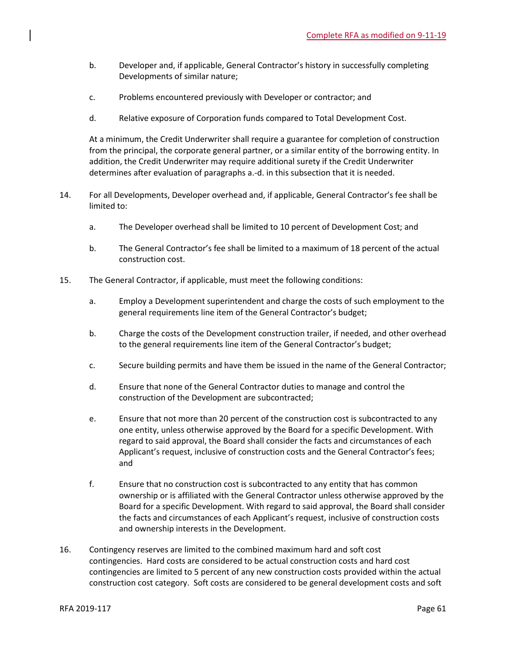- b. Developer and, if applicable, General Contractor's history in successfully completing Developments of similar nature;
- c. Problems encountered previously with Developer or contractor; and
- d. Relative exposure of Corporation funds compared to Total Development Cost.

At a minimum, the Credit Underwriter shall require a guarantee for completion of construction from the principal, the corporate general partner, or a similar entity of the borrowing entity. In addition, the Credit Underwriter may require additional surety if the Credit Underwriter determines after evaluation of paragraphs a.-d. in this subsection that it is needed.

- 14. For all Developments, Developer overhead and, if applicable, General Contractor's fee shall be limited to:
	- a. The Developer overhead shall be limited to 10 percent of Development Cost; and
	- b. The General Contractor's fee shall be limited to a maximum of 18 percent of the actual construction cost.
- 15. The General Contractor, if applicable, must meet the following conditions:
	- a. Employ a Development superintendent and charge the costs of such employment to the general requirements line item of the General Contractor's budget;
	- b. Charge the costs of the Development construction trailer, if needed, and other overhead to the general requirements line item of the General Contractor's budget;
	- c. Secure building permits and have them be issued in the name of the General Contractor;
	- d. Ensure that none of the General Contractor duties to manage and control the construction of the Development are subcontracted;
	- e. Ensure that not more than 20 percent of the construction cost is subcontracted to any one entity, unless otherwise approved by the Board for a specific Development. With regard to said approval, the Board shall consider the facts and circumstances of each Applicant's request, inclusive of construction costs and the General Contractor's fees; and
	- f. Ensure that no construction cost is subcontracted to any entity that has common ownership or is affiliated with the General Contractor unless otherwise approved by the Board for a specific Development. With regard to said approval, the Board shall consider the facts and circumstances of each Applicant's request, inclusive of construction costs and ownership interests in the Development.
- 16. Contingency reserves are limited to the combined maximum hard and soft cost contingencies. Hard costs are considered to be actual construction costs and hard cost contingencies are limited to 5 percent of any new construction costs provided within the actual construction cost category. Soft costs are considered to be general development costs and soft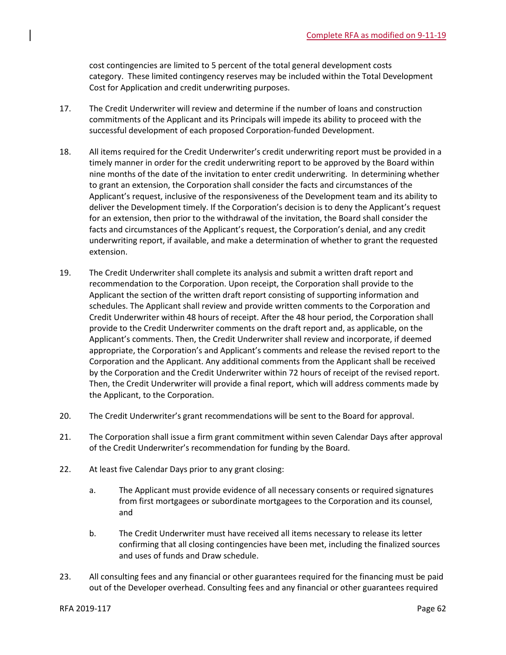cost contingencies are limited to 5 percent of the total general development costs category. These limited contingency reserves may be included within the Total Development Cost for Application and credit underwriting purposes.

- 17. The Credit Underwriter will review and determine if the number of loans and construction commitments of the Applicant and its Principals will impede its ability to proceed with the successful development of each proposed Corporation-funded Development.
- 18. All items required for the Credit Underwriter's credit underwriting report must be provided in a timely manner in order for the credit underwriting report to be approved by the Board within nine months of the date of the invitation to enter credit underwriting. In determining whether to grant an extension, the Corporation shall consider the facts and circumstances of the Applicant's request, inclusive of the responsiveness of the Development team and its ability to deliver the Development timely. If the Corporation's decision is to deny the Applicant's request for an extension, then prior to the withdrawal of the invitation, the Board shall consider the facts and circumstances of the Applicant's request, the Corporation's denial, and any credit underwriting report, if available, and make a determination of whether to grant the requested extension.
- 19. The Credit Underwriter shall complete its analysis and submit a written draft report and recommendation to the Corporation. Upon receipt, the Corporation shall provide to the Applicant the section of the written draft report consisting of supporting information and schedules. The Applicant shall review and provide written comments to the Corporation and Credit Underwriter within 48 hours of receipt. After the 48 hour period, the Corporation shall provide to the Credit Underwriter comments on the draft report and, as applicable, on the Applicant's comments. Then, the Credit Underwriter shall review and incorporate, if deemed appropriate, the Corporation's and Applicant's comments and release the revised report to the Corporation and the Applicant. Any additional comments from the Applicant shall be received by the Corporation and the Credit Underwriter within 72 hours of receipt of the revised report. Then, the Credit Underwriter will provide a final report, which will address comments made by the Applicant, to the Corporation.
- 20. The Credit Underwriter's grant recommendations will be sent to the Board for approval.
- 21. The Corporation shall issue a firm grant commitment within seven Calendar Days after approval of the Credit Underwriter's recommendation for funding by the Board.
- 22. At least five Calendar Days prior to any grant closing:
	- a. The Applicant must provide evidence of all necessary consents or required signatures from first mortgagees or subordinate mortgagees to the Corporation and its counsel, and
	- b. The Credit Underwriter must have received all items necessary to release its letter confirming that all closing contingencies have been met, including the finalized sources and uses of funds and Draw schedule.
- 23. All consulting fees and any financial or other guarantees required for the financing must be paid out of the Developer overhead. Consulting fees and any financial or other guarantees required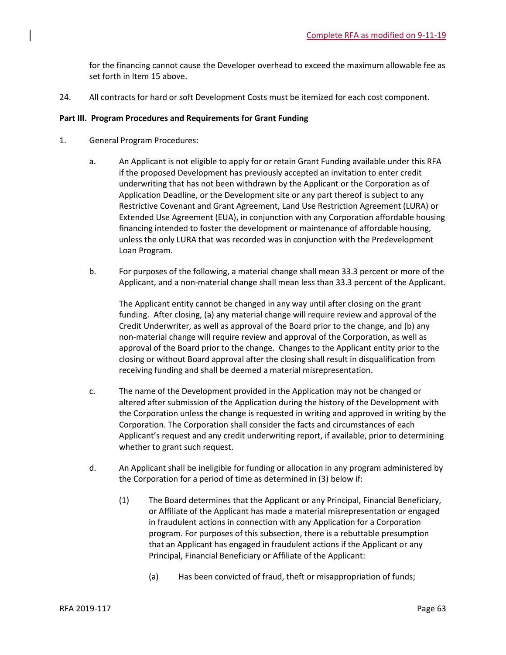for the financing cannot cause the Developer overhead to exceed the maximum allowable fee as set forth in Item 15 above.

24. All contracts for hard or soft Development Costs must be itemized for each cost component.

## **Part III. Program Procedures and Requirements for Grant Funding**

- 1. General Program Procedures:
	- a. An Applicant is not eligible to apply for or retain Grant Funding available under this RFA if the proposed Development has previously accepted an invitation to enter credit underwriting that has not been withdrawn by the Applicant or the Corporation as of Application Deadline, or the Development site or any part thereof is subject to any Restrictive Covenant and Grant Agreement, Land Use Restriction Agreement (LURA) or Extended Use Agreement (EUA), in conjunction with any Corporation affordable housing financing intended to foster the development or maintenance of affordable housing, unless the only LURA that was recorded was in conjunction with the Predevelopment Loan Program.
	- b. For purposes of the following, a material change shall mean 33.3 percent or more of the Applicant, and a non-material change shall mean less than 33.3 percent of the Applicant.

The Applicant entity cannot be changed in any way until after closing on the grant funding. After closing, (a) any material change will require review and approval of the Credit Underwriter, as well as approval of the Board prior to the change, and (b) any non-material change will require review and approval of the Corporation, as well as approval of the Board prior to the change. Changes to the Applicant entity prior to the closing or without Board approval after the closing shall result in disqualification from receiving funding and shall be deemed a material misrepresentation.

- c. The name of the Development provided in the Application may not be changed or altered after submission of the Application during the history of the Development with the Corporation unless the change is requested in writing and approved in writing by the Corporation. The Corporation shall consider the facts and circumstances of each Applicant's request and any credit underwriting report, if available, prior to determining whether to grant such request.
- d. An Applicant shall be ineligible for funding or allocation in any program administered by the Corporation for a period of time as determined in (3) below if:
	- (1) The Board determines that the Applicant or any Principal, Financial Beneficiary, or Affiliate of the Applicant has made a material misrepresentation or engaged in fraudulent actions in connection with any Application for a Corporation program. For purposes of this subsection, there is a rebuttable presumption that an Applicant has engaged in fraudulent actions if the Applicant or any Principal, Financial Beneficiary or Affiliate of the Applicant:
		- (a) Has been convicted of fraud, theft or misappropriation of funds;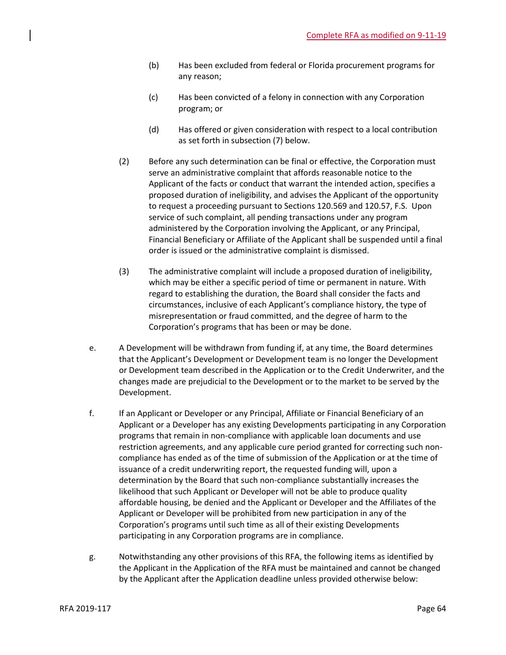- (b) Has been excluded from federal or Florida procurement programs for any reason;
- (c) Has been convicted of a felony in connection with any Corporation program; or
- (d) Has offered or given consideration with respect to a local contribution as set forth in subsection (7) below.
- (2) Before any such determination can be final or effective, the Corporation must serve an administrative complaint that affords reasonable notice to the Applicant of the facts or conduct that warrant the intended action, specifies a proposed duration of ineligibility, and advises the Applicant of the opportunity to request a proceeding pursuant to Sections 120.569 and 120.57, F.S. Upon service of such complaint, all pending transactions under any program administered by the Corporation involving the Applicant, or any Principal, Financial Beneficiary or Affiliate of the Applicant shall be suspended until a final order is issued or the administrative complaint is dismissed.
- (3) The administrative complaint will include a proposed duration of ineligibility, which may be either a specific period of time or permanent in nature. With regard to establishing the duration, the Board shall consider the facts and circumstances, inclusive of each Applicant's compliance history, the type of misrepresentation or fraud committed, and the degree of harm to the Corporation's programs that has been or may be done.
- e. A Development will be withdrawn from funding if, at any time, the Board determines that the Applicant's Development or Development team is no longer the Development or Development team described in the Application or to the Credit Underwriter, and the changes made are prejudicial to the Development or to the market to be served by the Development.
- f. If an Applicant or Developer or any Principal, Affiliate or Financial Beneficiary of an Applicant or a Developer has any existing Developments participating in any Corporation programs that remain in non-compliance with applicable loan documents and use restriction agreements, and any applicable cure period granted for correcting such noncompliance has ended as of the time of submission of the Application or at the time of issuance of a credit underwriting report, the requested funding will, upon a determination by the Board that such non-compliance substantially increases the likelihood that such Applicant or Developer will not be able to produce quality affordable housing, be denied and the Applicant or Developer and the Affiliates of the Applicant or Developer will be prohibited from new participation in any of the Corporation's programs until such time as all of their existing Developments participating in any Corporation programs are in compliance.
- g. Notwithstanding any other provisions of this RFA, the following items as identified by the Applicant in the Application of the RFA must be maintained and cannot be changed by the Applicant after the Application deadline unless provided otherwise below: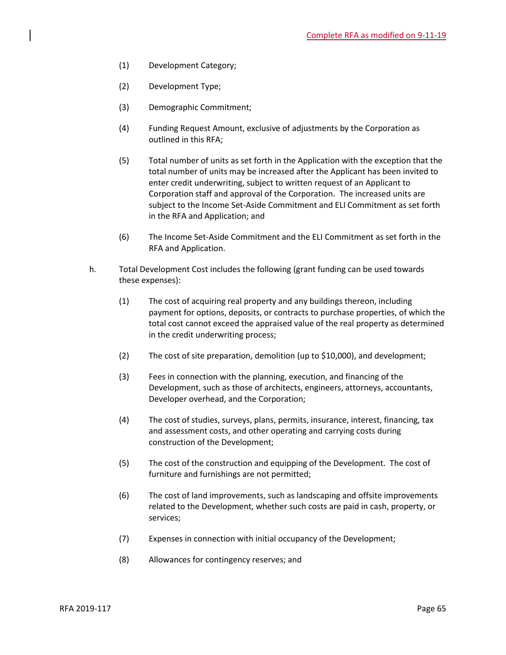- (1) Development Category;
- (2) Development Type;
- (3) Demographic Commitment;
- (4) Funding Request Amount, exclusive of adjustments by the Corporation as outlined in this RFA;
- (5) Total number of units as set forth in the Application with the exception that the total number of units may be increased after the Applicant has been invited to enter credit underwriting, subject to written request of an Applicant to Corporation staff and approval of the Corporation. The increased units are subject to the Income Set-Aside Commitment and ELI Commitment as set forth in the RFA and Application; and
- (6) The Income Set-Aside Commitment and the ELI Commitment as set forth in the RFA and Application.
- h. Total Development Cost includes the following (grant funding can be used towards these expenses):
	- (1) The cost of acquiring real property and any buildings thereon, including payment for options, deposits, or contracts to purchase properties, of which the total cost cannot exceed the appraised value of the real property as determined in the credit underwriting process;
	- (2) The cost of site preparation, demolition (up to \$10,000), and development;
	- (3) Fees in connection with the planning, execution, and financing of the Development, such as those of architects, engineers, attorneys, accountants, Developer overhead, and the Corporation;
	- (4) The cost of studies, surveys, plans, permits, insurance, interest, financing, tax and assessment costs, and other operating and carrying costs during construction of the Development;
	- (5) The cost of the construction and equipping of the Development. The cost of furniture and furnishings are not permitted;
	- (6) The cost of land improvements, such as landscaping and offsite improvements related to the Development, whether such costs are paid in cash, property, or services;
	- (7) Expenses in connection with initial occupancy of the Development;
	- (8) Allowances for contingency reserves; and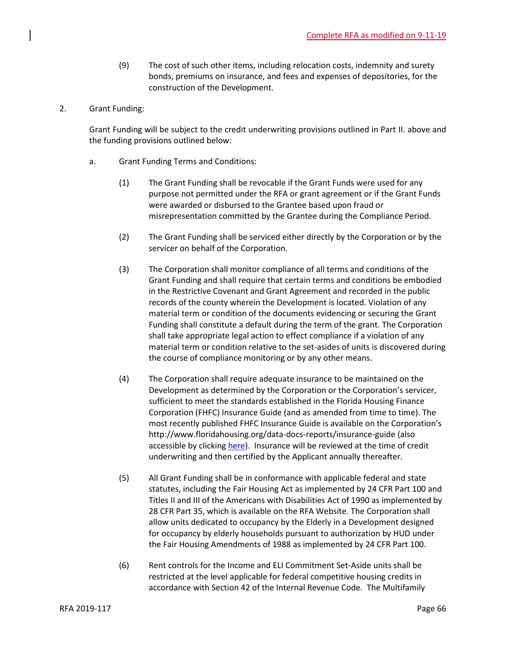- (9) The cost of such other items, including relocation costs, indemnity and surety bonds, premiums on insurance, and fees and expenses of depositories, for the construction of the Development.
- 2. Grant Funding:

Grant Funding will be subject to the credit underwriting provisions outlined in Part II. above and the funding provisions outlined below:

- a. Grant Funding Terms and Conditions:
	- (1) The Grant Funding shall be revocable if the Grant Funds were used for any purpose not permitted under the RFA or grant agreement or if the Grant Funds were awarded or disbursed to the Grantee based upon fraud or misrepresentation committed by the Grantee during the Compliance Period.
	- (2) The Grant Funding shall be serviced either directly by the Corporation or by the servicer on behalf of the Corporation.
	- (3) The Corporation shall monitor compliance of all terms and conditions of the Grant Funding and shall require that certain terms and conditions be embodied in the Restrictive Covenant and Grant Agreement and recorded in the public records of the county wherein the Development is located. Violation of any material term or condition of the documents evidencing or securing the Grant Funding shall constitute a default during the term of the grant. The Corporation shall take appropriate legal action to effect compliance if a violation of any material term or condition relative to the set-asides of units is discovered during the course of compliance monitoring or by any other means.
	- (4) The Corporation shall require adequate insurance to be maintained on the Development as determined by the Corporation or the Corporation's servicer, sufficient to meet the standards established in the Florida Housing Finance Corporation (FHFC) Insurance Guide (and as amended from time to time). The most recently published FHFC Insurance Guide is available on the Corporation's http://www.floridahousing.org/data-docs-reports/insurance-guide (also accessible by clicking [here\)](http://www.floridahousing.org/data-docs-reports/insurance-guide). Insurance will be reviewed at the time of credit underwriting and then certified by the Applicant annually thereafter.
	- (5) All Grant Funding shall be in conformance with applicable federal and state statutes, including the Fair Housing Act as implemented by 24 CFR Part 100 and Titles II and III of the Americans with Disabilities Act of 1990 as implemented by 28 CFR Part 35, which is available on the RFA Website. The Corporation shall allow units dedicated to occupancy by the Elderly in a Development designed for occupancy by elderly households pursuant to authorization by HUD under the Fair Housing Amendments of 1988 as implemented by 24 CFR Part 100.
	- (6) Rent controls for the Income and ELI Commitment Set-Aside units shall be restricted at the level applicable for federal competitive housing credits in accordance with Section 42 of the Internal Revenue Code. The Multifamily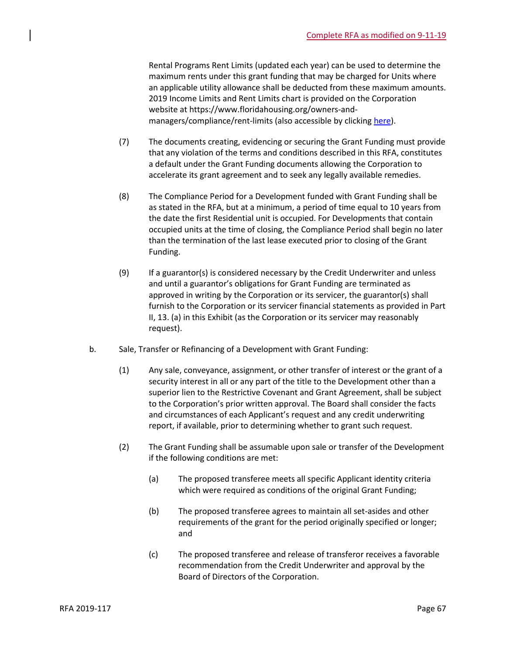Rental Programs Rent Limits (updated each year) can be used to determine the maximum rents under this grant funding that may be charged for Units where an applicable utility allowance shall be deducted from these maximum amounts. 2019 Income Limits and Rent Limits chart is provided on the Corporation website at https://www.floridahousing.org/owners-andmanagers/compliance/rent-limits (also accessible by clicking [here\)](https://www.floridahousing.org/owners-and-managers/compliance/rent-limits).

- (7) The documents creating, evidencing or securing the Grant Funding must provide that any violation of the terms and conditions described in this RFA, constitutes a default under the Grant Funding documents allowing the Corporation to accelerate its grant agreement and to seek any legally available remedies.
- (8) The Compliance Period for a Development funded with Grant Funding shall be as stated in the RFA, but at a minimum, a period of time equal to 10 years from the date the first Residential unit is occupied. For Developments that contain occupied units at the time of closing, the Compliance Period shall begin no later than the termination of the last lease executed prior to closing of the Grant Funding.
- (9) If a guarantor(s) is considered necessary by the Credit Underwriter and unless and until a guarantor's obligations for Grant Funding are terminated as approved in writing by the Corporation or its servicer, the guarantor(s) shall furnish to the Corporation or its servicer financial statements as provided in Part II, 13. (a) in this Exhibit (as the Corporation or its servicer may reasonably request).
- b. Sale, Transfer or Refinancing of a Development with Grant Funding:
	- (1) Any sale, conveyance, assignment, or other transfer of interest or the grant of a security interest in all or any part of the title to the Development other than a superior lien to the Restrictive Covenant and Grant Agreement, shall be subject to the Corporation's prior written approval. The Board shall consider the facts and circumstances of each Applicant's request and any credit underwriting report, if available, prior to determining whether to grant such request.
	- (2) The Grant Funding shall be assumable upon sale or transfer of the Development if the following conditions are met:
		- (a) The proposed transferee meets all specific Applicant identity criteria which were required as conditions of the original Grant Funding;
		- (b) The proposed transferee agrees to maintain all set-asides and other requirements of the grant for the period originally specified or longer; and
		- (c) The proposed transferee and release of transferor receives a favorable recommendation from the Credit Underwriter and approval by the Board of Directors of the Corporation.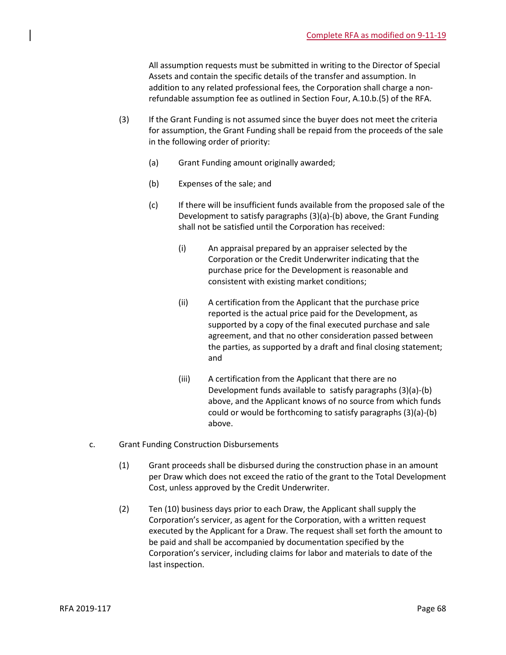All assumption requests must be submitted in writing to the Director of Special Assets and contain the specific details of the transfer and assumption. In addition to any related professional fees, the Corporation shall charge a nonrefundable assumption fee as outlined in Section Four, A.10.b.(5) of the RFA.

- (3) If the Grant Funding is not assumed since the buyer does not meet the criteria for assumption, the Grant Funding shall be repaid from the proceeds of the sale in the following order of priority:
	- (a) Grant Funding amount originally awarded;
	- (b) Expenses of the sale; and
	- (c) If there will be insufficient funds available from the proposed sale of the Development to satisfy paragraphs (3)(a)-(b) above, the Grant Funding shall not be satisfied until the Corporation has received:
		- (i) An appraisal prepared by an appraiser selected by the Corporation or the Credit Underwriter indicating that the purchase price for the Development is reasonable and consistent with existing market conditions;
		- (ii) A certification from the Applicant that the purchase price reported is the actual price paid for the Development, as supported by a copy of the final executed purchase and sale agreement, and that no other consideration passed between the parties, as supported by a draft and final closing statement; and
		- (iii) A certification from the Applicant that there are no Development funds available to satisfy paragraphs (3)(a)-(b) above, and the Applicant knows of no source from which funds could or would be forthcoming to satisfy paragraphs (3)(a)-(b) above.
- c. Grant Funding Construction Disbursements
	- (1) Grant proceeds shall be disbursed during the construction phase in an amount per Draw which does not exceed the ratio of the grant to the Total Development Cost, unless approved by the Credit Underwriter.
	- (2) Ten (10) business days prior to each Draw, the Applicant shall supply the Corporation's servicer, as agent for the Corporation, with a written request executed by the Applicant for a Draw. The request shall set forth the amount to be paid and shall be accompanied by documentation specified by the Corporation's servicer, including claims for labor and materials to date of the last inspection.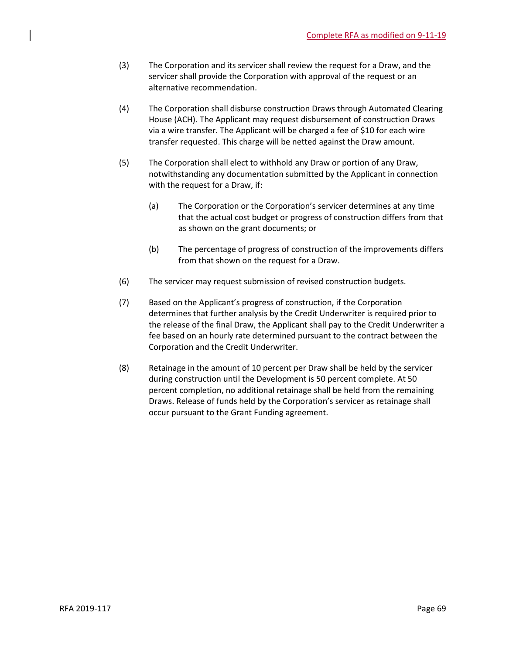- (3) The Corporation and its servicer shall review the request for a Draw, and the servicer shall provide the Corporation with approval of the request or an alternative recommendation.
- (4) The Corporation shall disburse construction Draws through Automated Clearing House (ACH). The Applicant may request disbursement of construction Draws via a wire transfer. The Applicant will be charged a fee of \$10 for each wire transfer requested. This charge will be netted against the Draw amount.
- (5) The Corporation shall elect to withhold any Draw or portion of any Draw, notwithstanding any documentation submitted by the Applicant in connection with the request for a Draw, if:
	- (a) The Corporation or the Corporation's servicer determines at any time that the actual cost budget or progress of construction differs from that as shown on the grant documents; or
	- (b) The percentage of progress of construction of the improvements differs from that shown on the request for a Draw.
- (6) The servicer may request submission of revised construction budgets.
- (7) Based on the Applicant's progress of construction, if the Corporation determines that further analysis by the Credit Underwriter is required prior to the release of the final Draw, the Applicant shall pay to the Credit Underwriter a fee based on an hourly rate determined pursuant to the contract between the Corporation and the Credit Underwriter.
- (8) Retainage in the amount of 10 percent per Draw shall be held by the servicer during construction until the Development is 50 percent complete. At 50 percent completion, no additional retainage shall be held from the remaining Draws. Release of funds held by the Corporation's servicer as retainage shall occur pursuant to the Grant Funding agreement.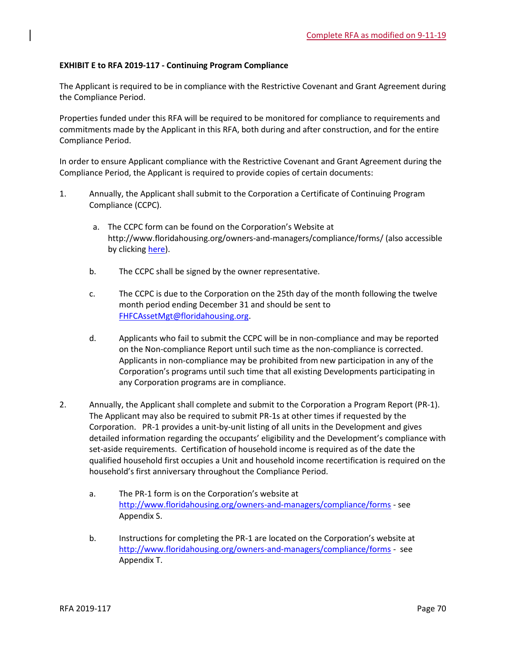## **EXHIBIT E to RFA 2019-117 - Continuing Program Compliance**

The Applicant is required to be in compliance with the Restrictive Covenant and Grant Agreement during the Compliance Period.

Properties funded under this RFA will be required to be monitored for compliance to requirements and commitments made by the Applicant in this RFA, both during and after construction, and for the entire Compliance Period.

In order to ensure Applicant compliance with the Restrictive Covenant and Grant Agreement during the Compliance Period, the Applicant is required to provide copies of certain documents:

- 1. Annually, the Applicant shall submit to the Corporation a Certificate of Continuing Program Compliance (CCPC).
	- a. The CCPC form can be found on the Corporation's Website at http://www.floridahousing.org/owners-and-managers/compliance/forms/ (also accessible by clicking [here\)](http://www.floridahousing.org/owners-and-managers/compliance/forms).
	- b. The CCPC shall be signed by the owner representative.
	- c. The CCPC is due to the Corporation on the 25th day of the month following the twelve month period ending December 31 and should be sent to [FHFCAssetMgt@floridahousing.org.](mailto:FHFCAssetMgt@floridahousing.org)
	- d. Applicants who fail to submit the CCPC will be in non-compliance and may be reported on the Non-compliance Report until such time as the non-compliance is corrected. Applicants in non-compliance may be prohibited from new participation in any of the Corporation's programs until such time that all existing Developments participating in any Corporation programs are in compliance.
- 2. Annually, the Applicant shall complete and submit to the Corporation a Program Report (PR-1). The Applicant may also be required to submit PR-1s at other times if requested by the Corporation. PR-1 provides a unit-by-unit listing of all units in the Development and gives detailed information regarding the occupants' eligibility and the Development's compliance with set-aside requirements. Certification of household income is required as of the date the qualified household first occupies a Unit and household income recertification is required on the household's first anniversary throughout the Compliance Period.
	- a. The PR-1 form is on the Corporation's website at <http://www.floridahousing.org/owners-and-managers/compliance/forms> - see Appendix S.
	- b. Instructions for completing the PR-1 are located on the Corporation's website at <http://www.floridahousing.org/owners-and-managers/compliance/forms> - see Appendix T.